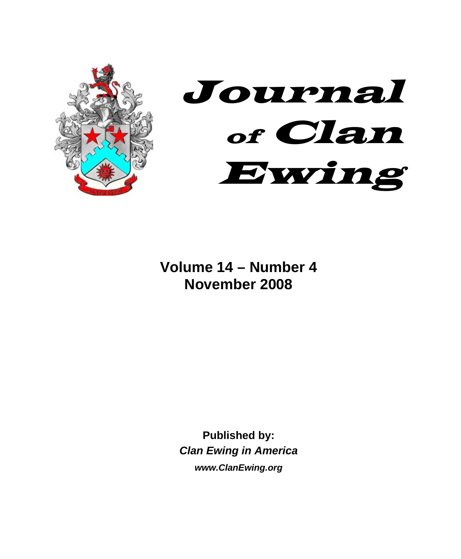



# **Volume 14 – Number 4 November 2008**

**Published by:**  *Clan Ewing in America www.ClanEwing.org*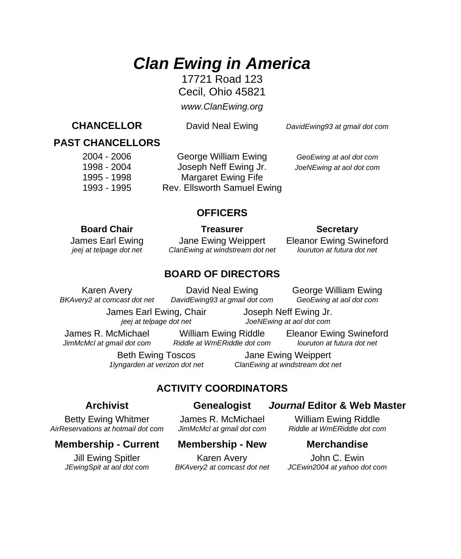# *Clan Ewing in America*

17721 Road 123 Cecil, Ohio 45821

*www.ClanEwing.org*

**CHANCELLOR** David Neal Ewing*DavidEwing93 at gmail dot com*

## **PAST CHANCELLORS**

 2004 - 2006 George William Ewing *GeoEwing at aol dot com* 1998 - 2004 Joseph Neff Ewing Jr. *JoeNEwing at aol dot com* 1995 - 1998 Margaret Ewing Fife 1993 - 1995 Rev. Ellsworth Samuel Ewing

### **OFFICERS**

#### **Board Chair Communist Chair Chair Chair Chair Treasurer Chair Secretary**

 James Earl Ewing Jane Ewing Weippert Eleanor Ewing Swineford *jeej at telpage dot net* ClanEwing at windstream dot net louruton at futura dot net

### **BOARD OF DIRECTORS**

Karen Avery **David Neal Ewing George William Ewing**<br>
Figure at compast dot net DavidEwing93 at gmail dot com GeoEwing at aol dot com *BKAvery2 at comcast dot net DavidEwing93 at gmail dot com* 

 James Earl Ewing, Chair Joseph Neff Ewing Jr.  *jeej at telpage dot net JoeNEwing at aol dot com* 

*JimMcMcl at gmail dot com* 

James R. McMichael William Ewing Riddle Eleanor Ewing Swineford<br>JimMcMcLat granil dot com Riddle at WmFRiddle dot com Journton at futura dot net

Beth Ewing Toscos Jane Ewing Weippert  *1lyngarden at verizon dot net ClanEwing at windstream dot net* 

### **ACTIVITY COORDINATORS**

#### **Archivist Genealogist** *Journal* **Editor & Web Master**

Betty Ewing Whitmer James R. McMichael William Ewing Riddle<br>
Reservations at hotmail dot com JimMcMcI at gmail dot com Riddle at WmERiddle dot com  *AirReservations at hotmail dot com JimMcMcl at gmail dot com Riddle at WmERiddle dot com* 

### **Membership - Current Membership - New Merchandise**

Jill Ewing Spitler Karen Avery John C. Ewin

*JEwingSpit at aol dot com BKAvery2 at comcast dot net JCEwin2004 at yahoo dot com*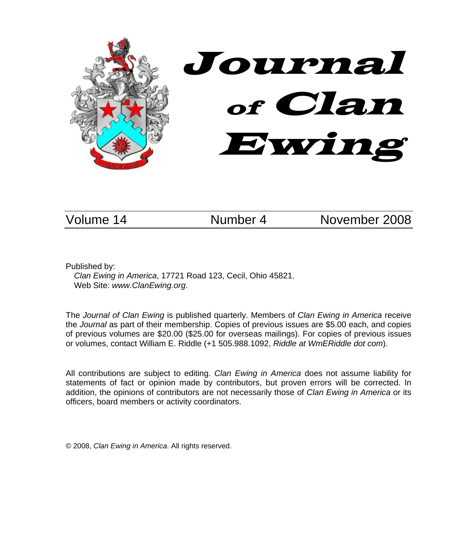

Volume 14 Number 4 November 2008

Published by:

*Clan Ewing in America*, 17721 Road 123, Cecil, Ohio 45821. Web Site: *www.ClanEwing.org*.

The *Journal of Clan Ewing* is published quarterly. Members of *Clan Ewing in America* receive the *Journal* as part of their membership. Copies of previous issues are \$5.00 each, and copies of previous volumes are \$20.00 (\$25.00 for overseas mailings). For copies of previous issues or volumes, contact William E. Riddle (+1 505.988.1092, *Riddle at WmERiddle dot com*).

All contributions are subject to editing. *Clan Ewing in America* does not assume liability for statements of fact or opinion made by contributors, but proven errors will be corrected. In addition, the opinions of contributors are not necessarily those of *Clan Ewing in America* or its officers, board members or activity coordinators.

© 2008, *Clan Ewing in America*. All rights reserved.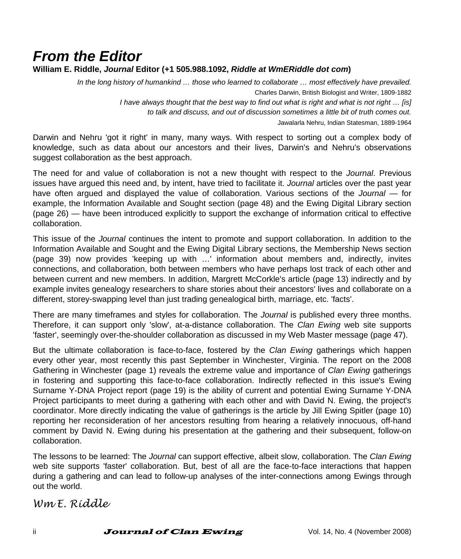# *From the Editor*

#### **William E. Riddle,** *Journal* **Editor (+1 505.988.1092,** *Riddle at WmERiddle dot com***)**

*In the long history of humankind … those who learned to collaborate … most effectively have prevailed.*  Charles Darwin, British Biologist and Writer, 1809-1882 *I have always thought that the best way to find out what is right and what is not right … [is] to talk and discuss, and out of discussion sometimes a little bit of truth comes out.*  Jawalarla Nehru, Indian Statesman, 1889-1964

Darwin and Nehru 'got it right' in many, many ways. With respect to sorting out a complex body of knowledge, such as data about our ancestors and their lives, Darwin's and Nehru's observations suggest collaboration as the best approach.

The need for and value of collaboration is not a new thought with respect to the *Journal*. Previous issues have argued this need and, by intent, have tried to facilitate it. *Journal* articles over the past year have often argued and displayed the value of collaboration. Various sections of the *Journal* — for example, the Information Available and Sought section (page 48) and the Ewing Digital Library section (page 26) — have been introduced explicitly to support the exchange of information critical to effective collaboration.

This issue of the *Journal* continues the intent to promote and support collaboration. In addition to the Information Available and Sought and the Ewing Digital Library sections, the Membership News section (page 39) now provides 'keeping up with …' information about members and, indirectly, invites connections, and collaboration, both between members who have perhaps lost track of each other and between current and new members. In addition, Margrett McCorkle's article (page 13) indirectly and by example invites genealogy researchers to share stories about their ancestors' lives and collaborate on a different, storey-swapping level than just trading genealogical birth, marriage, etc. 'facts'.

There are many timeframes and styles for collaboration. The *Journal* is published every three months. Therefore, it can support only 'slow', at-a-distance collaboration. The *Clan Ewing* web site supports 'faster', seemingly over-the-shoulder collaboration as discussed in my Web Master message (page 47).

But the ultimate collaboration is face-to-face, fostered by the *Clan Ewing* gatherings which happen every other year, most recently this past September in Winchester, Virginia. The report on the 2008 Gathering in Winchester (page 1) reveals the extreme value and importance of *Clan Ewing* gatherings in fostering and supporting this face-to-face collaboration. Indirectly reflected in this issue's Ewing Surname Y-DNA Project report (page 19) is the ability of current and potential Ewing Surname Y-DNA Project participants to meet during a gathering with each other and with David N. Ewing, the project's coordinator. More directly indicating the value of gatherings is the article by Jill Ewing Spitler (page 10) reporting her reconsideration of her ancestors resulting from hearing a relatively innocuous, off-hand comment by David N. Ewing during his presentation at the gathering and their subsequent, follow-on collaboration.

The lessons to be learned: The *Journal* can support effective, albeit slow, collaboration. The *Clan Ewing* web site supports 'faster' collaboration. But, best of all are the face-to-face interactions that happen during a gathering and can lead to follow-up analyses of the inter-connections among Ewings through out the world.

*Wm E. Riddle*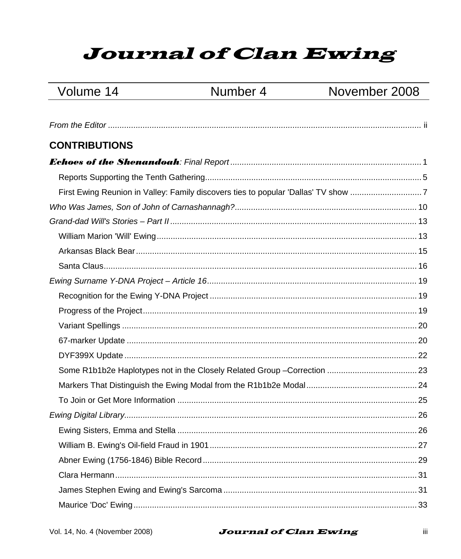# **Journal of Clan Ewing**

# Volume 14

# Number 4

# November 2008

| <b>CONTRIBUTIONS</b> |  |
|----------------------|--|
|                      |  |
|                      |  |
|                      |  |
|                      |  |
|                      |  |
|                      |  |
|                      |  |
|                      |  |
|                      |  |
|                      |  |
|                      |  |
|                      |  |
|                      |  |
|                      |  |
|                      |  |
|                      |  |
|                      |  |
|                      |  |
|                      |  |
|                      |  |
|                      |  |
|                      |  |
|                      |  |
|                      |  |

#### **Journal of Clan Ewing**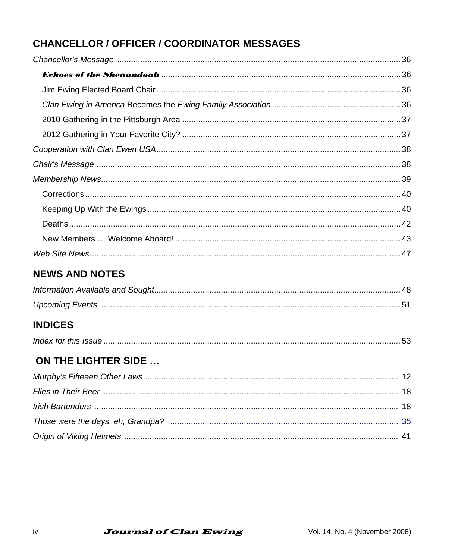# **CHANCELLOR / OFFICER / COORDINATOR MESSAGES**

# **NEWS AND NOTES**

# **INDICES**

|--|

# **ON THE LIGHTER SIDE ...**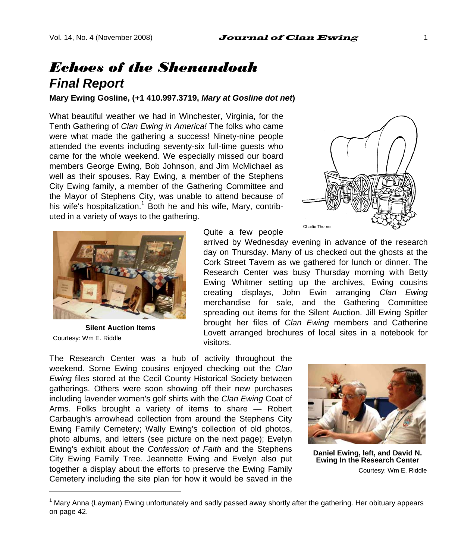# *Echoes of the Shenandoah Final Report*

**Mary Ewing Gosline, (+1 410.997.3719,** *Mary at Gosline dot net***)** 

What beautiful weather we had in Winchester, Virginia, for the Tenth Gathering of *Clan Ewing in America!* The folks who came were what made the gathering a success! Ninety-nine people attended the events including seventy-six full-time guests who came for the whole weekend. We especially missed our board members George Ewing, Bob Johnson, and Jim McMichael as well as their spouses. Ray Ewing, a member of the Stephens City Ewing family, a member of the Gathering Committee and the Mayor of Stephens City, was unable to attend because of his wife's hospitalization.<sup>1</sup> Both he and his wife, Mary, contributed in a variety of ways to the gathering.



**Silent Auction Items**  Courtesy: Wm E. Riddle

l

Quite a few people

arrived by Wednesday evening in advance of the research day on Thursday. Many of us checked out the ghosts at the Cork Street Tavern as we gathered for lunch or dinner. The Research Center was busy Thursday morning with Betty Ewing Whitmer setting up the archives, Ewing cousins creating displays, John Ewin arranging *Clan Ewing* merchandise for sale, and the Gathering Committee spreading out items for the Silent Auction. Jill Ewing Spitler brought her files of *Clan Ewing* members and Catherine Lovett arranged brochures of local sites in a notebook for visitors.

The Research Center was a hub of activity throughout the weekend. Some Ewing cousins enjoyed checking out the *Clan Ewing* files stored at the Cecil County Historical Society between gatherings. Others were soon showing off their new purchases including lavender women's golf shirts with the *Clan Ewing* Coat of Arms. Folks brought a variety of items to share — Robert Carbaugh's arrowhead collection from around the Stephens City Ewing Family Cemetery; Wally Ewing's collection of old photos, photo albums, and letters (see picture on the next page); Evelyn Ewing's exhibit about the *Confession of Faith* and the Stephens City Ewing Family Tree. Jeannette Ewing and Evelyn also put together a display about the efforts to preserve the Ewing Family Cemetery including the site plan for how it would be saved in the



**Daniel Ewing, left, and David N. Ewing In the Research Center**  Courtesy: Wm E. Riddle



<sup>1</sup> Mary Anna (Layman) Ewing unfortunately and sadly passed away shortly after the gathering. Her obituary appears on page 42.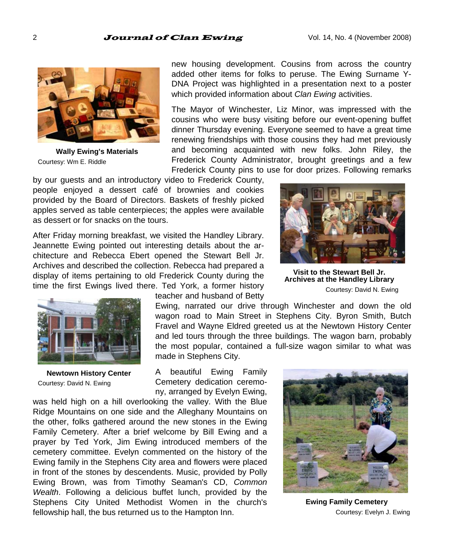

**Wally Ewing's Materials**  Courtesy: Wm E. Riddle

new housing development. Cousins from across the country added other items for folks to peruse. The Ewing Surname Y-DNA Project was highlighted in a presentation next to a poster which provided information about *Clan Ewing* activities.

The Mayor of Winchester, Liz Minor, was impressed with the cousins who were busy visiting before our event-opening buffet dinner Thursday evening. Everyone seemed to have a great time renewing friendships with those cousins they had met previously and becoming acquainted with new folks. John Riley, the Frederick County Administrator, brought greetings and a few Frederick County pins to use for door prizes. Following remarks

by our guests and an introductory video to Frederick County, people enjoyed a dessert café of brownies and cookies provided by the Board of Directors. Baskets of freshly picked apples served as table centerpieces; the apples were available as dessert or for snacks on the tours.

After Friday morning breakfast, we visited the Handley Library. Jeannette Ewing pointed out interesting details about the architecture and Rebecca Ebert opened the Stewart Bell Jr. Archives and described the collection. Rebecca had prepared a display of items pertaining to old Frederick County during the time the first Ewings lived there. Ted York, a former history



**Newtown History Center**  Courtesy: David N. Ewing

teacher and husband of Betty

Ewing, narrated our drive through Winchester and down the old wagon road to Main Street in Stephens City. Byron Smith, Butch Fravel and Wayne Eldred greeted us at the Newtown History Center and led tours through the three buildings. The wagon barn, probably the most popular, contained a full-size wagon similar to what was made in Stephens City.

A beautiful Ewing Family Cemetery dedication ceremony, arranged by Evelyn Ewing,

was held high on a hill overlooking the valley. With the Blue Ridge Mountains on one side and the Alleghany Mountains on the other, folks gathered around the new stones in the Ewing Family Cemetery. After a brief welcome by Bill Ewing and a prayer by Ted York, Jim Ewing introduced members of the cemetery committee. Evelyn commented on the history of the Ewing family in the Stephens City area and flowers were placed in front of the stones by descendents. Music, provided by Polly Ewing Brown, was from Timothy Seaman's CD, *Common Wealth*. Following a delicious buffet lunch, provided by the Stephens City United Methodist Women in the church's fellowship hall, the bus returned us to the Hampton Inn.



**Visit to the Stewart Bell Jr. Archives at the Handley Library**  Courtesy: David N. Ewing



**Ewing Family Cemetery**  Courtesy: Evelyn J. Ewing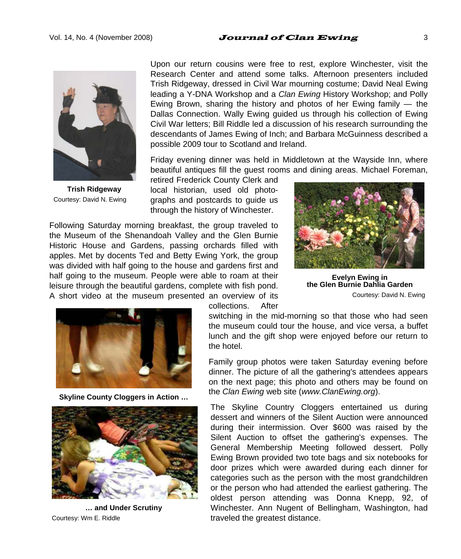#### Vol. 14, No. 4 (November 2008)  $Journal$  of Clan Ewing  $3$



**Trish Ridgeway**  Courtesy: David N. Ewing

Upon our return cousins were free to rest, explore Winchester, visit the Research Center and attend some talks. Afternoon presenters included Trish Ridgeway, dressed in Civil War mourning costume; David Neal Ewing leading a Y-DNA Workshop and a *Clan Ewing* History Workshop; and Polly Ewing Brown, sharing the history and photos of her Ewing family  $-$  the Dallas Connection. Wally Ewing guided us through his collection of Ewing Civil War letters; Bill Riddle led a discussion of his research surrounding the descendants of James Ewing of Inch; and Barbara McGuinness described a possible 2009 tour to Scotland and Ireland.

Friday evening dinner was held in Middletown at the Wayside Inn, where beautiful antiques fill the guest rooms and dining areas. Michael Foreman,

retired Frederick County Clerk and local historian, used old photographs and postcards to guide us through the history of Winchester.

Following Saturday morning breakfast, the group traveled to the Museum of the Shenandoah Valley and the Glen Burnie Historic House and Gardens, passing orchards filled with apples. Met by docents Ted and Betty Ewing York, the group was divided with half going to the house and gardens first and half going to the museum. People were able to roam at their leisure through the beautiful gardens, complete with fish pond. A short video at the museum presented an overview of its



**Evelyn Ewing in the Glen Burnie Dahlia Garden**  Courtesy: David N. Ewing



**Skyline County Cloggers in Action …** 



**… and Under Scrutiny**  Courtesy: Wm E. Riddle

collections. After

switching in the mid-morning so that those who had seen the museum could tour the house, and vice versa, a buffet lunch and the gift shop were enjoyed before our return to the hotel.

Family group photos were taken Saturday evening before dinner. The picture of all the gathering's attendees appears on the next page; this photo and others may be found on the *Clan Ewing* web site (*www.ClanEwing.org*).

The Skyline Country Cloggers entertained us during dessert and winners of the Silent Auction were announced during their intermission. Over \$600 was raised by the Silent Auction to offset the gathering's expenses. The General Membership Meeting followed dessert. Polly Ewing Brown provided two tote bags and six notebooks for door prizes which were awarded during each dinner for categories such as the person with the most grandchildren or the person who had attended the earliest gathering. The oldest person attending was Donna Knepp, 92, of Winchester. Ann Nugent of Bellingham, Washington, had traveled the greatest distance.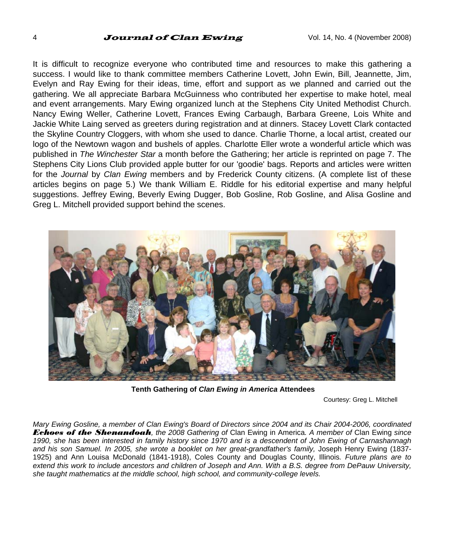#### 4 **Journal of Clan Ewing**  $\frac{1}{20}$  Vol. 14, No. 4 (November 2008)

It is difficult to recognize everyone who contributed time and resources to make this gathering a success. I would like to thank committee members Catherine Lovett, John Ewin, Bill, Jeannette, Jim, Evelyn and Ray Ewing for their ideas, time, effort and support as we planned and carried out the gathering. We all appreciate Barbara McGuinness who contributed her expertise to make hotel, meal and event arrangements. Mary Ewing organized lunch at the Stephens City United Methodist Church. Nancy Ewing Weller, Catherine Lovett, Frances Ewing Carbaugh, Barbara Greene, Lois White and Jackie White Laing served as greeters during registration and at dinners. Stacey Lovett Clark contacted the Skyline Country Cloggers, with whom she used to dance. Charlie Thorne, a local artist, created our logo of the Newtown wagon and bushels of apples. Charlotte Eller wrote a wonderful article which was published in *The Winchester Star* a month before the Gathering; her article is reprinted on page 7. The Stephens City Lions Club provided apple butter for our 'goodie' bags. Reports and articles were written for the *Journal* by *Clan Ewing* members and by Frederick County citizens. (A complete list of these articles begins on page 5.) We thank William E. Riddle for his editorial expertise and many helpful suggestions. Jeffrey Ewing, Beverly Ewing Dugger, Bob Gosline, Rob Gosline, and Alisa Gosline and Greg L. Mitchell provided support behind the scenes.



**Tenth Gathering of** *Clan Ewing in America* **Attendees** 

Courtesy: Greg L. Mitchell

*Mary Ewing Gosline, a member of Clan Ewing's Board of Directors since 2004 and its Chair 2004-2006, coordinated Echoes of the Shenandoah, the 2008 Gathering of* Clan Ewing in America*. A member of* Clan Ewing *since 1990, she has been interested in family history since 1970 and is a descendent of John Ewing of Carnashannagh*  and his son Samuel. In 2005, she wrote a booklet on her great-grandfather's family, Joseph Henry Ewing (1837-1925) and Ann Louisa McDonald (1841-1918), Coles County and Douglas County, Illinois*. Future plans are to extend this work to include ancestors and children of Joseph and Ann. With a B.S. degree from DePauw University, she taught mathematics at the middle school, high school, and community-college levels.*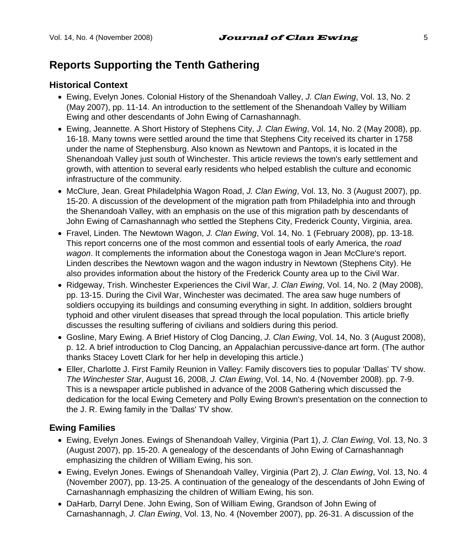# **Reports Supporting the Tenth Gathering**

#### **Historical Context**

- Ewing, Evelyn Jones. Colonial History of the Shenandoah Valley, *J. Clan Ewing*, Vol. 13, No. 2 (May 2007), pp. 11-14. An introduction to the settlement of the Shenandoah Valley by William Ewing and other descendants of John Ewing of Carnashannagh.
- Ewing, Jeannette. A Short History of Stephens City, *J. Clan Ewing*, Vol. 14, No. 2 (May 2008), pp. 16-18. Many towns were settled around the time that Stephens City received its charter in 1758 under the name of Stephensburg. Also known as Newtown and Pantops, it is located in the Shenandoah Valley just south of Winchester. This article reviews the town's early settlement and growth, with attention to several early residents who helped establish the culture and economic infrastructure of the community.
- McClure, Jean. Great Philadelphia Wagon Road, *J. Clan Ewing*, Vol. 13, No. 3 (August 2007), pp. 15-20. A discussion of the development of the migration path from Philadelphia into and through the Shenandoah Valley, with an emphasis on the use of this migration path by descendants of John Ewing of Carnashannagh who settled the Stephens City, Frederick County, Virginia, area.
- Fravel, Linden. The Newtown Wagon, *J. Clan Ewing*, Vol. 14, No. 1 (February 2008), pp. 13-18. This report concerns one of the most common and essential tools of early America, the *road wagon*. It complements the information about the Conestoga wagon in Jean McClure's report. Linden describes the Newtown wagon and the wagon industry in Newtown (Stephens City). He also provides information about the history of the Frederick County area up to the Civil War.
- Ridgeway, Trish. Winchester Experiences the Civil War, *J. Clan Ewing*, Vol. 14, No. 2 (May 2008), pp. 13-15. During the Civil War, Winchester was decimated. The area saw huge numbers of soldiers occupying its buildings and consuming everything in sight. In addition, soldiers brought typhoid and other virulent diseases that spread through the local population. This article briefly discusses the resulting suffering of civilians and soldiers during this period.
- Gosline, Mary Ewing. A Brief History of Clog Dancing, *J. Clan Ewing*, Vol. 14, No. 3 (August 2008), p. 12. A brief introduction to Clog Dancing, an Appalachian percussive-dance art form. (The author thanks Stacey Lovett Clark for her help in developing this article.)
- Eller, Charlotte J. First Family Reunion in Valley: Family discovers ties to popular 'Dallas' TV show. *The Winchester Star*, August 16, 2008, *J. Clan Ewing*, Vol. 14, No. 4 (November 2008). pp. 7-9. This is a newspaper article published in advance of the 2008 Gathering which discussed the dedication for the local Ewing Cemetery and Polly Ewing Brown's presentation on the connection to the J. R. Ewing family in the 'Dallas' TV show.

#### **Ewing Families**

- Ewing, Evelyn Jones. Ewings of Shenandoah Valley, Virginia (Part 1), *J. Clan Ewing*, Vol. 13, No. 3 (August 2007), pp. 15-20. A genealogy of the descendants of John Ewing of Carnashannagh emphasizing the children of William Ewing, his son.
- Ewing, Evelyn Jones. Ewings of Shenandoah Valley, Virginia (Part 2), *J. Clan Ewing*, Vol. 13, No. 4 (November 2007), pp. 13-25. A continuation of the genealogy of the descendants of John Ewing of Carnashannagh emphasizing the children of William Ewing, his son.
- DaHarb, Darryl Dene. John Ewing, Son of William Ewing, Grandson of John Ewing of Carnashannagh, *J. Clan Ewing*, Vol. 13, No. 4 (November 2007), pp. 26-31. A discussion of the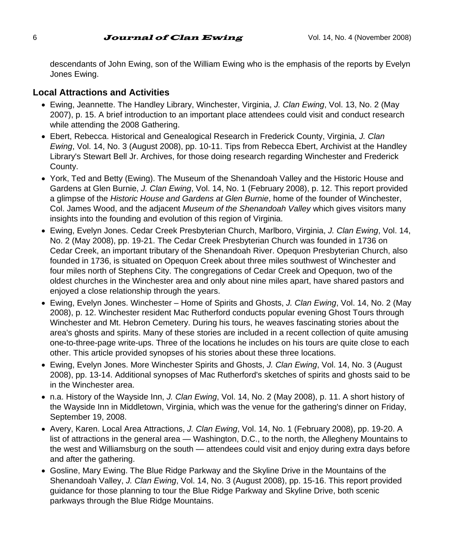#### 6 **Journal of Clan Ewing**  $V$ ol. 14, No. 4 (November 2008)

descendants of John Ewing, son of the William Ewing who is the emphasis of the reports by Evelyn Jones Ewing.

#### **Local Attractions and Activities**

- Ewing, Jeannette. The Handley Library, Winchester, Virginia, *J. Clan Ewing*, Vol. 13, No. 2 (May 2007), p. 15. A brief introduction to an important place attendees could visit and conduct research while attending the 2008 Gathering.
- Ebert, Rebecca. Historical and Genealogical Research in Frederick County, Virginia, *J. Clan Ewing*, Vol. 14, No. 3 (August 2008), pp. 10-11. Tips from Rebecca Ebert, Archivist at the Handley Library's Stewart Bell Jr. Archives, for those doing research regarding Winchester and Frederick County.
- York, Ted and Betty (Ewing). The Museum of the Shenandoah Valley and the Historic House and Gardens at Glen Burnie, *J. Clan Ewing*, Vol. 14, No. 1 (February 2008), p. 12. This report provided a glimpse of the *Historic House and Gardens at Glen Burnie*, home of the founder of Winchester, Col. James Wood, and the adjacent *Museum of the Shenandoah Valley* which gives visitors many insights into the founding and evolution of this region of Virginia.
- Ewing, Evelyn Jones. Cedar Creek Presbyterian Church, Marlboro, Virginia, *J. Clan Ewing*, Vol. 14, No. 2 (May 2008), pp. 19-21. The Cedar Creek Presbyterian Church was founded in 1736 on Cedar Creek, an important tributary of the Shenandoah River. Opequon Presbyterian Church, also founded in 1736, is situated on Opequon Creek about three miles southwest of Winchester and four miles north of Stephens City. The congregations of Cedar Creek and Opequon, two of the oldest churches in the Winchester area and only about nine miles apart, have shared pastors and enjoyed a close relationship through the years.
- Ewing, Evelyn Jones. Winchester Home of Spirits and Ghosts, *J. Clan Ewing*, Vol. 14, No. 2 (May 2008), p. 12. Winchester resident Mac Rutherford conducts popular evening Ghost Tours through Winchester and Mt. Hebron Cemetery. During his tours, he weaves fascinating stories about the area's ghosts and spirits. Many of these stories are included in a recent collection of quite amusing one-to-three-page write-ups. Three of the locations he includes on his tours are quite close to each other. This article provided synopses of his stories about these three locations.
- Ewing, Evelyn Jones. More Winchester Spirits and Ghosts, *J. Clan Ewing*, Vol. 14, No. 3 (August 2008), pp. 13-14. Additional synopses of Mac Rutherford's sketches of spirits and ghosts said to be in the Winchester area.
- n.a. History of the Wayside Inn, *J. Clan Ewing*, Vol. 14, No. 2 (May 2008), p. 11. A short history of the Wayside Inn in Middletown, Virginia, which was the venue for the gathering's dinner on Friday, September 19, 2008.
- Avery, Karen. Local Area Attractions, *J. Clan Ewing*, Vol. 14, No. 1 (February 2008), pp. 19-20. A list of attractions in the general area — Washington, D.C., to the north, the Allegheny Mountains to the west and Williamsburg on the south — attendees could visit and enjoy during extra days before and after the gathering.
- Gosline, Mary Ewing. The Blue Ridge Parkway and the Skyline Drive in the Mountains of the Shenandoah Valley, *J. Clan Ewing*, Vol. 14, No. 3 (August 2008), pp. 15-16. This report provided guidance for those planning to tour the Blue Ridge Parkway and Skyline Drive, both scenic parkways through the Blue Ridge Mountains.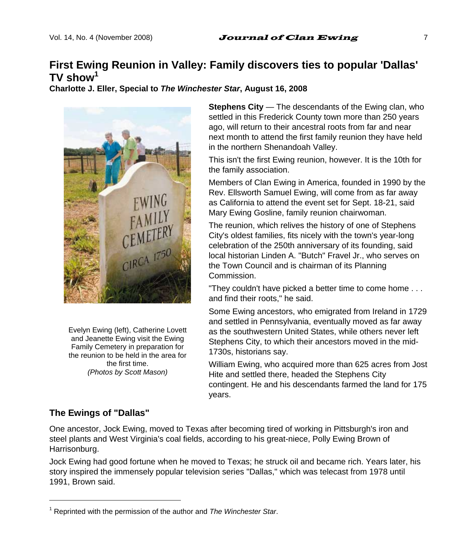# **First Ewing Reunion in Valley: Family discovers ties to popular 'Dallas' TV show<sup>1</sup>**

**Charlotte J. Eller, Special to** *The Winchester Star***, August 16, 2008** 



Evelyn Ewing (left), Catherine Lovett and Jeanette Ewing visit the Ewing Family Cemetery in preparation for the reunion to be held in the area for the first time. *(Photos by Scott Mason)*

**Stephens City** — The descendants of the Ewing clan, who settled in this Frederick County town more than 250 years ago, will return to their ancestral roots from far and near next month to attend the first family reunion they have held in the northern Shenandoah Valley.

This isn't the first Ewing reunion, however. It is the 10th for the family association.

Members of Clan Ewing in America, founded in 1990 by the Rev. Ellsworth Samuel Ewing, will come from as far away as California to attend the event set for Sept. 18-21, said Mary Ewing Gosline, family reunion chairwoman.

The reunion, which relives the history of one of Stephens City's oldest families, fits nicely with the town's year-long celebration of the 250th anniversary of its founding, said local historian Linden A. "Butch" Fravel Jr., who serves on the Town Council and is chairman of its Planning Commission.

"They couldn't have picked a better time to come home . . . and find their roots," he said.

Some Ewing ancestors, who emigrated from Ireland in 1729 and settled in Pennsylvania, eventually moved as far away as the southwestern United States, while others never left Stephens City, to which their ancestors moved in the mid-1730s, historians say.

William Ewing, who acquired more than 625 acres from Jost Hite and settled there, headed the Stephens City contingent. He and his descendants farmed the land for 175 years.

### **The Ewings of "Dallas"**

l

One ancestor, Jock Ewing, moved to Texas after becoming tired of working in Pittsburgh's iron and steel plants and West Virginia's coal fields, according to his great-niece, Polly Ewing Brown of Harrisonburg.

Jock Ewing had good fortune when he moved to Texas; he struck oil and became rich. Years later, his story inspired the immensely popular television series "Dallas," which was telecast from 1978 until 1991, Brown said.

<sup>&</sup>lt;sup>1</sup> Reprinted with the permission of the author and *The Winchester Star*.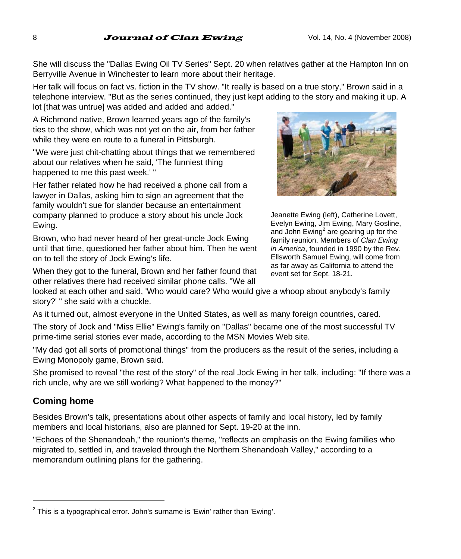#### 8 **Journal of Clan Ewing** Vol. 14, No. 4 (November 2008)

She will discuss the "Dallas Ewing Oil TV Series" Sept. 20 when relatives gather at the Hampton Inn on Berryville Avenue in Winchester to learn more about their heritage.

Her talk will focus on fact vs. fiction in the TV show. "It really is based on a true story," Brown said in a telephone interview. "But as the series continued, they just kept adding to the story and making it up. A lot [that was untrue] was added and added and added."

A Richmond native, Brown learned years ago of the family's ties to the show, which was not yet on the air, from her father while they were en route to a funeral in Pittsburgh.

"We were just chit-chatting about things that we remembered about our relatives when he said, 'The funniest thing happened to me this past week.' "

Her father related how he had received a phone call from a lawyer in Dallas, asking him to sign an agreement that the family wouldn't sue for slander because an entertainment company planned to produce a story about his uncle Jock Ewing.

Brown, who had never heard of her great-uncle Jock Ewing until that time, questioned her father about him. Then he went on to tell the story of Jock Ewing's life.

When they got to the funeral, Brown and her father found that other relatives there had received similar phone calls. "We all



As it turned out, almost everyone in the United States, as well as many foreign countries, cared.

The story of Jock and "Miss Ellie" Ewing's family on "Dallas" became one of the most successful TV prime-time serial stories ever made, according to the MSN Movies Web site.

"My dad got all sorts of promotional things" from the producers as the result of the series, including a Ewing Monopoly game, Brown said.

She promised to reveal "the rest of the story" of the real Jock Ewing in her talk, including: "If there was a rich uncle, why are we still working? What happened to the money?"

#### **Coming home**

l

Besides Brown's talk, presentations about other aspects of family and local history, led by family members and local historians, also are planned for Sept. 19-20 at the inn.

"Echoes of the Shenandoah," the reunion's theme, "reflects an emphasis on the Ewing families who migrated to, settled in, and traveled through the Northern Shenandoah Valley," according to a memorandum outlining plans for the gathering.



Jeanette Ewing (left), Catherine Lovett, Evelyn Ewing, Jim Ewing, Mary Gosline, and John  $Ewing<sup>2</sup>$  are gearing up for the family reunion. Members of *Clan Ewing in America*, founded in 1990 by the Rev. Ellsworth Samuel Ewing, will come from as far away as California to attend the event set for Sept. 18-21.

 $2$  This is a typographical error. John's surname is 'Ewin' rather than 'Ewing'.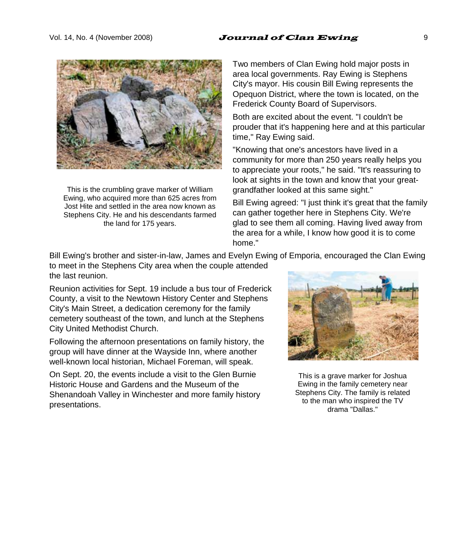#### Vol. 14, No. 4 (November 2008)  $Journal$  of Clan Ewing  $9$



This is the crumbling grave marker of William Ewing, who acquired more than 625 acres from Jost Hite and settled in the area now known as Stephens City. He and his descendants farmed the land for 175 years.

Two members of Clan Ewing hold major posts in area local governments. Ray Ewing is Stephens City's mayor. His cousin Bill Ewing represents the Opequon District, where the town is located, on the Frederick County Board of Supervisors.

Both are excited about the event. "I couldn't be prouder that it's happening here and at this particular time," Ray Ewing said.

"Knowing that one's ancestors have lived in a community for more than 250 years really helps you to appreciate your roots," he said. "It's reassuring to look at sights in the town and know that your greatgrandfather looked at this same sight."

Bill Ewing agreed: "I just think it's great that the family can gather together here in Stephens City. We're glad to see them all coming. Having lived away from the area for a while, I know how good it is to come home."

Bill Ewing's brother and sister-in-law, James and Evelyn Ewing of Emporia, encouraged the Clan Ewing to meet in the Stephens City area when the couple attended the last reunion.

Reunion activities for Sept. 19 include a bus tour of Frederick County, a visit to the Newtown History Center and Stephens City's Main Street, a dedication ceremony for the family cemetery southeast of the town, and lunch at the Stephens City United Methodist Church.

Following the afternoon presentations on family history, the group will have dinner at the Wayside Inn, where another well-known local historian, Michael Foreman, will speak.

On Sept. 20, the events include a visit to the Glen Burnie Historic House and Gardens and the Museum of the Shenandoah Valley in Winchester and more family history presentations.



This is a grave marker for Joshua Ewing in the family cemetery near Stephens City. The family is related to the man who inspired the TV drama "Dallas."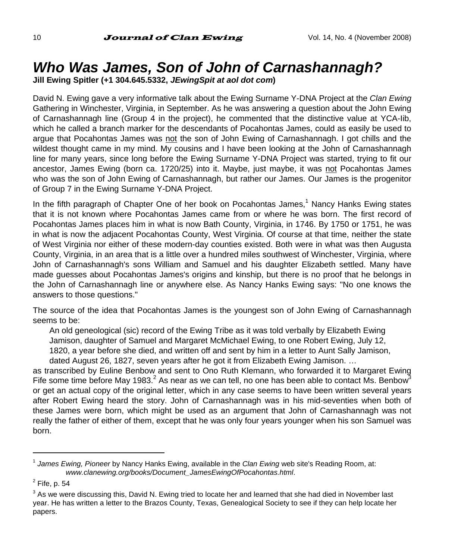# *Who Was James, Son of John of Carnashannagh?*

**Jill Ewing Spitler (+1 304.645.5332,** *JEwingSpit at aol dot com***)** 

David N. Ewing gave a very informative talk about the Ewing Surname Y-DNA Project at the *Clan Ewing* Gathering in Winchester, Virginia, in September. As he was answering a question about the John Ewing of Carnashannagh line (Group 4 in the project), he commented that the distinctive value at YCA-Iib, which he called a branch marker for the descendants of Pocahontas James, could as easily be used to argue that Pocahontas James was not the son of John Ewing of Carnashannagh. I got chills and the wildest thought came in my mind. My cousins and I have been looking at the John of Carnashannagh line for many years, since long before the Ewing Surname Y-DNA Project was started, trying to fit our ancestor, James Ewing (born ca. 1720/25) into it. Maybe, just maybe, it was not Pocahontas James who was the son of John Ewing of Carnashannagh, but rather our James. Our James is the progenitor of Group 7 in the Ewing Surname Y-DNA Project.

In the fifth paragraph of Chapter One of her book on Pocahontas James,<sup>1</sup> Nancy Hanks Ewing states that it is not known where Pocahontas James came from or where he was born. The first record of Pocahontas James places him in what is now Bath County, Virginia, in 1746. By 1750 or 1751, he was in what is now the adjacent Pocahontas County, West Virginia. Of course at that time, neither the state of West Virginia nor either of these modern-day counties existed. Both were in what was then Augusta County, Virginia, in an area that is a little over a hundred miles southwest of Winchester, Virginia, where John of Carnashannagh's sons William and Samuel and his daughter Elizabeth settled. Many have made guesses about Pocahontas James's origins and kinship, but there is no proof that he belongs in the John of Carnashannagh line or anywhere else. As Nancy Hanks Ewing says: "No one knows the answers to those questions."

The source of the idea that Pocahontas James is the youngest son of John Ewing of Carnashannagh seems to be:

An old geneological (sic) record of the Ewing Tribe as it was told verbally by Elizabeth Ewing Jamison, daughter of Samuel and Margaret McMichael Ewing, to one Robert Ewing, July 12, 1820, a year before she died, and written off and sent by him in a letter to Aunt Sally Jamison, dated August 26, 1827, seven years after he got it from Elizabeth Ewing Jamison. …

as transcribed by Euline Benbow and sent to Ono Ruth Klemann, who forwarded it to Margaret Ewing Fife some time before May 1983.<sup>2</sup> As near as we can tell, no one has been able to contact Ms. Benbow<sup>3</sup> or get an actual copy of the original letter, which in any case seems to have been written several years after Robert Ewing heard the story. John of Carnashannagh was in his mid-seventies when both of these James were born, which might be used as an argument that John of Carnashannagh was not really the father of either of them, except that he was only four years younger when his son Samuel was born.

<sup>1</sup> *James Ewing, Pioneer* by Nancy Hanks Ewing, available in the *Clan Ewing* web site's Reading Room, at: *www.clanewing.org/books/Document\_JamesEwingOfPocahontas.html*.

 $<sup>2</sup>$  Fife, p. 54</sup>

 $3$  As we were discussing this, David N. Ewing tried to locate her and learned that she had died in November last year. He has written a letter to the Brazos County, Texas, Genealogical Society to see if they can help locate her papers.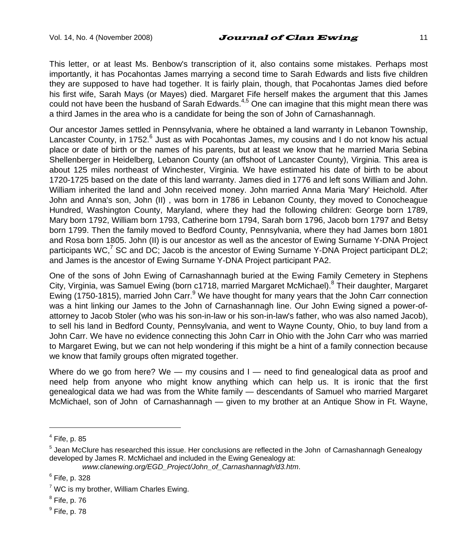This letter, or at least Ms. Benbow's transcription of it, also contains some mistakes. Perhaps most importantly, it has Pocahontas James marrying a second time to Sarah Edwards and lists five children they are supposed to have had together. It is fairly plain, though, that Pocahontas James died before his first wife, Sarah Mays (or Mayes) died. Margaret Fife herself makes the argument that this James could not have been the husband of Sarah Edwards.<sup>4,5</sup> One can imagine that this might mean there was a third James in the area who is a candidate for being the son of John of Carnashannagh.

Our ancestor James settled in Pennsylvania, where he obtained a land warranty in Lebanon Township, Lancaster County, in 1752. $^6$  Just as with Pocahontas James, my cousins and I do not know his actual place or date of birth or the names of his parents, but at least we know that he married Maria Sebina Shellenberger in Heidelberg, Lebanon County (an offshoot of Lancaster County), Virginia. This area is about 125 miles northeast of Winchester, Virginia. We have estimated his date of birth to be about 1720-1725 based on the date of this land warranty. James died in 1776 and left sons William and John. William inherited the land and John received money. John married Anna Maria 'Mary' Heichold. After John and Anna's son, John (II) , was born in 1786 in Lebanon County, they moved to Conocheague Hundred, Washington County, Maryland, where they had the following children: George born 1789, Mary born 1792, William born 1793, Catherine born 1794, Sarah born 1796, Jacob born 1797 and Betsy born 1799. Then the family moved to Bedford County, Pennsylvania, where they had James born 1801 and Rosa born 1805. John (II) is our ancestor as well as the ancestor of Ewing Surname Y-DNA Project participants WC,<sup>7</sup> SC and DC; Jacob is the ancestor of Ewing Surname Y-DNA Project participant DL2; and James is the ancestor of Ewing Surname Y-DNA Project participant PA2.

One of the sons of John Ewing of Carnashannagh buried at the Ewing Family Cemetery in Stephens City, Virginia, was Samuel Ewing (born c1718, married Margaret McMichael).<sup>8</sup> Their daughter, Margaret Ewing (1750-1815), married John Carr.<sup>9</sup> We have thought for many years that the John Carr connection was a hint linking our James to the John of Carnashannagh line. Our John Ewing signed a power-ofattorney to Jacob Stoler (who was his son-in-law or his son-in-law's father, who was also named Jacob), to sell his land in Bedford County, Pennsylvania, and went to Wayne County, Ohio, to buy land from a John Carr. We have no evidence connecting this John Carr in Ohio with the John Carr who was married to Margaret Ewing, but we can not help wondering if this might be a hint of a family connection because we know that family groups often migrated together.

Where do we go from here? We — my cousins and  $I$  — need to find genealogical data as proof and need help from anyone who might know anything which can help us. It is ironic that the first genealogical data we had was from the White family — descendants of Samuel who married Margaret McMichael, son of John of Carnashannagh — given to my brother at an Antique Show in Ft. Wayne,

 $<sup>4</sup>$  Fife, p. 85</sup>

<sup>&</sup>lt;sup>5</sup> Jean McClure has researched this issue. Her conclusions are reflected in the John of Carnashannagh Genealogy developed by James R. McMichael and included in the Ewing Genealogy at:

*www.clanewing.org/EGD\_Project/John\_of\_Carnashannagh/d3.htm*.

 $^6$  Fife, p. 328

 $7$  WC is my brother, William Charles Ewing.

 $^8$  Fife, p. 76

 $^9$  Fife, p. 78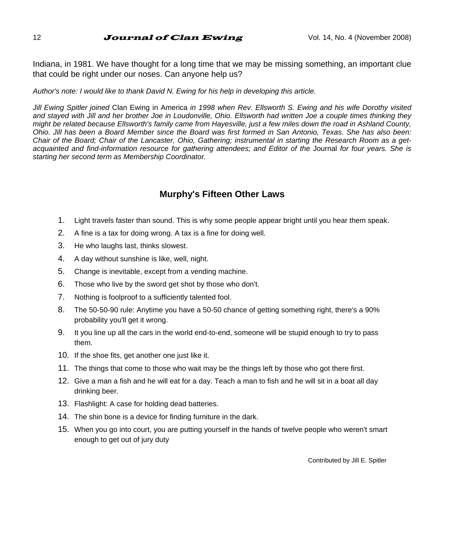#### 12 **Journal of Clan Ewing**  $V$ ol. 14, No. 4 (November 2008)

Indiana, in 1981. We have thought for a long time that we may be missing something, an important clue that could be right under our noses. Can anyone help us?

#### *Author's note: I would like to thank David N. Ewing for his help in developing this article.*

*Jill Ewing Spitler joined* Clan Ewing in America *in 1998 when Rev. Ellsworth S. Ewing and his wife Dorothy visited and stayed with Jill and her brother Joe in Loudonville, Ohio. Ellsworth had written Joe a couple times thinking they might be related because Ellsworth's family came from Hayesville, just a few miles down the road in Ashland County, Ohio. Jill has been a Board Member since the Board was first formed in San Antonio, Texas. She has also been: Chair of the Board; Chair of the Lancaster, Ohio, Gathering; instrumental in starting the Research Room as a getacquainted and find-information resource for gathering attendees; and Editor of the* Journal *for four years. She is starting her second term as Membership Coordinator.*

#### **Murphy's Fifteen Other Laws**

- 1. Light travels faster than sound. This is why some people appear bright until you hear them speak.
- 2. A fine is a tax for doing wrong. A tax is a fine for doing well.
- 3. He who laughs last, thinks slowest.
- 4. A day without sunshine is like, well, night.
- 5. Change is inevitable, except from a vending machine.
- 6. Those who live by the sword get shot by those who don't.
- 7. Nothing is foolproof to a sufficiently talented fool.
- 8. The 50-50-90 rule: Anytime you have a 50-50 chance of getting something right, there's a 90% probability you'll get it wrong.
- 9. It you line up all the cars in the world end-to-end, someone will be stupid enough to try to pass them.
- 10. If the shoe fits, get another one just like it.
- 11. The things that come to those who wait may be the things left by those who got there first.
- 12. Give a man a fish and he will eat for a day. Teach a man to fish and he will sit in a boat all day drinking beer.
- 13. Flashlight: A case for holding dead batteries.
- 14. The shin bone is a device for finding furniture in the dark.
- 15. When you go into court, you are putting yourself in the hands of twelve people who weren't smart enough to get out of jury duty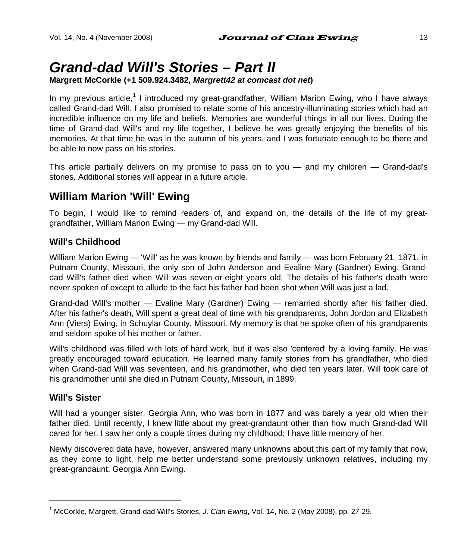# *Grand-dad Will's Stories – Part II*

#### **Margrett McCorkle (+1 509.924.3482,** *Margrett42 at comcast dot net***)**

In my previous article,<sup>1</sup> I introduced my great-grandfather, William Marion Ewing, who I have always called Grand-dad Will. I also promised to relate some of his ancestry-illuminating stories which had an incredible influence on my life and beliefs. Memories are wonderful things in all our lives. During the time of Grand-dad Will's and my life together, I believe he was greatly enjoying the benefits of his memories. At that time he was in the autumn of his years, and I was fortunate enough to be there and be able to now pass on his stories.

This article partially delivers on my promise to pass on to you — and my children — Grand-dad's stories. Additional stories will appear in a future article.

### **William Marion 'Will' Ewing**

To begin, I would like to remind readers of, and expand on, the details of the life of my greatgrandfather, William Marion Ewing — my Grand-dad Will.

#### **Will's Childhood**

William Marion Ewing — 'Will' as he was known by friends and family — was born February 21, 1871, in Putnam County, Missouri, the only son of John Anderson and Evaline Mary (Gardner) Ewing. Granddad Will's father died when Will was seven-or-eight years old. The details of his father's death were never spoken of except to allude to the fact his father had been shot when Will was just a lad.

Grand-dad Will's mother — Evaline Mary (Gardner) Ewing — remarried shortly after his father died. After his father's death, Will spent a great deal of time with his grandparents, John Jordon and Elizabeth Ann (Viers) Ewing, in Schuylar County, Missouri. My memory is that he spoke often of his grandparents and seldom spoke of his mother or father.

Will's childhood was filled with lots of hard work, but it was also 'centered' by a loving family. He was greatly encouraged toward education. He learned many family stories from his grandfather, who died when Grand-dad Will was seventeen, and his grandmother, who died ten years later. Will took care of his grandmother until she died in Putnam County, Missouri, in 1899.

#### **Will's Sister**

l

Will had a younger sister, Georgia Ann, who was born in 1877 and was barely a year old when their father died. Until recently, I knew little about my great-grandaunt other than how much Grand-dad Will cared for her. I saw her only a couple times during my childhood; I have little memory of her.

Newly discovered data have, however, answered many unknowns about this part of my family that now, as they come to light, help me better understand some previously unknown relatives, including my great-grandaunt, Georgia Ann Ewing.

<sup>1</sup> McCorkle, Margrett. Grand-dad Will's Stories, *J. Clan Ewing*, Vol. 14, No. 2 (May 2008), pp. 27-29.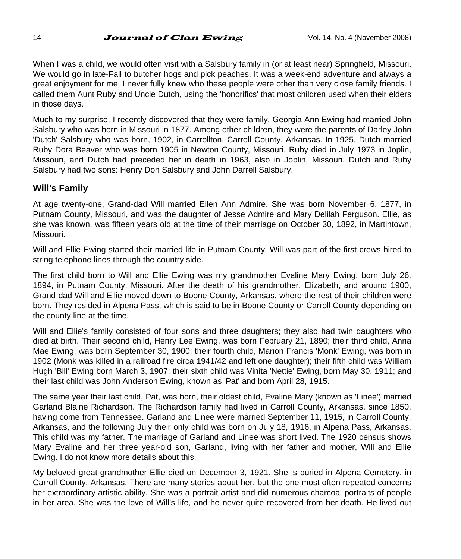When I was a child, we would often visit with a Salsbury family in (or at least near) Springfield, Missouri. We would go in late-Fall to butcher hogs and pick peaches. It was a week-end adventure and always a great enjoyment for me. I never fully knew who these people were other than very close family friends. I called them Aunt Ruby and Uncle Dutch, using the 'honorifics' that most children used when their elders in those days.

Much to my surprise, I recently discovered that they were family. Georgia Ann Ewing had married John Salsbury who was born in Missouri in 1877. Among other children, they were the parents of Darley John 'Dutch' Salsbury who was born, 1902, in Carrollton, Carroll County, Arkansas. In 1925, Dutch married Ruby Dora Beaver who was born 1905 in Newton County, Missouri. Ruby died in July 1973 in Joplin, Missouri, and Dutch had preceded her in death in 1963, also in Joplin, Missouri. Dutch and Ruby Salsbury had two sons: Henry Don Salsbury and John Darrell Salsbury.

#### **Will's Family**

At age twenty-one, Grand-dad Will married Ellen Ann Admire. She was born November 6, 1877, in Putnam County, Missouri, and was the daughter of Jesse Admire and Mary Delilah Ferguson. Ellie, as she was known, was fifteen years old at the time of their marriage on October 30, 1892, in Martintown, Missouri.

Will and Ellie Ewing started their married life in Putnam County. Will was part of the first crews hired to string telephone lines through the country side.

The first child born to Will and Ellie Ewing was my grandmother Evaline Mary Ewing, born July 26, 1894, in Putnam County, Missouri. After the death of his grandmother, Elizabeth, and around 1900, Grand-dad Will and Ellie moved down to Boone County, Arkansas, where the rest of their children were born. They resided in Alpena Pass, which is said to be in Boone County or Carroll County depending on the county line at the time.

Will and Ellie's family consisted of four sons and three daughters; they also had twin daughters who died at birth. Their second child, Henry Lee Ewing, was born February 21, 1890; their third child, Anna Mae Ewing, was born September 30, 1900; their fourth child, Marion Francis 'Monk' Ewing, was born in 1902 (Monk was killed in a railroad fire circa 1941/42 and left one daughter); their fifth child was William Hugh 'Bill' Ewing born March 3, 1907; their sixth child was Vinita 'Nettie' Ewing, born May 30, 1911; and their last child was John Anderson Ewing, known as 'Pat' and born April 28, 1915.

The same year their last child, Pat, was born, their oldest child, Evaline Mary (known as 'Linee') married Garland Blaine Richardson. The Richardson family had lived in Carroll County, Arkansas, since 1850, having come from Tennessee. Garland and Linee were married September 11, 1915, in Carroll County, Arkansas, and the following July their only child was born on July 18, 1916, in Alpena Pass, Arkansas. This child was my father. The marriage of Garland and Linee was short lived. The 1920 census shows Mary Evaline and her three year-old son, Garland, living with her father and mother, Will and Ellie Ewing. I do not know more details about this.

My beloved great-grandmother Ellie died on December 3, 1921. She is buried in Alpena Cemetery, in Carroll County, Arkansas. There are many stories about her, but the one most often repeated concerns her extraordinary artistic ability. She was a portrait artist and did numerous charcoal portraits of people in her area. She was the love of Will's life, and he never quite recovered from her death. He lived out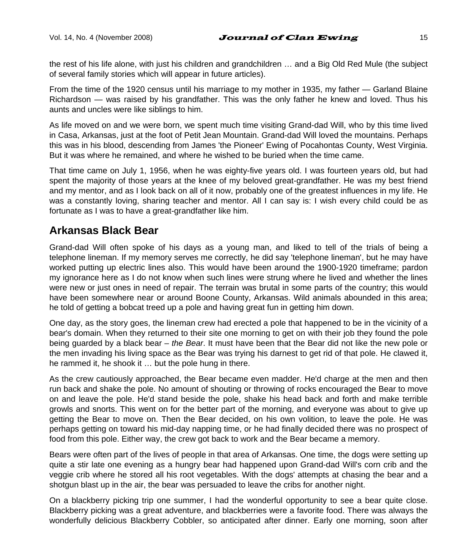the rest of his life alone, with just his children and grandchildren … and a Big Old Red Mule (the subject of several family stories which will appear in future articles).

From the time of the 1920 census until his marriage to my mother in 1935, my father — Garland Blaine Richardson — was raised by his grandfather. This was the only father he knew and loved. Thus his aunts and uncles were like siblings to him.

As life moved on and we were born, we spent much time visiting Grand-dad Will, who by this time lived in Casa, Arkansas, just at the foot of Petit Jean Mountain. Grand-dad Will loved the mountains. Perhaps this was in his blood, descending from James 'the Pioneer' Ewing of Pocahontas County, West Virginia. But it was where he remained, and where he wished to be buried when the time came.

That time came on July 1, 1956, when he was eighty-five years old. I was fourteen years old, but had spent the majority of those years at the knee of my beloved great-grandfather. He was my best friend and my mentor, and as I look back on all of it now, probably one of the greatest influences in my life. He was a constantly loving, sharing teacher and mentor. All I can say is: I wish every child could be as fortunate as I was to have a great-grandfather like him.

## **Arkansas Black Bear**

Grand-dad Will often spoke of his days as a young man, and liked to tell of the trials of being a telephone lineman. If my memory serves me correctly, he did say 'telephone lineman', but he may have worked putting up electric lines also. This would have been around the 1900-1920 timeframe; pardon my ignorance here as I do not know when such lines were strung where he lived and whether the lines were new or just ones in need of repair. The terrain was brutal in some parts of the country; this would have been somewhere near or around Boone County, Arkansas. Wild animals abounded in this area; he told of getting a bobcat treed up a pole and having great fun in getting him down.

One day, as the story goes, the lineman crew had erected a pole that happened to be in the vicinity of a bear's domain. When they returned to their site one morning to get on with their job they found the pole being guarded by a black bear – *the Bear*. It must have been that the Bear did not like the new pole or the men invading his living space as the Bear was trying his darnest to get rid of that pole. He clawed it, he rammed it, he shook it … but the pole hung in there.

As the crew cautiously approached, the Bear became even madder. He'd charge at the men and then run back and shake the pole. No amount of shouting or throwing of rocks encouraged the Bear to move on and leave the pole. He'd stand beside the pole, shake his head back and forth and make terrible growls and snorts. This went on for the better part of the morning, and everyone was about to give up getting the Bear to move on. Then the Bear decided, on his own volition, to leave the pole. He was perhaps getting on toward his mid-day napping time, or he had finally decided there was no prospect of food from this pole. Either way, the crew got back to work and the Bear became a memory.

Bears were often part of the lives of people in that area of Arkansas. One time, the dogs were setting up quite a stir late one evening as a hungry bear had happened upon Grand-dad Will's corn crib and the veggie crib where he stored all his root vegetables. With the dogs' attempts at chasing the bear and a shotgun blast up in the air, the bear was persuaded to leave the cribs for another night.

On a blackberry picking trip one summer, I had the wonderful opportunity to see a bear quite close. Blackberry picking was a great adventure, and blackberries were a favorite food. There was always the wonderfully delicious Blackberry Cobbler, so anticipated after dinner. Early one morning, soon after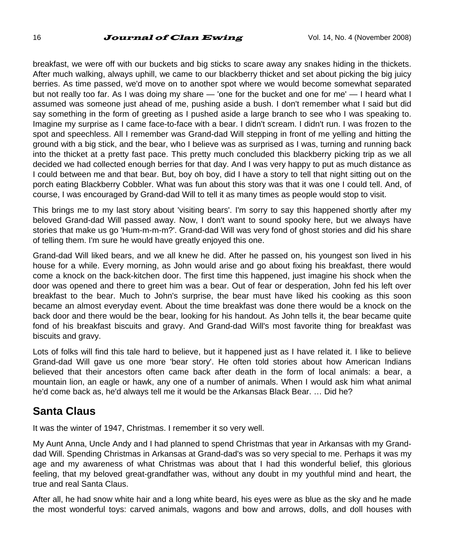#### 16 **Journal of Clan Ewing**  $V$ ol. 14, No. 4 (November 2008)

breakfast, we were off with our buckets and big sticks to scare away any snakes hiding in the thickets. After much walking, always uphill, we came to our blackberry thicket and set about picking the big juicy berries. As time passed, we'd move on to another spot where we would become somewhat separated but not really too far. As I was doing my share — 'one for the bucket and one for me' — I heard what I assumed was someone just ahead of me, pushing aside a bush. I don't remember what I said but did say something in the form of greeting as I pushed aside a large branch to see who I was speaking to. Imagine my surprise as I came face-to-face with a bear. I didn't scream. I didn't run. I was frozen to the spot and speechless. All I remember was Grand-dad Will stepping in front of me yelling and hitting the ground with a big stick, and the bear, who I believe was as surprised as I was, turning and running back into the thicket at a pretty fast pace. This pretty much concluded this blackberry picking trip as we all decided we had collected enough berries for that day. And I was very happy to put as much distance as I could between me and that bear. But, boy oh boy, did I have a story to tell that night sitting out on the porch eating Blackberry Cobbler. What was fun about this story was that it was one I could tell. And, of course, I was encouraged by Grand-dad Will to tell it as many times as people would stop to visit.

This brings me to my last story about 'visiting bears'. I'm sorry to say this happened shortly after my beloved Grand-dad Will passed away. Now, I don't want to sound spooky here, but we always have stories that make us go 'Hum-m-m-m?'. Grand-dad Will was very fond of ghost stories and did his share of telling them. I'm sure he would have greatly enjoyed this one.

Grand-dad Will liked bears, and we all knew he did. After he passed on, his youngest son lived in his house for a while. Every morning, as John would arise and go about fixing his breakfast, there would come a knock on the back-kitchen door. The first time this happened, just imagine his shock when the door was opened and there to greet him was a bear. Out of fear or desperation, John fed his left over breakfast to the bear. Much to John's surprise, the bear must have liked his cooking as this soon became an almost everyday event. About the time breakfast was done there would be a knock on the back door and there would be the bear, looking for his handout. As John tells it, the bear became quite fond of his breakfast biscuits and gravy. And Grand-dad Will's most favorite thing for breakfast was biscuits and gravy.

Lots of folks will find this tale hard to believe, but it happened just as I have related it. I like to believe Grand-dad Will gave us one more 'bear story'. He often told stories about how American Indians believed that their ancestors often came back after death in the form of local animals: a bear, a mountain lion, an eagle or hawk, any one of a number of animals. When I would ask him what animal he'd come back as, he'd always tell me it would be the Arkansas Black Bear. … Did he?

### **Santa Claus**

It was the winter of 1947, Christmas. I remember it so very well.

My Aunt Anna, Uncle Andy and I had planned to spend Christmas that year in Arkansas with my Granddad Will. Spending Christmas in Arkansas at Grand-dad's was so very special to me. Perhaps it was my age and my awareness of what Christmas was about that I had this wonderful belief, this glorious feeling, that my beloved great-grandfather was, without any doubt in my youthful mind and heart, the true and real Santa Claus.

After all, he had snow white hair and a long white beard, his eyes were as blue as the sky and he made the most wonderful toys: carved animals, wagons and bow and arrows, dolls, and doll houses with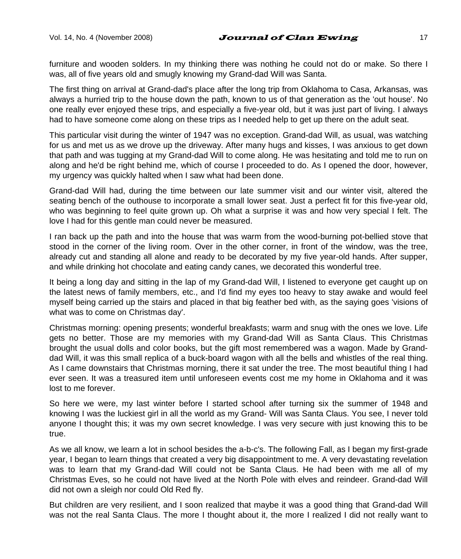furniture and wooden solders. In my thinking there was nothing he could not do or make. So there I was, all of five years old and smugly knowing my Grand-dad Will was Santa.

The first thing on arrival at Grand-dad's place after the long trip from Oklahoma to Casa, Arkansas, was always a hurried trip to the house down the path, known to us of that generation as the 'out house'. No one really ever enjoyed these trips, and especially a five-year old, but it was just part of living. I always had to have someone come along on these trips as I needed help to get up there on the adult seat.

This particular visit during the winter of 1947 was no exception. Grand-dad Will, as usual, was watching for us and met us as we drove up the driveway. After many hugs and kisses, I was anxious to get down that path and was tugging at my Grand-dad Will to come along. He was hesitating and told me to run on along and he'd be right behind me, which of course I proceeded to do. As I opened the door, however, my urgency was quickly halted when I saw what had been done.

Grand-dad Will had, during the time between our late summer visit and our winter visit, altered the seating bench of the outhouse to incorporate a small lower seat. Just a perfect fit for this five-year old, who was beginning to feel quite grown up. Oh what a surprise it was and how very special I felt. The love I had for this gentle man could never be measured.

I ran back up the path and into the house that was warm from the wood-burning pot-bellied stove that stood in the corner of the living room. Over in the other corner, in front of the window, was the tree, already cut and standing all alone and ready to be decorated by my five year-old hands. After supper, and while drinking hot chocolate and eating candy canes, we decorated this wonderful tree.

It being a long day and sitting in the lap of my Grand-dad Will, I listened to everyone get caught up on the latest news of family members, etc., and I'd find my eyes too heavy to stay awake and would feel myself being carried up the stairs and placed in that big feather bed with, as the saying goes 'visions of what was to come on Christmas day'.

Christmas morning: opening presents; wonderful breakfasts; warm and snug with the ones we love. Life gets no better. Those are my memories with my Grand-dad Will as Santa Claus. This Christmas brought the usual dolls and color books, but the gift most remembered was a wagon. Made by Granddad Will, it was this small replica of a buck-board wagon with all the bells and whistles of the real thing. As I came downstairs that Christmas morning, there it sat under the tree. The most beautiful thing I had ever seen. It was a treasured item until unforeseen events cost me my home in Oklahoma and it was lost to me forever.

So here we were, my last winter before I started school after turning six the summer of 1948 and knowing I was the luckiest girl in all the world as my Grand- Will was Santa Claus. You see, I never told anyone I thought this; it was my own secret knowledge. I was very secure with just knowing this to be true.

As we all know, we learn a lot in school besides the a-b-c's. The following Fall, as I began my first-grade year, I began to learn things that created a very big disappointment to me. A very devastating revelation was to learn that my Grand-dad Will could not be Santa Claus. He had been with me all of my Christmas Eves, so he could not have lived at the North Pole with elves and reindeer. Grand-dad Will did not own a sleigh nor could Old Red fly.

But children are very resilient, and I soon realized that maybe it was a good thing that Grand-dad Will was not the real Santa Claus. The more I thought about it, the more I realized I did not really want to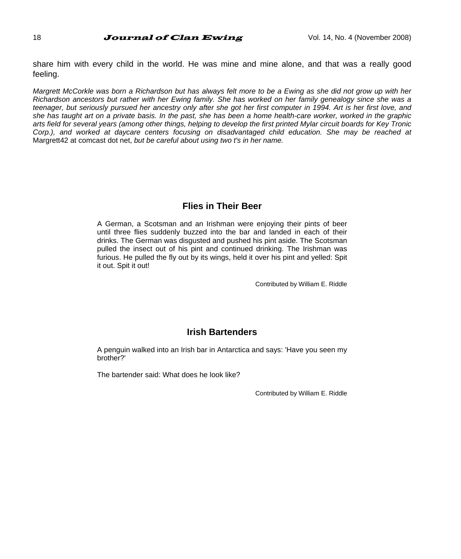share him with every child in the world. He was mine and mine alone, and that was a really good feeling.

*Margrett McCorkle was born a Richardson but has always felt more to be a Ewing as she did not grow up with her Richardson ancestors but rather with her Ewing family. She has worked on her family genealogy since she was a teenager, but seriously pursued her ancestry only after she got her first computer in 1994. Art is her first love, and she has taught art on a private basis. In the past, she has been a home health-care worker, worked in the graphic arts field for several years (among other things, helping to develop the first printed Mylar circuit boards for Key Tronic*  Corp.), and worked at daycare centers focusing on disadvantaged child education. She may be reached at Margrett42 at comcast dot net, *but be careful about using two t's in her name.*

#### **Flies in Their Beer**

A German, a Scotsman and an Irishman were enjoying their pints of beer until three flies suddenly buzzed into the bar and landed in each of their drinks. The German was disgusted and pushed his pint aside. The Scotsman pulled the insect out of his pint and continued drinking. The Irishman was furious. He pulled the fly out by its wings, held it over his pint and yelled: Spit it out. Spit it out!

Contributed by William E. Riddle

#### **Irish Bartenders**

A penguin walked into an Irish bar in Antarctica and says: 'Have you seen my brother?'

The bartender said: What does he look like?

Contributed by William E. Riddle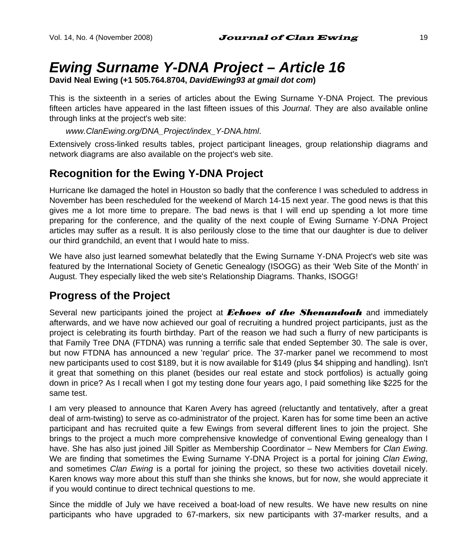# *Ewing Surname Y-DNA Project – Article 16*

**David Neal Ewing (+1 505.764.8704,** *DavidEwing93 at gmail dot com***)** 

This is the sixteenth in a series of articles about the Ewing Surname Y-DNA Project. The previous fifteen articles have appeared in the last fifteen issues of this *Journal*. They are also available online through links at the project's web site:

#### *www.ClanEwing.org/DNA\_Project/index\_Y-DNA.html*.

Extensively cross-linked results tables, project participant lineages, group relationship diagrams and network diagrams are also available on the project's web site.

# **Recognition for the Ewing Y-DNA Project**

Hurricane Ike damaged the hotel in Houston so badly that the conference I was scheduled to address in November has been rescheduled for the weekend of March 14-15 next year. The good news is that this gives me a lot more time to prepare. The bad news is that I will end up spending a lot more time preparing for the conference, and the quality of the next couple of Ewing Surname Y-DNA Project articles may suffer as a result. It is also perilously close to the time that our daughter is due to deliver our third grandchild, an event that I would hate to miss.

We have also just learned somewhat belatedly that the Ewing Surname Y-DNA Project's web site was featured by the International Society of Genetic Genealogy (ISOGG) as their 'Web Site of the Month' in August. They especially liked the web site's Relationship Diagrams. Thanks, ISOGG!

## **Progress of the Project**

Several new participants joined the project at *Echoes of the Shenandoah* and immediately afterwards, and we have now achieved our goal of recruiting a hundred project participants, just as the project is celebrating its fourth birthday. Part of the reason we had such a flurry of new participants is that Family Tree DNA (FTDNA) was running a terrific sale that ended September 30. The sale is over, but now FTDNA has announced a new 'regular' price. The 37-marker panel we recommend to most new participants used to cost \$189, but it is now available for \$149 (plus \$4 shipping and handling). Isn't it great that something on this planet (besides our real estate and stock portfolios) is actually going down in price? As I recall when I got my testing done four years ago, I paid something like \$225 for the same test.

I am very pleased to announce that Karen Avery has agreed (reluctantly and tentatively, after a great deal of arm-twisting) to serve as co-administrator of the project. Karen has for some time been an active participant and has recruited quite a few Ewings from several different lines to join the project. She brings to the project a much more comprehensive knowledge of conventional Ewing genealogy than I have. She has also just joined Jill Spitler as Membership Coordinator – New Members for *Clan Ewing*. We are finding that sometimes the Ewing Surname Y-DNA Project is a portal for joining *Clan Ewing*, and sometimes *Clan Ewing* is a portal for joining the project, so these two activities dovetail nicely. Karen knows way more about this stuff than she thinks she knows, but for now, she would appreciate it if you would continue to direct technical questions to me.

Since the middle of July we have received a boat-load of new results. We have new results on nine participants who have upgraded to 67-markers, six new participants with 37-marker results, and a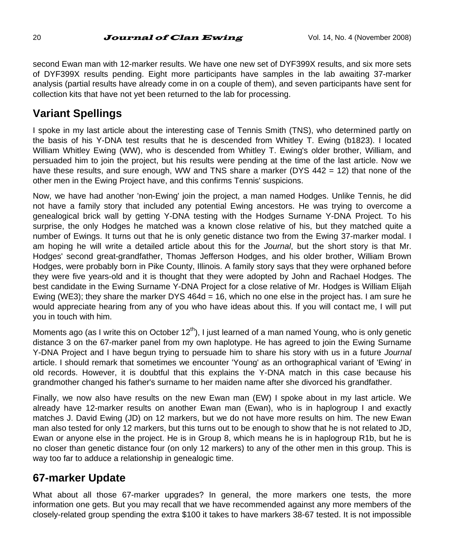second Ewan man with 12-marker results. We have one new set of DYF399X results, and six more sets of DYF399X results pending. Eight more participants have samples in the lab awaiting 37-marker analysis (partial results have already come in on a couple of them), and seven participants have sent for collection kits that have not yet been returned to the lab for processing.

# **Variant Spellings**

I spoke in my last article about the interesting case of Tennis Smith (TNS), who determined partly on the basis of his Y-DNA test results that he is descended from Whitley T. Ewing (b1823). I located William Whitley Ewing (WW), who is descended from Whitley T. Ewing's older brother, William, and persuaded him to join the project, but his results were pending at the time of the last article. Now we have these results, and sure enough, WW and TNS share a marker (DYS 442 = 12) that none of the other men in the Ewing Project have, and this confirms Tennis' suspicions.

Now, we have had another 'non-Ewing' join the project, a man named Hodges. Unlike Tennis, he did not have a family story that included any potential Ewing ancestors. He was trying to overcome a genealogical brick wall by getting Y-DNA testing with the Hodges Surname Y-DNA Project. To his surprise, the only Hodges he matched was a known close relative of his, but they matched quite a number of Ewings. It turns out that he is only genetic distance two from the Ewing 37-marker modal. I am hoping he will write a detailed article about this for the *Journal*, but the short story is that Mr. Hodges' second great-grandfather, Thomas Jefferson Hodges, and his older brother, William Brown Hodges, were probably born in Pike County, Illinois. A family story says that they were orphaned before they were five years-old and it is thought that they were adopted by John and Rachael Hodges. The best candidate in the Ewing Surname Y-DNA Project for a close relative of Mr. Hodges is William Elijah Ewing (WE3); they share the marker DYS  $464d = 16$ , which no one else in the project has. I am sure he would appreciate hearing from any of you who have ideas about this. If you will contact me, I will put you in touch with him.

Moments ago (as I write this on October  $12<sup>th</sup>$ ), I just learned of a man named Young, who is only genetic distance 3 on the 67-marker panel from my own haplotype. He has agreed to join the Ewing Surname Y-DNA Project and I have begun trying to persuade him to share his story with us in a future *Journal* article. I should remark that sometimes we encounter 'Young' as an orthographical variant of 'Ewing' in old records. However, it is doubtful that this explains the Y-DNA match in this case because his grandmother changed his father's surname to her maiden name after she divorced his grandfather.

Finally, we now also have results on the new Ewan man (EW) I spoke about in my last article. We already have 12-marker results on another Ewan man (Ewan), who is in haplogroup I and exactly matches J. David Ewing (JD) on 12 markers, but we do not have more results on him. The new Ewan man also tested for only 12 markers, but this turns out to be enough to show that he is not related to JD, Ewan or anyone else in the project. He is in Group 8, which means he is in haplogroup R1b, but he is no closer than genetic distance four (on only 12 markers) to any of the other men in this group. This is way too far to adduce a relationship in genealogic time.

# **67-marker Update**

What about all those 67-marker upgrades? In general, the more markers one tests, the more information one gets. But you may recall that we have recommended against any more members of the closely-related group spending the extra \$100 it takes to have markers 38-67 tested. It is not impossible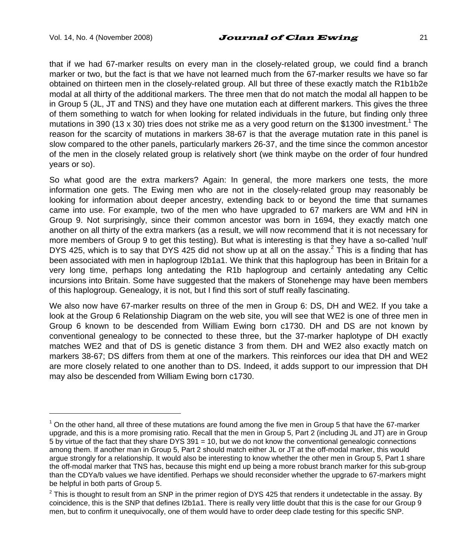l

#### Vol. 14, No. 4 (November 2008)  $Journal$  of Clan Ewing  $21$

that if we had 67-marker results on every man in the closely-related group, we could find a branch marker or two, but the fact is that we have not learned much from the 67-marker results we have so far obtained on thirteen men in the closely-related group. All but three of these exactly match the R1b1b2e modal at all thirty of the additional markers. The three men that do not match the modal all happen to be in Group 5 (JL, JT and TNS) and they have one mutation each at different markers. This gives the three of them something to watch for when looking for related individuals in the future, but finding only three mutations in 390 (13 x 30) tries does not strike me as a very good return on the \$1300 investment.<sup>1</sup> The reason for the scarcity of mutations in markers 38-67 is that the average mutation rate in this panel is slow compared to the other panels, particularly markers 26-37, and the time since the common ancestor of the men in the closely related group is relatively short (we think maybe on the order of four hundred years or so).

So what good are the extra markers? Again: In general, the more markers one tests, the more information one gets. The Ewing men who are not in the closely-related group may reasonably be looking for information about deeper ancestry, extending back to or beyond the time that surnames came into use. For example, two of the men who have upgraded to 67 markers are WM and HN in Group 9. Not surprisingly, since their common ancestor was born in 1694, they exactly match one another on all thirty of the extra markers (as a result, we will now recommend that it is not necessary for more members of Group 9 to get this testing). But what is interesting is that they have a so-called 'null' DYS 425, which is to say that DYS 425 did not show up at all on the assay.<sup>2</sup> This is a finding that has been associated with men in haplogroup I2b1a1. We think that this haplogroup has been in Britain for a very long time, perhaps long antedating the R1b haplogroup and certainly antedating any Celtic incursions into Britain. Some have suggested that the makers of Stonehenge may have been members of this haplogroup. Genealogy, it is not, but I find this sort of stuff really fascinating.

We also now have 67-marker results on three of the men in Group 6: DS, DH and WE2. If you take a look at the Group 6 Relationship Diagram on the web site, you will see that WE2 is one of three men in Group 6 known to be descended from William Ewing born c1730. DH and DS are not known by conventional genealogy to be connected to these three, but the 37-marker haplotype of DH exactly matches WE2 and that of DS is genetic distance 3 from them. DH and WE2 also exactly match on markers 38-67; DS differs from them at one of the markers. This reinforces our idea that DH and WE2 are more closely related to one another than to DS. Indeed, it adds support to our impression that DH may also be descended from William Ewing born c1730.

 $1$  On the other hand, all three of these mutations are found among the five men in Group 5 that have the 67-marker upgrade, and this is a more promising ratio. Recall that the men in Group 5, Part 2 (including JL and JT) are in Group 5 by virtue of the fact that they share DYS 391 = 10, but we do not know the conventional genealogic connections among them. If another man in Group 5, Part 2 should match either JL or JT at the off-modal marker, this would argue strongly for a relationship. It would also be interesting to know whether the other men in Group 5, Part 1 share the off-modal marker that TNS has, because this might end up being a more robust branch marker for this sub-group than the CDYa/b values we have identified. Perhaps we should reconsider whether the upgrade to 67-markers might be helpful in both parts of Group 5.

 $^2$  This is thought to result from an SNP in the primer region of DYS 425 that renders it undetectable in the assay. By coincidence, this is the SNP that defines I2b1a1. There is really very little doubt that this is the case for our Group 9 men, but to confirm it unequivocally, one of them would have to order deep clade testing for this specific SNP.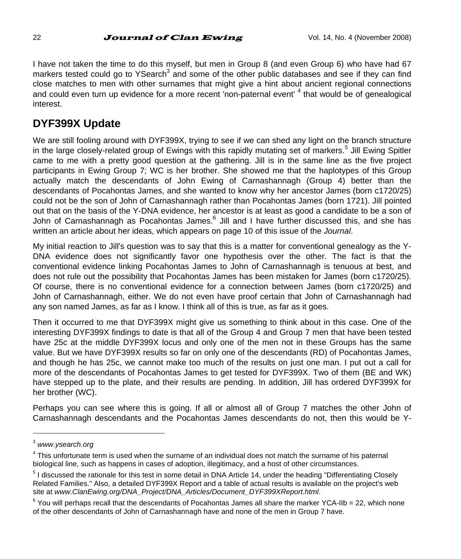I have not taken the time to do this myself, but men in Group 8 (and even Group 6) who have had 67 markers tested could go to YSearch<sup>3</sup> and some of the other public databases and see if they can find close matches to men with other surnames that might give a hint about ancient regional connections and could even turn up evidence for a more recent 'non-paternal event' <sup>4</sup> that would be of genealogical interest.

# **DYF399X Update**

We are still fooling around with DYF399X, trying to see if we can shed any light on the branch structure in the large closely-related group of Ewings with this rapidly mutating set of markers.<sup>5</sup> Jill Ewing Spitler came to me with a pretty good question at the gathering. Jill is in the same line as the five project participants in Ewing Group 7; WC is her brother. She showed me that the haplotypes of this Group actually match the descendants of John Ewing of Carnashannagh (Group 4) better than the descendants of Pocahontas James, and she wanted to know why her ancestor James (born c1720/25) could not be the son of John of Carnashannagh rather than Pocahontas James (born 1721). Jill pointed out that on the basis of the Y-DNA evidence, her ancestor is at least as good a candidate to be a son of John of Carnashannagh as Pocahontas James.<sup>6</sup> Jill and I have further discussed this, and she has written an article about her ideas, which appears on page 10 of this issue of the *Journal*.

My initial reaction to Jill's question was to say that this is a matter for conventional genealogy as the Y-DNA evidence does not significantly favor one hypothesis over the other. The fact is that the conventional evidence linking Pocahontas James to John of Carnashannagh is tenuous at best, and does not rule out the possibility that Pocahontas James has been mistaken for James (born c1720/25). Of course, there is no conventional evidence for a connection between James (born c1720/25) and John of Carnashannagh, either. We do not even have proof certain that John of Carnashannagh had any son named James, as far as I know. I think all of this is true, as far as it goes.

Then it occurred to me that DYF399X might give us something to think about in this case. One of the interesting DYF399X findings to date is that all of the Group 4 and Group 7 men that have been tested have 25c at the middle DYF399X locus and only one of the men not in these Groups has the same value. But we have DYF399X results so far on only one of the descendants (RD) of Pocahontas James, and though he has 25c, we cannot make too much of the results on just one man. I put out a call for more of the descendants of Pocahontas James to get tested for DYF399X. Two of them (BE and WK) have stepped up to the plate, and their results are pending. In addition, Jill has ordered DYF399X for her brother (WC).

Perhaps you can see where this is going. If all or almost all of Group 7 matches the other John of Carnashannagh descendants and the Pocahontas James descendants do not, then this would be Y-

<sup>3</sup> *www.ysearch.org*

<sup>4</sup> This unfortunate term is used when the surname of an individual does not match the surname of his paternal biological line, such as happens in cases of adoption, illegitimacy, and a host of other circumstances.

<sup>&</sup>lt;sup>5</sup> I discussed the rationale for this test in some detail in DNA Article 14, under the heading "Differentiating Closely Related Families." Also, a detailed DYF399X Report and a table of actual results is available on the project's web site at *www.ClanEwing.org/DNA\_Project/DNA\_Articles/Document\_DYF399XReport.html*.

 $6$  You will perhaps recall that the descendants of Pocahontas James all share the marker YCA-IIb = 22, which none of the other descendants of John of Carnashannagh have and none of the men in Group 7 have.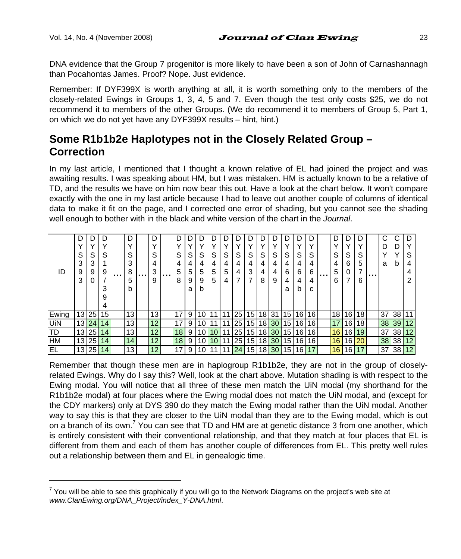l

DNA evidence that the Group 7 progenitor is more likely to have been a son of John of Carnashannagh than Pocahontas James. Proof? Nope. Just evidence.

Remember: If DYF399X is worth anything at all, it is worth something only to the members of the closely-related Ewings in Groups 1, 3, 4, 5 and 7. Even though the test only costs \$25, we do not recommend it to members of the other Groups. (We do recommend it to members of Group 5, Part 1, on which we do not yet have any DYF399X results – hint, hint.)

# **Some R1b1b2e Haplotypes not in the Closely Related Group – Correction**

In my last article, I mentioned that I thought a known relative of EL had joined the project and was awaiting results. I was speaking about HM, but I was mistaken. HM is actually known to be a relative of TD, and the results we have on him now bear this out. Have a look at the chart below. It won't compare exactly with the one in my last article because I had to leave out another couple of columns of identical data to make it fit on the page, and I corrected one error of shading, but you cannot see the shading well enough to bother with in the black and white version of the chart in the *Journal*.

| ID        | D<br>S<br>3<br>9<br>3 | S<br>3<br>9<br>0 | S<br>9<br>3<br>9 | . | D<br>$\checkmark$<br>S<br>ົ<br>8<br>5<br>b | . | D<br>S<br>3<br>9 | . | D<br>S<br>5<br>8 | S<br>4<br>5<br>9<br>a | S<br>4<br>5<br>9<br>b | S<br>4<br>5<br>5 | S<br>4<br>5<br>4 | г<br>S<br>4<br>4<br>7 | S<br>4<br>3<br>7 | S<br>4<br>8 | S<br>4<br>4<br>9 | S<br>4<br>6<br>4<br>a | S<br>4<br>6<br>4<br>b | v<br>S<br>6<br>4<br>C | $\cdots$ | n<br>v<br>S<br>4<br>5<br>6 | רו<br>S<br>6<br>0 | S<br>5<br>7<br>6 | . | C<br>D<br>a | b  | D<br>S<br>4<br>ົ |
|-----------|-----------------------|------------------|------------------|---|--------------------------------------------|---|------------------|---|------------------|-----------------------|-----------------------|------------------|------------------|-----------------------|------------------|-------------|------------------|-----------------------|-----------------------|-----------------------|----------|----------------------------|-------------------|------------------|---|-------------|----|------------------|
| Ewing     | 13                    | 25               | 15               |   | 13                                         |   | 13               |   | 17               | 9                     | 10                    |                  | 4                | 25                    | 15               | 18 31       |                  | 15 <sup>1</sup>       | 16                    | 16                    |          | 18                         | 16                | 18.              |   | 37          | 38 |                  |
| UiN       | 13                    | 24               | 14               |   | 13                                         |   | 12               |   | 17               | 9                     | 10                    |                  |                  | 25                    | 15               |             | 18 30            | 15 <sub>1</sub>       | 16 <sup>1</sup>       | 16                    |          | 17                         | 16                | 18.              |   | 38          | 39 | 12               |
| TD        | 13 <sup>1</sup>       | 25               | 14               |   | 13                                         |   | 12               |   | 18               | 9                     | 10                    | 10               | 11               | 25                    | 15 <sup>1</sup>  |             | 18 30            | 15 <sup>1</sup>       | 16                    | 16                    |          | 16                         | 16                | 19               |   | 37          | 38 | 12               |
| <b>HM</b> | 13 <sup>1</sup>       | 25               | 14               |   | 14                                         |   | 12               |   | 18               | 9                     | 10                    | 10               | 11               | 25                    | 15               |             | $18$ 30          | 15 <sup>1</sup>       | 16                    | 16                    |          | 16                         | 16                | 20               |   | 38          | 38 | 12               |
| <b>EL</b> | 13 <sub>1</sub>       | 25               | 14               |   | 13                                         |   | 12 <sup>°</sup>  |   | 17               | 9                     | 10                    |                  | 11               | 24                    | 15 <sub>l</sub>  |             | 18 30            | 151                   | 16                    |                       |          | 16                         | 16                | 17               |   | 37          | 38 | 12               |

Remember that though these men are in haplogroup R1b1b2e, they are not in the group of closelyrelated Ewings. Why do I say this? Well, look at the chart above. Mutation shading is with respect to the Ewing modal. You will notice that all three of these men match the UiN modal (my shorthand for the R1b1b2e modal) at four places where the Ewing modal does not match the UiN modal, and (except for the CDY markers) only at DYS 390 do they match the Ewing modal rather than the UiN modal. Another way to say this is that they are closer to the UiN modal than they are to the Ewing modal, which is out on a branch of its own.<sup>7</sup> You can see that TD and HM are at genetic distance 3 from one another, which is entirely consistent with their conventional relationship, and that they match at four places that EL is different from them and each of them has another couple of differences from EL. This pretty well rules out a relationship between them and EL in genealogic time.

 $^7$  You will be able to see this graphically if you will go to the Network Diagrams on the project's web site at *www.ClanEwing.org/DNA\_Project/index\_Y-DNA.html*.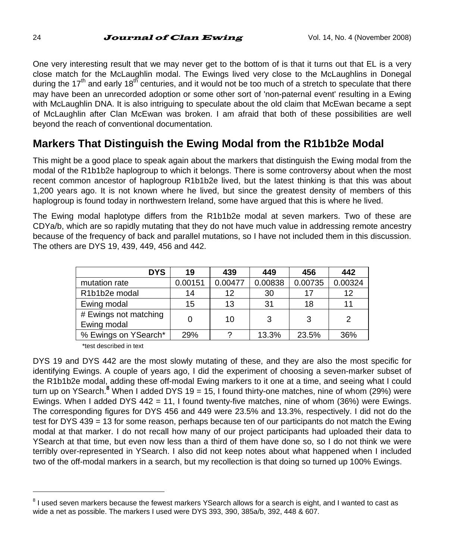One very interesting result that we may never get to the bottom of is that it turns out that EL is a very close match for the McLaughlin modal. The Ewings lived very close to the McLaughlins in Donegal during the 17<sup>th</sup> and early 18<sup>th</sup> centuries, and it would not be too much of a stretch to speculate that there may have been an unrecorded adoption or some other sort of 'non-paternal event' resulting in a Ewing with McLaughlin DNA. It is also intriguing to speculate about the old claim that McEwan became a sept of McLaughlin after Clan McEwan was broken. I am afraid that both of these possibilities are well beyond the reach of conventional documentation.

# **Markers That Distinguish the Ewing Modal from the R1b1b2e Modal**

This might be a good place to speak again about the markers that distinguish the Ewing modal from the modal of the R1b1b2e haplogroup to which it belongs. There is some controversy about when the most recent common ancestor of haplogroup R1b1b2e lived, but the latest thinking is that this was about 1,200 years ago. It is not known where he lived, but since the greatest density of members of this haplogroup is found today in northwestern Ireland, some have argued that this is where he lived.

The Ewing modal haplotype differs from the R1b1b2e modal at seven markers. Two of these are CDYa/b, which are so rapidly mutating that they do not have much value in addressing remote ancestry because of the frequency of back and parallel mutations, so I have not included them in this discussion. The others are DYS 19, 439, 449, 456 and 442.

| <b>DYS</b>                           | 19      | 439     | 449     | 456     | 442     |
|--------------------------------------|---------|---------|---------|---------|---------|
| mutation rate                        | 0.00151 | 0.00477 | 0.00838 | 0.00735 | 0.00324 |
| R1b1b2e modal                        | 14      | 12      | 30      |         | 12      |
| Ewing modal                          | 15      | 13      | 31      | 18      |         |
| # Ewings not matching<br>Ewing modal |         | 10      | 3       | 3       | 2       |
| % Ewings on YSearch*                 | 29%     |         | 13.3%   | 23.5%   | 36%     |

\*test described in text

DYS 19 and DYS 442 are the most slowly mutating of these, and they are also the most specific for identifying Ewings. A couple of years ago, I did the experiment of choosing a seven-marker subset of the R1b1b2e modal, adding these off-modal Ewing markers to it one at a time, and seeing what I could turn up on YSearch.<sup>8</sup> When I added DYS 19 = 15, I found thirty-one matches, nine of whom (29%) were Ewings. When I added DYS 442 = 11, I found twenty-five matches, nine of whom (36%) were Ewings. The corresponding figures for DYS 456 and 449 were 23.5% and 13.3%, respectively. I did not do the test for DYS 439 = 13 for some reason, perhaps because ten of our participants do not match the Ewing modal at that marker. I do not recall how many of our project participants had uploaded their data to YSearch at that time, but even now less than a third of them have done so, so I do not think we were terribly over-represented in YSearch. I also did not keep notes about what happened when I included two of the off-modal markers in a search, but my recollection is that doing so turned up 100% Ewings.

<sup>&</sup>lt;sup>8</sup> I used seven markers because the fewest markers YSearch allows for a search is eight, and I wanted to cast as wide a net as possible. The markers I used were DYS 393, 390, 385a/b, 392, 448 & 607.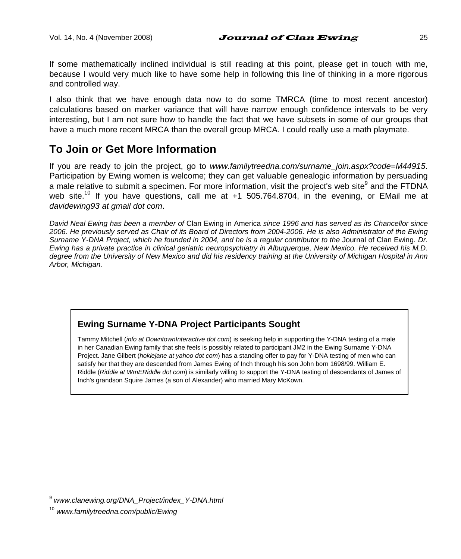If some mathematically inclined individual is still reading at this point, please get in touch with me, because I would very much like to have some help in following this line of thinking in a more rigorous and controlled way.

I also think that we have enough data now to do some TMRCA (time to most recent ancestor) calculations based on marker variance that will have narrow enough confidence intervals to be very interesting, but I am not sure how to handle the fact that we have subsets in some of our groups that have a much more recent MRCA than the overall group MRCA. I could really use a math playmate.

# **To Join or Get More Information**

If you are ready to join the project, go to *www.familytreedna.com/surname* join.aspx?code=M44915. Participation by Ewing women is welcome; they can get valuable genealogic information by persuading a male relative to submit a specimen. For more information, visit the project's web site<sup>9</sup> and the FTDNA web site.<sup>10</sup> If you have questions, call me at  $+1$  505.764.8704, in the evening, or EMail me at *davidewing93 at gmail dot com*.

*David Neal Ewing has been a member of* Clan Ewing in America *since 1996 and has served as its Chancellor since 2006. He previously served as Chair of its Board of Directors from 2004-2006. He is also Administrator of the Ewing Surname Y-DNA Project, which he founded in 2004, and he is a regular contributor to the* Journal of Clan Ewing*. Dr. Ewing has a private practice in clinical geriatric neuropsychiatry in Albuquerque, New Mexico. He received his M.D. degree from the University of New Mexico and did his residency training at the University of Michigan Hospital in Ann Arbor, Michigan.* 

### **Ewing Surname Y-DNA Project Participants Sought**

Tammy Mitchell (*info at DowntownInteractive dot com*) is seeking help in supporting the Y-DNA testing of a male in her Canadian Ewing family that she feels is possibly related to participant JM2 in the Ewing Surname Y-DNA Project. Jane Gilbert (*hokiejane at yahoo dot com*) has a standing offer to pay for Y-DNA testing of men who can satisfy her that they are descended from James Ewing of Inch through his son John born 1698/99. William E. Riddle (*Riddle at WmERiddle dot com*) is similarly willing to support the Y-DNA testing of descendants of James of Inch's grandson Squire James (a son of Alexander) who married Mary McKown.

<sup>9</sup> *www.clanewing.org/DNA\_Project/index\_Y-DNA.html*

<sup>10</sup> *www.familytreedna.com/public/Ewing*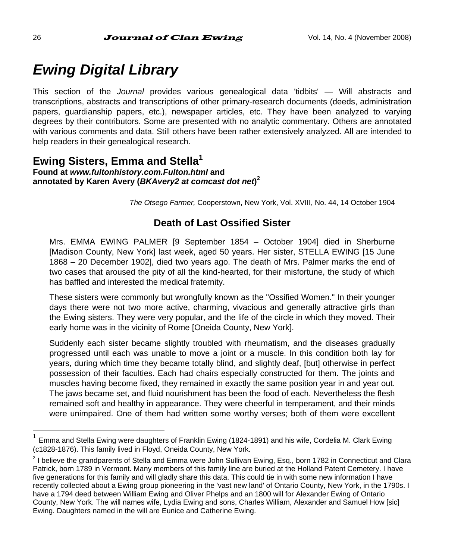# *Ewing Digital Library*

This section of the *Journal* provides various genealogical data 'tidbits' — Will abstracts and transcriptions, abstracts and transcriptions of other primary-research documents (deeds, administration papers, guardianship papers, etc.), newspaper articles, etc. They have been analyzed to varying degrees by their contributors. Some are presented with no analytic commentary. Others are annotated with various comments and data. Still others have been rather extensively analyzed. All are intended to help readers in their genealogical research.

#### **Ewing Sisters, Emma and Stella1 Found at** *www.fultonhistory.com.Fulton.html* **and annotated by Karen Avery (***BKAvery2 at comcast dot net***) 2**

*The Otsego Farmer,* Cooperstown, New York, Vol. XVIII, No. 44, 14 October 1904

### **Death of Last Ossified Sister**

Mrs. EMMA EWING PALMER [9 September 1854 – October 1904] died in Sherburne [Madison County, New York] last week, aged 50 years. Her sister, STELLA EWING [15 June 1868 – 20 December 1902], died two years ago. The death of Mrs. Palmer marks the end of two cases that aroused the pity of all the kind-hearted, for their misfortune, the study of which has baffled and interested the medical fraternity.

These sisters were commonly but wrongfully known as the "Ossified Women." In their younger days there were not two more active, charming, vivacious and generally attractive girls than the Ewing sisters. They were very popular, and the life of the circle in which they moved. Their early home was in the vicinity of Rome [Oneida County, New York].

Suddenly each sister became slightly troubled with rheumatism, and the diseases gradually progressed until each was unable to move a joint or a muscle. In this condition both lay for years, during which time they became totally blind, and slightly deaf, [but] otherwise in perfect possession of their faculties. Each had chairs especially constructed for them. The joints and muscles having become fixed, they remained in exactly the same position year in and year out. The jaws became set, and fluid nourishment has been the food of each. Nevertheless the flesh remained soft and healthy in appearance. They were cheerful in temperament, and their minds were unimpaired. One of them had written some worthy verses; both of them were excellent

<sup>1</sup> Emma and Stella Ewing were daughters of Franklin Ewing (1824-1891) and his wife, Cordelia M. Clark Ewing (c1828-1876). This family lived in Floyd, Oneida County, New York.

<sup>&</sup>lt;sup>2</sup> I believe the grandparents of Stella and Emma were John Sullivan Ewing, Esq., born 1782 in Connecticut and Clara Patrick, born 1789 in Vermont. Many members of this family line are buried at the Holland Patent Cemetery. I have five generations for this family and will gladly share this data. This could tie in with some new information I have recently collected about a Ewing group pioneering in the 'vast new land' of Ontario County, New York, in the 1790s. I have a 1794 deed between William Ewing and Oliver Phelps and an 1800 will for Alexander Ewing of Ontario County, New York. The will names wife, Lydia Ewing and sons, Charles William, Alexander and Samuel How [sic] Ewing. Daughters named in the will are Eunice and Catherine Ewing.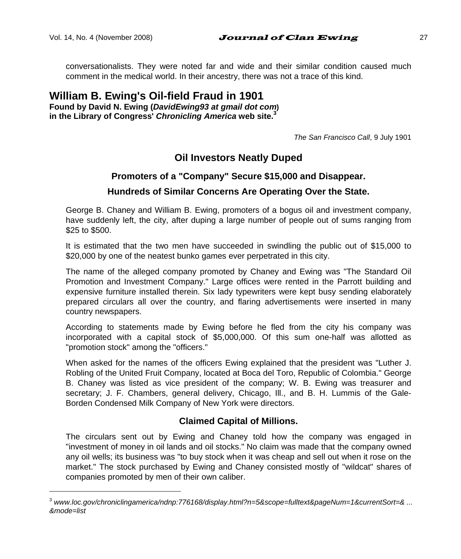l

conversationalists. They were noted far and wide and their similar condition caused much comment in the medical world. In their ancestry, there was not a trace of this kind.

### **William B. Ewing's Oil-field Fraud in 1901**

**Found by David N. Ewing (***DavidEwing93 at gmail dot com***) in the Library of Congress'** *Chronicling America* **web site.<sup>3</sup>**

*The San Francisco Call*, 9 July 1901

### **Oil Investors Neatly Duped**

#### **Promoters of a "Company" Secure \$15,000 and Disappear.**

#### **Hundreds of Similar Concerns Are Operating Over the State.**

George B. Chaney and William B. Ewing, promoters of a bogus oil and investment company, have suddenly left, the city, after duping a large number of people out of sums ranging from \$25 to \$500.

It is estimated that the two men have succeeded in swindling the public out of \$15,000 to \$20,000 by one of the neatest bunko games ever perpetrated in this city.

The name of the alleged company promoted by Chaney and Ewing was "The Standard Oil Promotion and Investment Company." Large offices were rented in the Parrott building and expensive furniture installed therein. Six lady typewriters were kept busy sending elaborately prepared circulars all over the country, and flaring advertisements were inserted in many country newspapers.

According to statements made by Ewing before he fled from the city his company was incorporated with a capital stock of \$5,000,000. Of this sum one-half was allotted as "promotion stock" among the "officers."

When asked for the names of the officers Ewing explained that the president was "Luther J. Robling of the United Fruit Company, located at Boca del Toro, Republic of Colombia." George B. Chaney was listed as vice president of the company; W. B. Ewing was treasurer and secretary; J. F. Chambers, general delivery, Chicago, Ill., and B. H. Lummis of the Gale-Borden Condensed Milk Company of New York were directors.

#### **Claimed Capital of Millions.**

The circulars sent out by Ewing and Chaney told how the company was engaged in "investment of money in oil lands and oil stocks." No claim was made that the company owned any oil wells; its business was "to buy stock when it was cheap and sell out when it rose on the market." The stock purchased by Ewing and Chaney consisted mostly of "wildcat" shares of companies promoted by men of their own caliber.

<sup>3</sup> www.loc.gov/chroniclingamerica/ndnp:776168/display.html?n=5&scope=fulltext&pageNum=1&currentSort=& ... *&mode=list*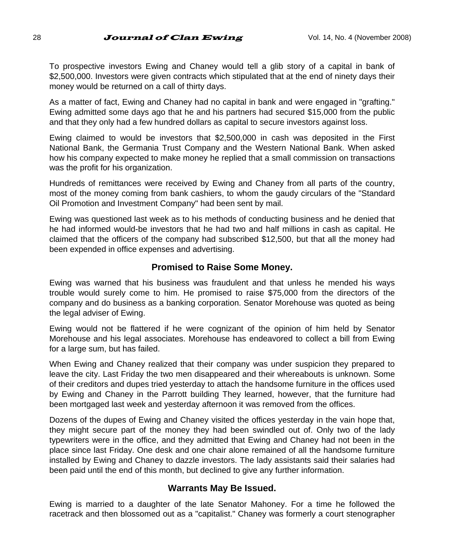To prospective investors Ewing and Chaney would tell a glib story of a capital in bank of \$2,500,000. Investors were given contracts which stipulated that at the end of ninety days their money would be returned on a call of thirty days.

As a matter of fact, Ewing and Chaney had no capital in bank and were engaged in "grafting." Ewing admitted some days ago that he and his partners had secured \$15,000 from the public and that they only had a few hundred dollars as capital to secure investors against loss.

Ewing claimed to would be investors that \$2,500,000 in cash was deposited in the First National Bank, the Germania Trust Company and the Western National Bank. When asked how his company expected to make money he replied that a small commission on transactions was the profit for his organization.

Hundreds of remittances were received by Ewing and Chaney from all parts of the country, most of the money coming from bank cashiers, to whom the gaudy circulars of the "Standard Oil Promotion and Investment Company" had been sent by mail.

Ewing was questioned last week as to his methods of conducting business and he denied that he had informed would-be investors that he had two and half millions in cash as capital. He claimed that the officers of the company had subscribed \$12,500, but that all the money had been expended in office expenses and advertising.

#### **Promised to Raise Some Money.**

Ewing was warned that his business was fraudulent and that unless he mended his ways trouble would surely come to him. He promised to raise \$75,000 from the directors of the company and do business as a banking corporation. Senator Morehouse was quoted as being the legal adviser of Ewing.

Ewing would not be flattered if he were cognizant of the opinion of him held by Senator Morehouse and his legal associates. Morehouse has endeavored to collect a bill from Ewing for a large sum, but has failed.

When Ewing and Chaney realized that their company was under suspicion they prepared to leave the city. Last Friday the two men disappeared and their whereabouts is unknown. Some of their creditors and dupes tried yesterday to attach the handsome furniture in the offices used by Ewing and Chaney in the Parrott building They learned, however, that the furniture had been mortgaged last week and yesterday afternoon it was removed from the offices.

Dozens of the dupes of Ewing and Chaney visited the offices yesterday in the vain hope that, they might secure part of the money they had been swindled out of. Only two of the lady typewriters were in the office, and they admitted that Ewing and Chaney had not been in the place since last Friday. One desk and one chair alone remained of all the handsome furniture installed by Ewing and Chaney to dazzle investors. The lady assistants said their salaries had been paid until the end of this month, but declined to give any further information.

#### **Warrants May Be Issued.**

Ewing is married to a daughter of the late Senator Mahoney. For a time he followed the racetrack and then blossomed out as a "capitalist." Chaney was formerly a court stenographer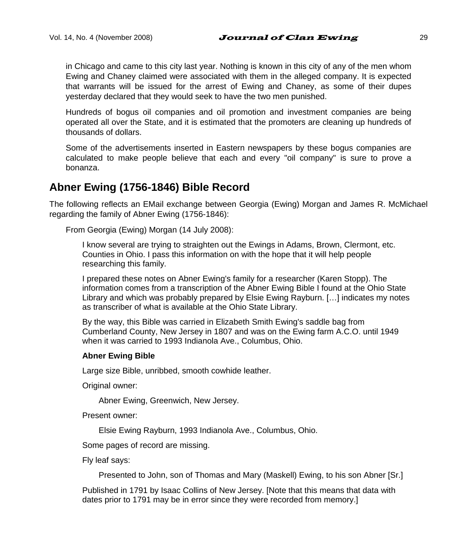in Chicago and came to this city last year. Nothing is known in this city of any of the men whom Ewing and Chaney claimed were associated with them in the alleged company. It is expected that warrants will be issued for the arrest of Ewing and Chaney, as some of their dupes yesterday declared that they would seek to have the two men punished.

Hundreds of bogus oil companies and oil promotion and investment companies are being operated all over the State, and it is estimated that the promoters are cleaning up hundreds of thousands of dollars.

Some of the advertisements inserted in Eastern newspapers by these bogus companies are calculated to make people believe that each and every "oil company" is sure to prove a bonanza.

## **Abner Ewing (1756-1846) Bible Record**

The following reflects an EMail exchange between Georgia (Ewing) Morgan and James R. McMichael regarding the family of Abner Ewing (1756-1846):

From Georgia (Ewing) Morgan (14 July 2008):

I know several are trying to straighten out the Ewings in Adams, Brown, Clermont, etc. Counties in Ohio. I pass this information on with the hope that it will help people researching this family.

I prepared these notes on Abner Ewing's family for a researcher (Karen Stopp). The information comes from a transcription of the Abner Ewing Bible I found at the Ohio State Library and which was probably prepared by Elsie Ewing Rayburn. […] indicates my notes as transcriber of what is available at the Ohio State Library.

By the way, this Bible was carried in Elizabeth Smith Ewing's saddle bag from Cumberland County, New Jersey in 1807 and was on the Ewing farm A.C.O. until 1949 when it was carried to 1993 Indianola Ave., Columbus, Ohio.

#### **Abner Ewing Bible**

Large size Bible, unribbed, smooth cowhide leather.

Original owner:

Abner Ewing, Greenwich, New Jersey.

Present owner:

Elsie Ewing Rayburn, 1993 Indianola Ave., Columbus, Ohio.

Some pages of record are missing.

Fly leaf says:

Presented to John, son of Thomas and Mary (Maskell) Ewing, to his son Abner [Sr.]

Published in 1791 by Isaac Collins of New Jersey. [Note that this means that data with dates prior to 1791 may be in error since they were recorded from memory.]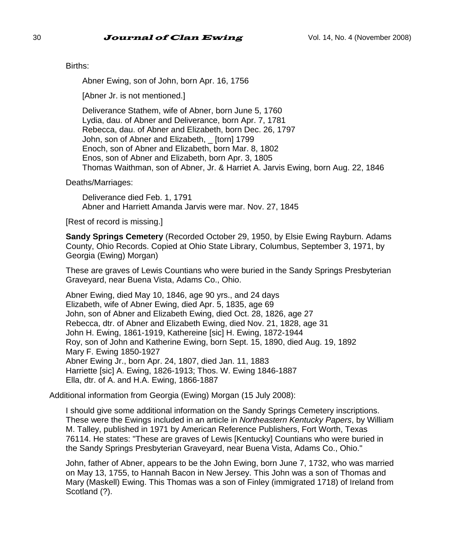Births:

Abner Ewing, son of John, born Apr. 16, 1756

[Abner Jr. is not mentioned.]

Deliverance Stathem, wife of Abner, born June 5, 1760 Lydia, dau. of Abner and Deliverance, born Apr. 7, 1781 Rebecca, dau. of Abner and Elizabeth, born Dec. 26, 1797 John, son of Abner and Elizabeth, \_ [torn] 1799 Enoch, son of Abner and Elizabeth, born Mar. 8, 1802 Enos, son of Abner and Elizabeth, born Apr. 3, 1805 Thomas Waithman, son of Abner, Jr. & Harriet A. Jarvis Ewing, born Aug. 22, 1846

Deaths/Marriages:

Deliverance died Feb. 1, 1791 Abner and Harriett Amanda Jarvis were mar. Nov. 27, 1845

[Rest of record is missing.]

**Sandy Springs Cemetery** (Recorded October 29, 1950, by Elsie Ewing Rayburn. Adams County, Ohio Records. Copied at Ohio State Library, Columbus, September 3, 1971, by Georgia (Ewing) Morgan)

These are graves of Lewis Countians who were buried in the Sandy Springs Presbyterian Graveyard, near Buena Vista, Adams Co., Ohio.

Abner Ewing, died May 10, 1846, age 90 yrs., and 24 days Elizabeth, wife of Abner Ewing, died Apr. 5, 1835, age 69 John, son of Abner and Elizabeth Ewing, died Oct. 28, 1826, age 27 Rebecca, dtr. of Abner and Elizabeth Ewing, died Nov. 21, 1828, age 31 John H. Ewing, 1861-1919, Kathereine [sic] H. Ewing, 1872-1944 Roy, son of John and Katherine Ewing, born Sept. 15, 1890, died Aug. 19, 1892 Mary F. Ewing 1850-1927 Abner Ewing Jr., born Apr. 24, 1807, died Jan. 11, 1883 Harriette [sic] A. Ewing, 1826-1913; Thos. W. Ewing 1846-1887 Ella, dtr. of A. and H.A. Ewing, 1866-1887

Additional information from Georgia (Ewing) Morgan (15 July 2008):

I should give some additional information on the Sandy Springs Cemetery inscriptions. These were the Ewings included in an article in *Northeastern Kentucky Papers*, by William M. Talley, published in 1971 by American Reference Publishers, Fort Worth, Texas 76114. He states: "These are graves of Lewis [Kentucky] Countians who were buried in the Sandy Springs Presbyterian Graveyard, near Buena Vista, Adams Co., Ohio."

John, father of Abner, appears to be the John Ewing, born June 7, 1732, who was married on May 13, 1755, to Hannah Bacon in New Jersey. This John was a son of Thomas and Mary (Maskell) Ewing. This Thomas was a son of Finley (immigrated 1718) of Ireland from Scotland (?).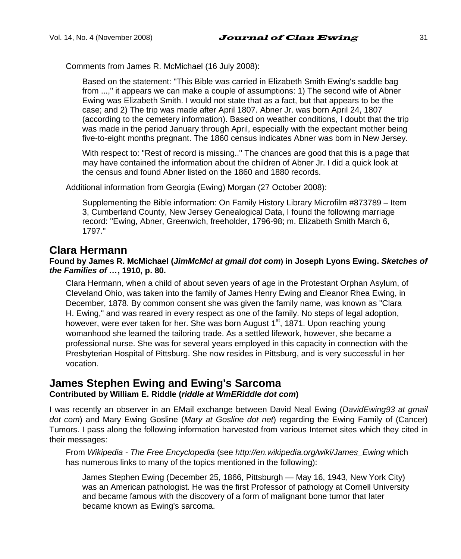Comments from James R. McMichael (16 July 2008):

Based on the statement: "This Bible was carried in Elizabeth Smith Ewing's saddle bag from ...," it appears we can make a couple of assumptions: 1) The second wife of Abner Ewing was Elizabeth Smith. I would not state that as a fact, but that appears to be the case; and 2) The trip was made after April 1807. Abner Jr. was born April 24, 1807 (according to the cemetery information). Based on weather conditions, I doubt that the trip was made in the period January through April, especially with the expectant mother being five-to-eight months pregnant. The 1860 census indicates Abner was born in New Jersey.

With respect to: "Rest of record is missing.." The chances are good that this is a page that may have contained the information about the children of Abner Jr. I did a quick look at the census and found Abner listed on the 1860 and 1880 records.

Additional information from Georgia (Ewing) Morgan (27 October 2008):

Supplementing the Bible information: On Family History Library Microfilm #873789 – Item 3, Cumberland County, New Jersey Genealogical Data, I found the following marriage record: "Ewing, Abner, Greenwich, freeholder, 1796-98; m. Elizabeth Smith March 6, 1797."

### **Clara Hermann**

#### **Found by James R. McMichael (***JimMcMcl at gmail dot com***) in Joseph Lyons Ewing.** *Sketches of the Families of …***, 1910, p. 80.**

Clara Hermann, when a child of about seven years of age in the Protestant Orphan Asylum, of Cleveland Ohio, was taken into the family of James Henry Ewing and Eleanor Rhea Ewing, in December, 1878. By common consent she was given the family name, was known as "Clara H. Ewing," and was reared in every respect as one of the family. No steps of legal adoption, however, were ever taken for her. She was born August 1<sup>st</sup>, 1871. Upon reaching young womanhood she learned the tailoring trade. As a settled lifework, however, she became a professional nurse. She was for several years employed in this capacity in connection with the Presbyterian Hospital of Pittsburg. She now resides in Pittsburg, and is very successful in her vocation.

#### **James Stephen Ewing and Ewing's Sarcoma Contributed by William E. Riddle (***riddle at WmERiddle dot com***)**

I was recently an observer in an EMail exchange between David Neal Ewing (*DavidEwing93 at gmail dot com*) and Mary Ewing Gosline (*Mary at Gosline dot net*) regarding the Ewing Family of (Cancer) Tumors. I pass along the following information harvested from various Internet sites which they cited in their messages:

From *Wikipedia - The Free Encyclopedia* (see *http://en.wikipedia.org/wiki/James\_Ewing* which has numerous links to many of the topics mentioned in the following):

James Stephen Ewing (December 25, 1866, Pittsburgh — May 16, 1943, New York City) was an American pathologist. He was the first Professor of pathology at Cornell University and became famous with the discovery of a form of malignant bone tumor that later became known as Ewing's sarcoma.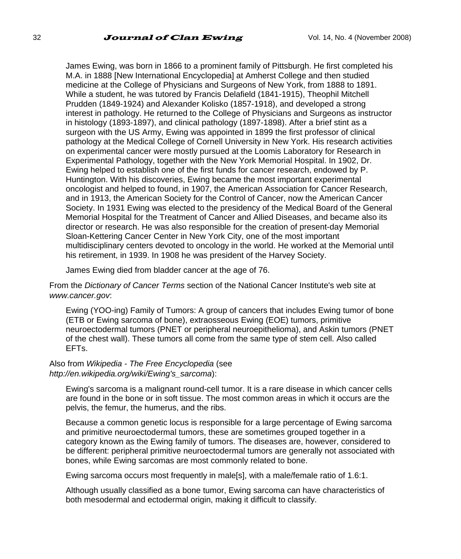James Ewing, was born in 1866 to a prominent family of Pittsburgh. He first completed his M.A. in 1888 [New International Encyclopedia] at Amherst College and then studied medicine at the College of Physicians and Surgeons of New York, from 1888 to 1891. While a student, he was tutored by Francis Delafield (1841-1915), Theophil Mitchell Prudden (1849-1924) and Alexander Kolisko (1857-1918), and developed a strong interest in pathology. He returned to the College of Physicians and Surgeons as instructor in histology (1893-1897), and clinical pathology (1897-1898). After a brief stint as a surgeon with the US Army, Ewing was appointed in 1899 the first professor of clinical pathology at the Medical College of Cornell University in New York. His research activities on experimental cancer were mostly pursued at the Loomis Laboratory for Research in Experimental Pathology, together with the New York Memorial Hospital. In 1902, Dr. Ewing helped to establish one of the first funds for cancer research, endowed by P. Huntington. With his discoveries, Ewing became the most important experimental oncologist and helped to found, in 1907, the American Association for Cancer Research, and in 1913, the American Society for the Control of Cancer, now the American Cancer Society. In 1931 Ewing was elected to the presidency of the Medical Board of the General Memorial Hospital for the Treatment of Cancer and Allied Diseases, and became also its director or research. He was also responsible for the creation of present-day Memorial Sloan-Kettering Cancer Center in New York City, one of the most important multidisciplinary centers devoted to oncology in the world. He worked at the Memorial until his retirement, in 1939. In 1908 he was president of the Harvey Society.

James Ewing died from bladder cancer at the age of 76.

From the *Dictionary of Cancer Terms* section of the National Cancer Institute's web site at *www.cancer.gov*:

Ewing (YOO-ing) Family of Tumors: A group of cancers that includes Ewing tumor of bone (ETB or Ewing sarcoma of bone), extraosseous Ewing (EOE) tumors, primitive neuroectodermal tumors (PNET or peripheral neuroepithelioma), and Askin tumors (PNET of the chest wall). These tumors all come from the same type of stem cell. Also called EFTs.

#### Also from *Wikipedia - The Free Encyclopedia* (see *http://en.wikipedia.org/wiki/Ewing's\_sarcoma*):

Ewing's sarcoma is a malignant round-cell tumor. It is a rare disease in which cancer cells are found in the bone or in soft tissue. The most common areas in which it occurs are the pelvis, the femur, the humerus, and the ribs.

Because a common genetic locus is responsible for a large percentage of Ewing sarcoma and primitive neuroectodermal tumors, these are sometimes grouped together in a category known as the Ewing family of tumors. The diseases are, however, considered to be different: peripheral primitive neuroectodermal tumors are generally not associated with bones, while Ewing sarcomas are most commonly related to bone.

Ewing sarcoma occurs most frequently in male[s], with a male/female ratio of 1.6:1.

Although usually classified as a bone tumor, Ewing sarcoma can have characteristics of both mesodermal and ectodermal origin, making it difficult to classify.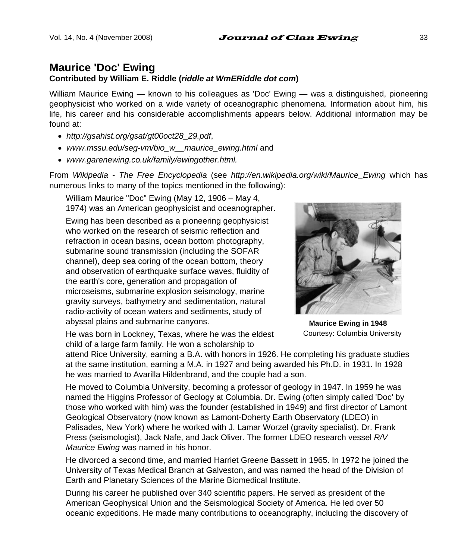# **Maurice 'Doc' Ewing**

#### **Contributed by William E. Riddle (***riddle at WmERiddle dot com***)**

William Maurice Ewing — known to his colleagues as 'Doc' Ewing — was a distinguished, pioneering geophysicist who worked on a wide variety of oceanographic phenomena. Information about him, his life, his career and his considerable accomplishments appears below. Additional information may be found at:

- *http://gsahist.org/gsat/gt00oct28\_29.pdf*,
- *www.mssu.edu/seg-vm/bio\_w\_\_maurice\_ewing.html* and
- *www.garenewing.co.uk/family/ewingother.html.*

From *Wikipedia - The Free Encyclopedia* (see *http://en.wikipedia.org/wiki/Maurice\_Ewing* which has numerous links to many of the topics mentioned in the following):

William Maurice "Doc" Ewing (May 12, 1906 – May 4, 1974) was an American geophysicist and oceanographer.

Ewing has been described as a pioneering geophysicist who worked on the research of seismic reflection and refraction in ocean basins, ocean bottom photography, submarine sound transmission (including the SOFAR channel), deep sea coring of the ocean bottom, theory and observation of earthquake surface waves, fluidity of the earth's core, generation and propagation of microseisms, submarine explosion seismology, marine gravity surveys, bathymetry and sedimentation, natural radio-activity of ocean waters and sediments, study of abyssal plains and submarine canyons.

**Maurice Ewing in 1948**  Courtesy: Columbia University

He was born in Lockney, Texas, where he was the eldest child of a large farm family. He won a scholarship to

attend Rice University, earning a B.A. with honors in 1926. He completing his graduate studies at the same institution, earning a M.A. in 1927 and being awarded his Ph.D. in 1931. In 1928 he was married to Avarilla Hildenbrand, and the couple had a son.

He moved to Columbia University, becoming a professor of geology in 1947. In 1959 he was named the Higgins Professor of Geology at Columbia. Dr. Ewing (often simply called 'Doc' by those who worked with him) was the founder (established in 1949) and first director of Lamont Geological Observatory (now known as Lamont-Doherty Earth Observatory (LDEO) in Palisades, New York) where he worked with J. Lamar Worzel (gravity specialist), Dr. Frank Press (seismologist), Jack Nafe, and Jack Oliver. The former LDEO research vessel *R/V Maurice Ewing* was named in his honor.

He divorced a second time, and married Harriet Greene Bassett in 1965. In 1972 he joined the University of Texas Medical Branch at Galveston, and was named the head of the Division of Earth and Planetary Sciences of the Marine Biomedical Institute.

During his career he published over 340 scientific papers. He served as president of the American Geophysical Union and the Seismological Society of America. He led over 50 oceanic expeditions. He made many contributions to oceanography, including the discovery of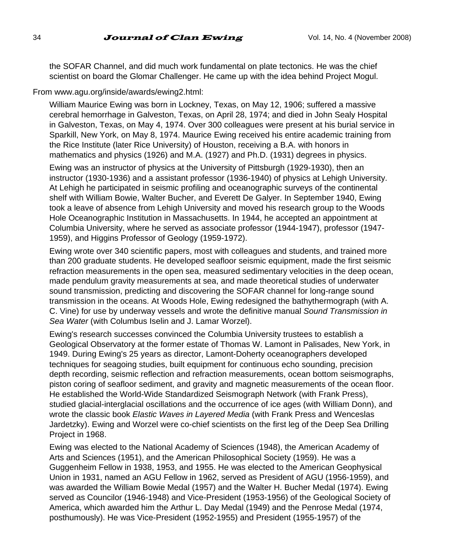the SOFAR Channel, and did much work fundamental on plate tectonics. He was the chief scientist on board the Glomar Challenger. He came up with the idea behind Project Mogul.

#### From www.agu.org/inside/awards/ewing2.html:

William Maurice Ewing was born in Lockney, Texas, on May 12, 1906; suffered a massive cerebral hemorrhage in Galveston, Texas, on April 28, 1974; and died in John Sealy Hospital in Galveston, Texas, on May 4, 1974. Over 300 colleagues were present at his burial service in Sparkill, New York, on May 8, 1974. Maurice Ewing received his entire academic training from the Rice Institute (later Rice University) of Houston, receiving a B.A. with honors in mathematics and physics (1926) and M.A. (1927) and Ph.D. (1931) degrees in physics.

Ewing was an instructor of physics at the University of Pittsburgh (1929-1930), then an instructor (1930-1936) and a assistant professor (1936-1940) of physics at Lehigh University. At Lehigh he participated in seismic profiling and oceanographic surveys of the continental shelf with William Bowie, Walter Bucher, and Everett De Galyer. In September 1940, Ewing took a leave of absence from Lehigh University and moved his research group to the Woods Hole Oceanographic Institution in Massachusetts. In 1944, he accepted an appointment at Columbia University, where he served as associate professor (1944-1947), professor (1947- 1959), and Higgins Professor of Geology (1959-1972).

Ewing wrote over 340 scientific papers, most with colleagues and students, and trained more than 200 graduate students. He developed seafloor seismic equipment, made the first seismic refraction measurements in the open sea, measured sedimentary velocities in the deep ocean, made pendulum gravity measurements at sea, and made theoretical studies of underwater sound transmission, predicting and discovering the SOFAR channel for long-range sound transmission in the oceans. At Woods Hole, Ewing redesigned the bathythermograph (with A. C. Vine) for use by underway vessels and wrote the definitive manual *Sound Transmission in Sea Water* (with Columbus Iselin and J. Lamar Worzel).

Ewing's research successes convinced the Columbia University trustees to establish a Geological Observatory at the former estate of Thomas W. Lamont in Palisades, New York, in 1949. During Ewing's 25 years as director, Lamont-Doherty oceanographers developed techniques for seagoing studies, built equipment for continuous echo sounding, precision depth recording, seismic reflection and refraction measurements, ocean bottom seismographs, piston coring of seafloor sediment, and gravity and magnetic measurements of the ocean floor. He established the World-Wide Standardized Seismograph Network (with Frank Press), studied glacial-interglacial oscillations and the occurrence of ice ages (with William Donn), and wrote the classic book *Elastic Waves in Layered Media* (with Frank Press and Wenceslas Jardetzky). Ewing and Worzel were co-chief scientists on the first leg of the Deep Sea Drilling Project in 1968.

Ewing was elected to the National Academy of Sciences (1948), the American Academy of Arts and Sciences (1951), and the American Philosophical Society (1959). He was a Guggenheim Fellow in 1938, 1953, and 1955. He was elected to the American Geophysical Union in 1931, named an AGU Fellow in 1962, served as President of AGU (1956-1959), and was awarded the William Bowie Medal (1957) and the Walter H. Bucher Medal (1974). Ewing served as Councilor (1946-1948) and Vice-President (1953-1956) of the Geological Society of America, which awarded him the Arthur L. Day Medal (1949) and the Penrose Medal (1974, posthumously). He was Vice-President (1952-1955) and President (1955-1957) of the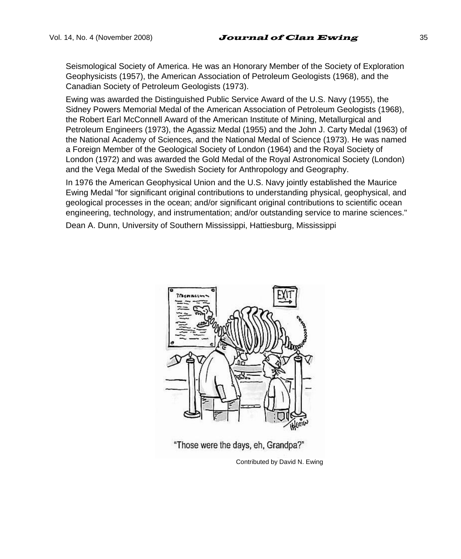Seismological Society of America. He was an Honorary Member of the Society of Exploration Geophysicists (1957), the American Association of Petroleum Geologists (1968), and the Canadian Society of Petroleum Geologists (1973).

Ewing was awarded the Distinguished Public Service Award of the U.S. Navy (1955), the Sidney Powers Memorial Medal of the American Association of Petroleum Geologists (1968), the Robert Earl McConnell Award of the American Institute of Mining, Metallurgical and Petroleum Engineers (1973), the Agassiz Medal (1955) and the John J. Carty Medal (1963) of the National Academy of Sciences, and the National Medal of Science (1973). He was named a Foreign Member of the Geological Society of London (1964) and the Royal Society of London (1972) and was awarded the Gold Medal of the Royal Astronomical Society (London) and the Vega Medal of the Swedish Society for Anthropology and Geography.

In 1976 the American Geophysical Union and the U.S. Navy jointly established the Maurice Ewing Medal "for significant original contributions to understanding physical, geophysical, and geological processes in the ocean; and/or significant original contributions to scientific ocean engineering, technology, and instrumentation; and/or outstanding service to marine sciences."

Dean A. Dunn, University of Southern Mississippi, Hattiesburg, Mississippi



"Those were the days, eh, Grandpa?"

Contributed by David N. Ewing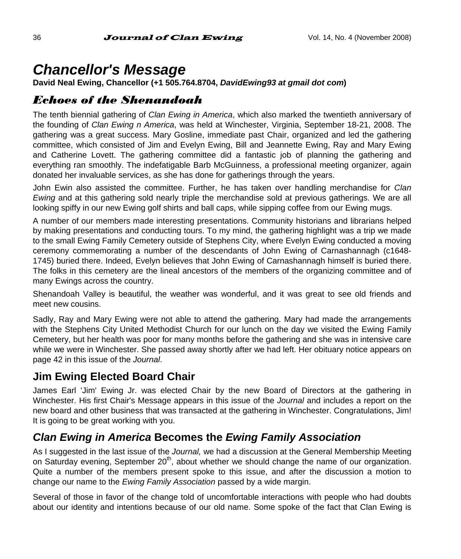# *Chancellor's Message*

**David Neal Ewing, Chancellor (+1 505.764.8704,** *DavidEwing93 at gmail dot com***)** 

# *Echoes of the Shenandoah*

The tenth biennial gathering of *Clan Ewing in America*, which also marked the twentieth anniversary of the founding of *Clan Ewing n America*, was held at Winchester, Virginia, September 18-21, 2008. The gathering was a great success. Mary Gosline, immediate past Chair, organized and led the gathering committee, which consisted of Jim and Evelyn Ewing, Bill and Jeannette Ewing, Ray and Mary Ewing and Catherine Lovett. The gathering committee did a fantastic job of planning the gathering and everything ran smoothly. The indefatigable Barb McGuinness, a professional meeting organizer, again donated her invaluable services, as she has done for gatherings through the years.

John Ewin also assisted the committee. Further, he has taken over handling merchandise for *Clan Ewing* and at this gathering sold nearly triple the merchandise sold at previous gatherings. We are all looking spiffy in our new Ewing golf shirts and ball caps, while sipping coffee from our Ewing mugs.

A number of our members made interesting presentations. Community historians and librarians helped by making presentations and conducting tours. To my mind, the gathering highlight was a trip we made to the small Ewing Family Cemetery outside of Stephens City, where Evelyn Ewing conducted a moving ceremony commemorating a number of the descendants of John Ewing of Carnashannagh (c1648- 1745) buried there. Indeed, Evelyn believes that John Ewing of Carnashannagh himself is buried there. The folks in this cemetery are the lineal ancestors of the members of the organizing committee and of many Ewings across the country.

Shenandoah Valley is beautiful, the weather was wonderful, and it was great to see old friends and meet new cousins.

Sadly, Ray and Mary Ewing were not able to attend the gathering. Mary had made the arrangements with the Stephens City United Methodist Church for our lunch on the day we visited the Ewing Family Cemetery, but her health was poor for many months before the gathering and she was in intensive care while we were in Winchester. She passed away shortly after we had left. Her obituary notice appears on page 42 in this issue of the *Journal*.

# **Jim Ewing Elected Board Chair**

James Earl 'Jim' Ewing Jr. was elected Chair by the new Board of Directors at the gathering in Winchester. His first Chair's Message appears in this issue of the *Journal* and includes a report on the new board and other business that was transacted at the gathering in Winchester. Congratulations, Jim! It is going to be great working with you.

# *Clan Ewing in America* **Becomes the** *Ewing Family Association*

As I suggested in the last issue of the *Journal,* we had a discussion at the General Membership Meeting on Saturday evening, September  $20<sup>th</sup>$ , about whether we should change the name of our organization. Quite a number of the members present spoke to this issue, and after the discussion a motion to change our name to the *Ewing Family Association* passed by a wide margin.

Several of those in favor of the change told of uncomfortable interactions with people who had doubts about our identity and intentions because of our old name. Some spoke of the fact that Clan Ewing is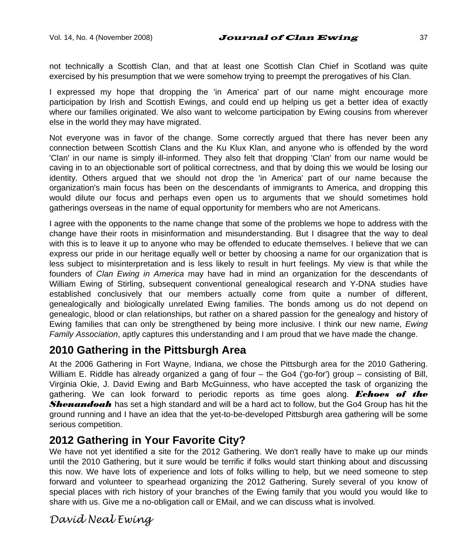not technically a Scottish Clan, and that at least one Scottish Clan Chief in Scotland was quite exercised by his presumption that we were somehow trying to preempt the prerogatives of his Clan.

I expressed my hope that dropping the 'in America' part of our name might encourage more participation by Irish and Scottish Ewings, and could end up helping us get a better idea of exactly where our families originated. We also want to welcome participation by Ewing cousins from wherever else in the world they may have migrated.

Not everyone was in favor of the change. Some correctly argued that there has never been any connection between Scottish Clans and the Ku Klux Klan, and anyone who is offended by the word 'Clan' in our name is simply ill-informed. They also felt that dropping 'Clan' from our name would be caving in to an objectionable sort of political correctness, and that by doing this we would be losing our identity. Others argued that we should not drop the 'in America' part of our name because the organization's main focus has been on the descendants of immigrants to America, and dropping this would dilute our focus and perhaps even open us to arguments that we should sometimes hold gatherings overseas in the name of equal opportunity for members who are not Americans.

I agree with the opponents to the name change that some of the problems we hope to address with the change have their roots in misinformation and misunderstanding. But I disagree that the way to deal with this is to leave it up to anyone who may be offended to educate themselves. I believe that we can express our pride in our heritage equally well or better by choosing a name for our organization that is less subject to misinterpretation and is less likely to result in hurt feelings. My view is that while the founders of *Clan Ewing in America* may have had in mind an organization for the descendants of William Ewing of Stirling, subsequent conventional genealogical research and Y-DNA studies have established conclusively that our members actually come from quite a number of different, genealogically and biologically unrelated Ewing families. The bonds among us do not depend on genealogic, blood or clan relationships, but rather on a shared passion for the genealogy and history of Ewing families that can only be strengthened by being more inclusive. I think our new name, *Ewing Family Association*, aptly captures this understanding and I am proud that we have made the change.

## **2010 Gathering in the Pittsburgh Area**

At the 2006 Gathering in Fort Wayne, Indiana, we chose the Pittsburgh area for the 2010 Gathering. William E. Riddle has already organized a gang of four – the Go4 ('go-for') group – consisting of Bill, Virginia Okie, J. David Ewing and Barb McGuinness, who have accepted the task of organizing the gathering. We can look forward to periodic reports as time goes along. *Echoes of the Shenandoah* has set a high standard and will be a hard act to follow, but the Go4 Group has hit the ground running and I have an idea that the yet-to-be-developed Pittsburgh area gathering will be some serious competition.

## **2012 Gathering in Your Favorite City?**

We have not yet identified a site for the 2012 Gathering. We don't really have to make up our minds until the 2010 Gathering, but it sure would be terrific if folks would start thinking about and discussing this now. We have lots of experience and lots of folks willing to help, but we need someone to step forward and volunteer to spearhead organizing the 2012 Gathering. Surely several of you know of special places with rich history of your branches of the Ewing family that you would you would like to share with us. Give me a no-obligation call or EMail, and we can discuss what is involved.

## *David Neal Ewing*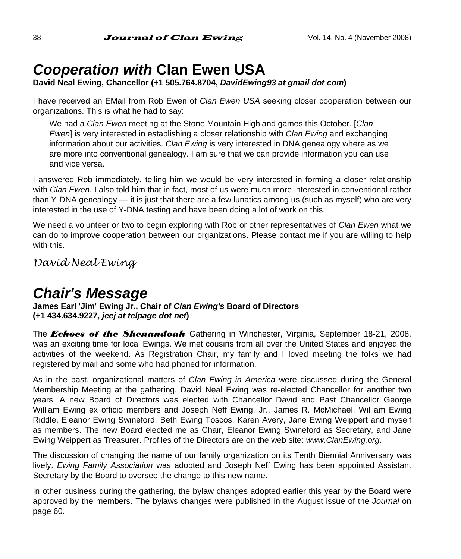# *Cooperation with* **Clan Ewen USA**

**David Neal Ewing, Chancellor (+1 505.764.8704,** *DavidEwing93 at gmail dot com***)** 

I have received an EMail from Rob Ewen of *Clan Ewen USA* seeking closer cooperation between our organizations. This is what he had to say:

We had a *Clan Ewen* meeting at the Stone Mountain Highland games this October. [*Clan Ewen*] is very interested in establishing a closer relationship with *Clan Ewing* and exchanging information about our activities. *Clan Ewing* is very interested in DNA genealogy where as we are more into conventional genealogy. I am sure that we can provide information you can use and vice versa.

I answered Rob immediately, telling him we would be very interested in forming a closer relationship with *Clan Ewen*. I also told him that in fact, most of us were much more interested in conventional rather than Y-DNA genealogy — it is just that there are a few lunatics among us (such as myself) who are very interested in the use of Y-DNA testing and have been doing a lot of work on this.

We need a volunteer or two to begin exploring with Rob or other representatives of *Clan Ewen* what we can do to improve cooperation between our organizations. Please contact me if you are willing to help with this.

*David Neal Ewing* 

# *Chair's Message*

**James Earl 'Jim' Ewing Jr., Chair of** *Clan Ewing's* **Board of Directors (+1 434.634.9227,** *jeej at telpage dot net***)** 

The *Echoes of the Shenandoah* Gathering in Winchester, Virginia, September 18-21, 2008, was an exciting time for local Ewings. We met cousins from all over the United States and enjoyed the activities of the weekend. As Registration Chair, my family and I loved meeting the folks we had registered by mail and some who had phoned for information.

As in the past, organizational matters of *Clan Ewing in America* were discussed during the General Membership Meeting at the gathering. David Neal Ewing was re-elected Chancellor for another two years. A new Board of Directors was elected with Chancellor David and Past Chancellor George William Ewing ex officio members and Joseph Neff Ewing, Jr., James R. McMichael, William Ewing Riddle, Eleanor Ewing Swineford, Beth Ewing Toscos, Karen Avery, Jane Ewing Weippert and myself as members. The new Board elected me as Chair, Eleanor Ewing Swineford as Secretary, and Jane Ewing Weippert as Treasurer. Profiles of the Directors are on the web site: *www.ClanEwing.org*.

The discussion of changing the name of our family organization on its Tenth Biennial Anniversary was lively. *Ewing Family Association* was adopted and Joseph Neff Ewing has been appointed Assistant Secretary by the Board to oversee the change to this new name.

In other business during the gathering, the bylaw changes adopted earlier this year by the Board were approved by the members. The bylaws changes were published in the August issue of the *Journal* on page 60.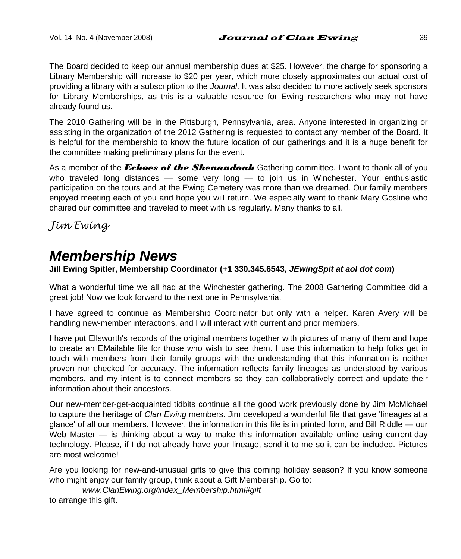The Board decided to keep our annual membership dues at \$25. However, the charge for sponsoring a Library Membership will increase to \$20 per year, which more closely approximates our actual cost of providing a library with a subscription to the *Journal*. It was also decided to more actively seek sponsors for Library Memberships, as this is a valuable resource for Ewing researchers who may not have already found us.

The 2010 Gathering will be in the Pittsburgh, Pennsylvania, area. Anyone interested in organizing or assisting in the organization of the 2012 Gathering is requested to contact any member of the Board. It is helpful for the membership to know the future location of our gatherings and it is a huge benefit for the committee making preliminary plans for the event.

As a member of the *Echoes of the Shenandoah* Gathering committee, I want to thank all of you who traveled long distances — some very long — to join us in Winchester. Your enthusiastic participation on the tours and at the Ewing Cemetery was more than we dreamed. Our family members enjoyed meeting each of you and hope you will return. We especially want to thank Mary Gosline who chaired our committee and traveled to meet with us regularly. Many thanks to all.

*Jim Ewing* 

# *Membership News*

**Jill Ewing Spitler, Membership Coordinator (+1 330.345.6543,** *JEwingSpit at aol dot com***)** 

What a wonderful time we all had at the Winchester gathering. The 2008 Gathering Committee did a great job! Now we look forward to the next one in Pennsylvania.

I have agreed to continue as Membership Coordinator but only with a helper. Karen Avery will be handling new-member interactions, and I will interact with current and prior members.

I have put Ellsworth's records of the original members together with pictures of many of them and hope to create an EMailable file for those who wish to see them. I use this information to help folks get in touch with members from their family groups with the understanding that this information is neither proven nor checked for accuracy. The information reflects family lineages as understood by various members, and my intent is to connect members so they can collaboratively correct and update their information about their ancestors.

Our new-member-get-acquainted tidbits continue all the good work previously done by Jim McMichael to capture the heritage of *Clan Ewing* members. Jim developed a wonderful file that gave 'lineages at a glance' of all our members. However, the information in this file is in printed form, and Bill Riddle — our Web Master — is thinking about a way to make this information available online using current-day technology. Please, if I do not already have your lineage, send it to me so it can be included. Pictures are most welcome!

Are you looking for new-and-unusual gifts to give this coming holiday season? If you know someone who might enjoy our family group, think about a Gift Membership. Go to:

*www.ClanEwing.org/index\_Membership.html#gift*  to arrange this gift.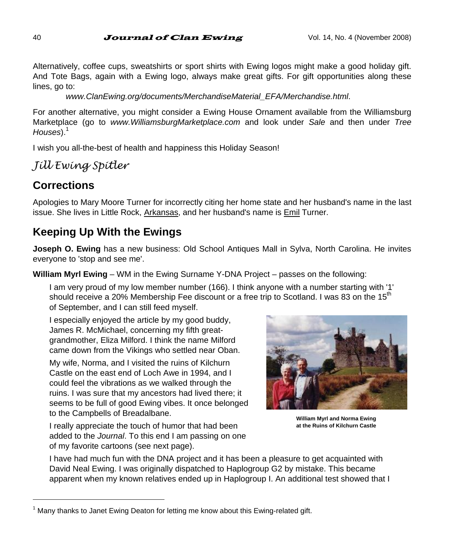Alternatively, coffee cups, sweatshirts or sport shirts with Ewing logos might make a good holiday gift. And Tote Bags, again with a Ewing logo, always make great gifts. For gift opportunities along these lines, go to:

*www.ClanEwing.org/documents/MerchandiseMaterial\_EFA/Merchandise.html*.

For another alternative, you might consider a Ewing House Ornament available from the Williamsburg Marketplace (go to *www.WilliamsburgMarketplace.com* and look under *Sale* and then under *Tree*  Houses).<sup>1</sup>

I wish you all-the-best of health and happiness this Holiday Season!

# *Jill Ewing Spitler*

# **Corrections**

l

Apologies to Mary Moore Turner for incorrectly citing her home state and her husband's name in the last issue. She lives in Little Rock, Arkansas, and her husband's name is Emil Turner.

# **Keeping Up With the Ewings**

**Joseph O. Ewing** has a new business: Old School Antiques Mall in Sylva, North Carolina. He invites everyone to 'stop and see me'.

**William Myrl Ewing** – WM in the Ewing Surname Y-DNA Project – passes on the following:

I am very proud of my low member number (166). I think anyone with a number starting with '1' should receive a 20% Membership Fee discount or a free trip to Scotland. I was 83 on the 15<sup>th</sup> of September, and I can still feed myself.

I especially enjoyed the article by my good buddy, James R. McMichael, concerning my fifth greatgrandmother, Eliza Milford. I think the name Milford came down from the Vikings who settled near Oban.

My wife, Norma, and I visited the ruins of Kilchurn Castle on the east end of Loch Awe in 1994, and I could feel the vibrations as we walked through the ruins. I was sure that my ancestors had lived there; it seems to be full of good Ewing vibes. It once belonged to the Campbells of Breadalbane.

**William Myrl and Norma Ewing at the Ruins of Kilchurn Castle** 

I really appreciate the touch of humor that had been added to the *Journal*. To this end I am passing on one of my favorite cartoons (see next page).

I have had much fun with the DNA project and it has been a pleasure to get acquainted with David Neal Ewing. I was originally dispatched to Haplogroup G2 by mistake. This became apparent when my known relatives ended up in Haplogroup I. An additional test showed that I

 $1$  Many thanks to Janet Ewing Deaton for letting me know about this Ewing-related gift.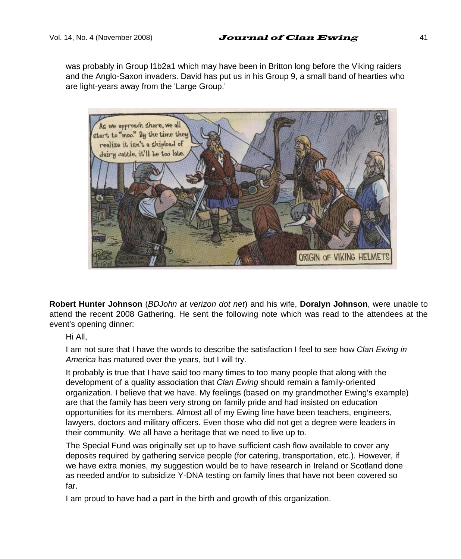was probably in Group I1b2a1 which may have been in Britton long before the Viking raiders and the Anglo-Saxon invaders. David has put us in his Group 9, a small band of hearties who are light-years away from the 'Large Group.'



**Robert Hunter Johnson** (*BDJohn at verizon dot net*) and his wife, **Doralyn Johnson**, were unable to attend the recent 2008 Gathering. He sent the following note which was read to the attendees at the event's opening dinner:

Hi All,

I am not sure that I have the words to describe the satisfaction I feel to see how *Clan Ewing in America* has matured over the years, but I will try.

It probably is true that I have said too many times to too many people that along with the development of a quality association that *Clan Ewing* should remain a family-oriented organization. I believe that we have. My feelings (based on my grandmother Ewing's example) are that the family has been very strong on family pride and had insisted on education opportunities for its members. Almost all of my Ewing line have been teachers, engineers, lawyers, doctors and military officers. Even those who did not get a degree were leaders in their community. We all have a heritage that we need to live up to.

The Special Fund was originally set up to have sufficient cash flow available to cover any deposits required by gathering service people (for catering, transportation, etc.). However, if we have extra monies, my suggestion would be to have research in Ireland or Scotland done as needed and/or to subsidize Y-DNA testing on family lines that have not been covered so far.

I am proud to have had a part in the birth and growth of this organization.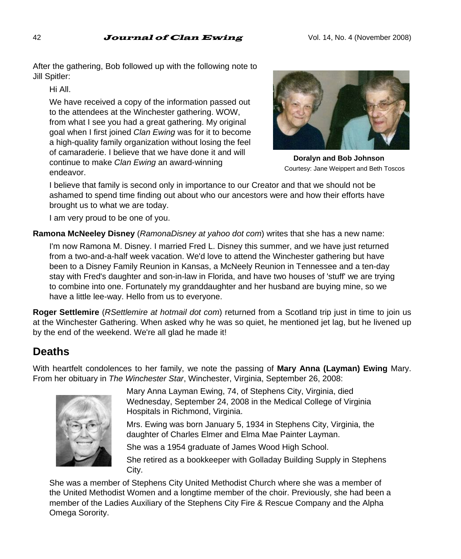After the gathering, Bob followed up with the following note to Jill Spitler:

Hi All.

We have received a copy of the information passed out to the attendees at the Winchester gathering. WOW, from what I see you had a great gathering. My original goal when I first joined *Clan Ewing* was for it to become a high-quality family organization without losing the feel of camaraderie. I believe that we have done it and will continue to make *Clan Ewing* an award-winning endeavor.



**Doralyn and Bob Johnson**  Courtesy: Jane Weippert and Beth Toscos

I believe that family is second only in importance to our Creator and that we should not be ashamed to spend time finding out about who our ancestors were and how their efforts have brought us to what we are today.

I am very proud to be one of you.

**Ramona McNeeley Disney** (*RamonaDisney at yahoo dot com*) writes that she has a new name:

I'm now Ramona M. Disney. I married Fred L. Disney this summer, and we have just returned from a two-and-a-half week vacation. We'd love to attend the Winchester gathering but have been to a Disney Family Reunion in Kansas, a McNeely Reunion in Tennessee and a ten-day stay with Fred's daughter and son-in-law in Florida, and have two houses of 'stuff' we are trying to combine into one. Fortunately my granddaughter and her husband are buying mine, so we have a little lee-way. Hello from us to everyone.

**Roger Settlemire** (*RSettlemire at hotmail dot com*) returned from a Scotland trip just in time to join us at the Winchester Gathering. When asked why he was so quiet, he mentioned jet lag, but he livened up by the end of the weekend. We're all glad he made it!

# **Deaths**

With heartfelt condolences to her family, we note the passing of **Mary Anna (Layman) Ewing** Mary. From her obituary in *The Winchester Star*, Winchester, Virginia, September 26, 2008:



Mary Anna Layman Ewing, 74, of Stephens City, Virginia, died Wednesday, September 24, 2008 in the Medical College of Virginia Hospitals in Richmond, Virginia.

Mrs. Ewing was born January 5, 1934 in Stephens City, Virginia, the daughter of Charles Elmer and Elma Mae Painter Layman.

She was a 1954 graduate of James Wood High School.

She retired as a bookkeeper with Golladay Building Supply in Stephens City.

She was a member of Stephens City United Methodist Church where she was a member of the United Methodist Women and a longtime member of the choir. Previously, she had been a member of the Ladies Auxiliary of the Stephens City Fire & Rescue Company and the Alpha Omega Sorority.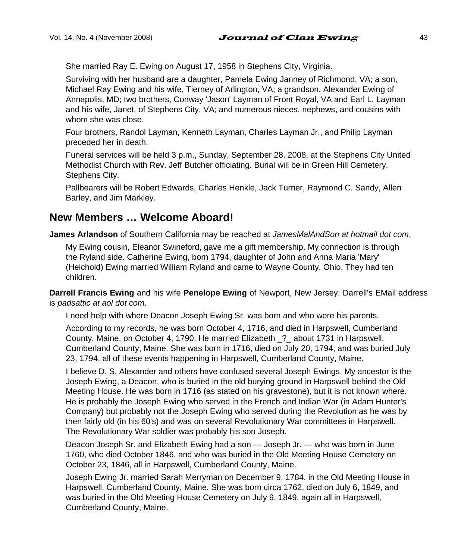She married Ray E. Ewing on August 17, 1958 in Stephens City, Virginia.

Surviving with her husband are a daughter, Pamela Ewing Janney of Richmond, VA; a son, Michael Ray Ewing and his wife, Tierney of Arlington, VA; a grandson, Alexander Ewing of Annapolis, MD; two brothers, Conway 'Jason' Layman of Front Royal, VA and Earl L. Layman and his wife, Janet, of Stephens City, VA; and numerous nieces, nephews, and cousins with whom she was close.

Four brothers, Randol Layman, Kenneth Layman, Charles Layman Jr., and Philip Layman preceded her in death.

Funeral services will be held 3 p.m., Sunday, September 28, 2008, at the Stephens City United Methodist Church with Rev. Jeff Butcher officiating. Burial will be in Green Hill Cemetery, Stephens City.

Pallbearers will be Robert Edwards, Charles Henkle, Jack Turner, Raymond C. Sandy, Allen Barley, and Jim Markley.

## **New Members … Welcome Aboard!**

**James Arlandson** of Southern California may be reached at *JamesMalAndSon at hotmail dot com*.

My Ewing cousin, Eleanor Swineford, gave me a gift membership. My connection is through the Ryland side. Catherine Ewing, born 1794, daughter of John and Anna Maria 'Mary' (Heichold) Ewing married William Ryland and came to Wayne County, Ohio. They had ten children.

**Darrell Francis Ewing** and his wife **Penelope Ewing** of Newport, New Jersey. Darrell's EMail address is *padsattic at aol dot com*.

I need help with where Deacon Joseph Ewing Sr. was born and who were his parents.

According to my records, he was born October 4, 1716, and died in Harpswell, Cumberland County, Maine, on October 4, 1790. He married Elizabeth \_?\_ about 1731 in Harpswell, Cumberland County, Maine. She was born in 1716, died on July 20, 1794, and was buried July 23, 1794, all of these events happening in Harpswell, Cumberland County, Maine.

I believe D. S. Alexander and others have confused several Joseph Ewings. My ancestor is the Joseph Ewing, a Deacon, who is buried in the old burying ground in Harpswell behind the Old Meeting House. He was born in 1716 (as stated on his gravestone), but it is not known where. He is probably the Joseph Ewing who served in the French and Indian War (in Adam Hunter's Company) but probably not the Joseph Ewing who served during the Revolution as he was by then fairly old (in his 60's) and was on several Revolutionary War committees in Harpswell. The Revolutionary War soldier was probably his son Joseph.

Deacon Joseph Sr. and Elizabeth Ewing had a son — Joseph Jr. — who was born in June 1760, who died October 1846, and who was buried in the Old Meeting House Cemetery on October 23, 1846, all in Harpswell, Cumberland County, Maine.

Joseph Ewing Jr. married Sarah Merryman on December 9, 1784, in the Old Meeting House in Harpswell, Cumberland County, Maine. She was born circa 1762, died on July 6, 1849, and was buried in the Old Meeting House Cemetery on July 9, 1849, again all in Harpswell, Cumberland County, Maine.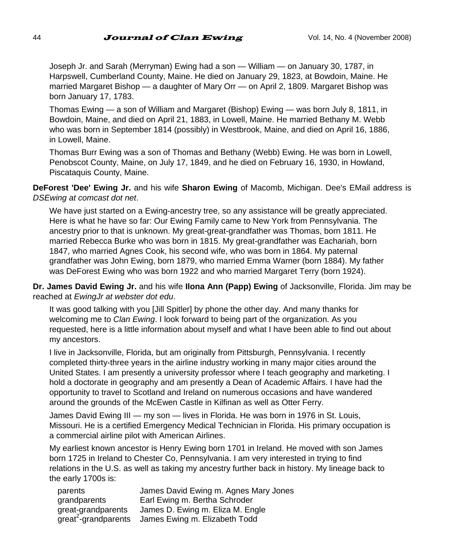Joseph Jr. and Sarah (Merryman) Ewing had a son — William — on January 30, 1787, in Harpswell, Cumberland County, Maine. He died on January 29, 1823, at Bowdoin, Maine. He married Margaret Bishop — a daughter of Mary Orr — on April 2, 1809. Margaret Bishop was born January 17, 1783.

Thomas Ewing — a son of William and Margaret (Bishop) Ewing — was born July 8, 1811, in Bowdoin, Maine, and died on April 21, 1883, in Lowell, Maine. He married Bethany M. Webb who was born in September 1814 (possibly) in Westbrook, Maine, and died on April 16, 1886, in Lowell, Maine.

Thomas Burr Ewing was a son of Thomas and Bethany (Webb) Ewing. He was born in Lowell, Penobscot County, Maine, on July 17, 1849, and he died on February 16, 1930, in Howland, Piscataquis County, Maine.

**DeForest 'Dee' Ewing Jr.** and his wife **Sharon Ewing** of Macomb, Michigan. Dee's EMail address is *DSEwing at comcast dot net*.

We have just started on a Ewing-ancestry tree, so any assistance will be greatly appreciated. Here is what he have so far: Our Ewing Family came to New York from Pennsylvania. The ancestry prior to that is unknown. My great-great-grandfather was Thomas, born 1811. He married Rebecca Burke who was born in 1815. My great-grandfather was Eachariah, born 1847, who married Agnes Cook, his second wife, who was born in 1864. My paternal grandfather was John Ewing, born 1879, who married Emma Warner (born 1884). My father was DeForest Ewing who was born 1922 and who married Margaret Terry (born 1924).

**Dr. James David Ewing Jr.** and his wife **Ilona Ann (Papp) Ewing** of Jacksonville, Florida. Jim may be reached at *EwingJr at webster dot edu*.

It was good talking with you [Jill Spitler] by phone the other day. And many thanks for welcoming me to *Clan Ewing*. I look forward to being part of the organization. As you requested, here is a little information about myself and what I have been able to find out about my ancestors.

I live in Jacksonville, Florida, but am originally from Pittsburgh, Pennsylvania. I recently completed thirty-three years in the airline industry working in many major cities around the United States. I am presently a university professor where I teach geography and marketing. I hold a doctorate in geography and am presently a Dean of Academic Affairs. I have had the opportunity to travel to Scotland and Ireland on numerous occasions and have wandered around the grounds of the McEwen Castle in Kilfinan as well as Otter Ferry.

James David Ewing III — my son — lives in Florida. He was born in 1976 in St. Louis, Missouri. He is a certified Emergency Medical Technician in Florida. His primary occupation is a commercial airline pilot with American Airlines.

My earliest known ancestor is Henry Ewing born 1701 in Ireland. He moved with son James born 1725 in Ireland to Chester Co, Pennsylvania. I am very interested in trying to find relations in the U.S. as well as taking my ancestry further back in history. My lineage back to the early 1700s is:

| parents                          | James David Ewing m. Agnes Mary Jones |
|----------------------------------|---------------------------------------|
| grandparents                     | Earl Ewing m. Bertha Schroder         |
| great-grandparents               | James D. Ewing m. Eliza M. Engle      |
| great <sup>2</sup> -grandparents | James Ewing m. Elizabeth Todd         |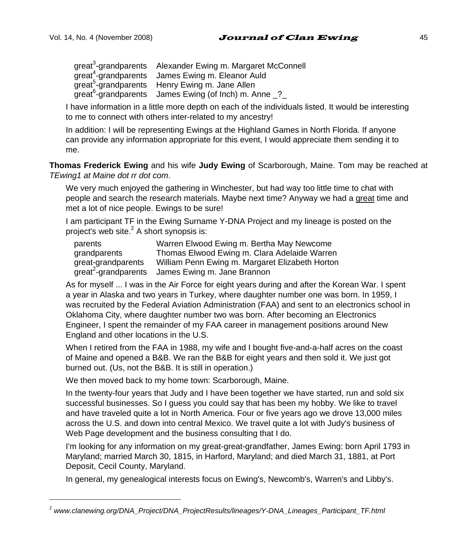l

great<sup>3</sup>-grandparents Alexander Ewing m. Margaret McConnell great<sup>4</sup>-grandparents James Ewing m. Eleanor Auld great<sup>5</sup>-grandparents Henry Ewing m. Jane Allen  $\frac{1}{2}$  great<sup>6</sup>-grandparents James Ewing (of Inch) m. Anne  $\frac{1}{2}$ 

I have information in a little more depth on each of the individuals listed. It would be interesting to me to connect with others inter-related to my ancestry!

In addition: I will be representing Ewings at the Highland Games in North Florida. If anyone can provide any information appropriate for this event, I would appreciate them sending it to me.

**Thomas Frederick Ewing** and his wife **Judy Ewing** of Scarborough, Maine. Tom may be reached at *TEwing1 at Maine dot rr dot com*.

We very much enjoyed the gathering in Winchester, but had way too little time to chat with people and search the research materials. Maybe next time? Anyway we had a great time and met a lot of nice people. Ewings to be sure!

I am participant TF in the Ewing Surname Y-DNA Project and my lineage is posted on the project's web site. $^2$  A short synopsis is:

| parents                          | Warren Elwood Ewing m. Bertha May Newcome       |
|----------------------------------|-------------------------------------------------|
| grandparents                     | Thomas Elwood Ewing m. Clara Adelaide Warren    |
| great-grandparents               | William Penn Ewing m. Margaret Elizabeth Horton |
| great <sup>2</sup> -grandparents | James Ewing m. Jane Brannon                     |

As for myself ... I was in the Air Force for eight years during and after the Korean War. I spent a year in Alaska and two years in Turkey, where daughter number one was born. In 1959, I was recruited by the Federal Aviation Administration (FAA) and sent to an electronics school in Oklahoma City, where daughter number two was born. After becoming an Electronics Engineer, I spent the remainder of my FAA career in management positions around New England and other locations in the U.S.

When I retired from the FAA in 1988, my wife and I bought five-and-a-half acres on the coast of Maine and opened a B&B. We ran the B&B for eight years and then sold it. We just got burned out. (Us, not the B&B. It is still in operation.)

We then moved back to my home town: Scarborough, Maine.

In the twenty-four years that Judy and I have been together we have started, run and sold six successful businesses. So I guess you could say that has been my hobby. We like to travel and have traveled quite a lot in North America. Four or five years ago we drove 13,000 miles across the U.S. and down into central Mexico. We travel quite a lot with Judy's business of Web Page development and the business consulting that I do.

I'm looking for any information on my great-great-grandfather, James Ewing: born April 1793 in Maryland; married March 30, 1815, in Harford, Maryland; and died March 31, 1881, at Port Deposit, Cecil County, Maryland.

In general, my genealogical interests focus on Ewing's, Newcomb's, Warren's and Libby's.

<sup>2</sup> *www.clanewing.org/DNA\_Project/DNA\_ProjectResults/lineages/Y-DNA\_Lineages\_Participant\_TF.html*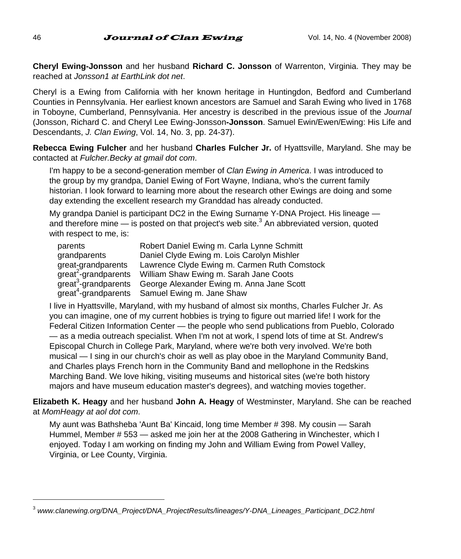**Cheryl Ewing-Jonsson** and her husband **Richard C. Jonsson** of Warrenton, Virginia. They may be reached at *Jonsson1 at EarthLink dot net*.

Cheryl is a Ewing from California with her known heritage in Huntingdon, Bedford and Cumberland Counties in Pennsylvania. Her earliest known ancestors are Samuel and Sarah Ewing who lived in 1768 in Toboyne, Cumberland, Pennsylvania. Her ancestry is described in the previous issue of the *Journal* (Jonsson, Richard C. and Cheryl Lee Ewing-Jonsson**-Jonsson**. Samuel Ewin/Ewen/Ewing: His Life and Descendants, *J. Clan Ewing*, Vol. 14, No. 3, pp. 24-37).

**Rebecca Ewing Fulcher** and her husband **Charles Fulcher Jr.** of Hyattsville, Maryland. She may be contacted at *Fulcher.Becky at gmail dot com*.

I'm happy to be a second-generation member of *Clan Ewing in America*. I was introduced to the group by my grandpa, Daniel Ewing of Fort Wayne, Indiana, who's the current family historian. I look forward to learning more about the research other Ewings are doing and some day extending the excellent research my Granddad has already conducted.

My grandpa Daniel is participant DC2 in the Ewing Surname Y-DNA Project. His lineage and therefore mine  $-$  is posted on that project's web site. $3$  An abbreviated version, quoted with respect to me, is:

| parents                          | Robert Daniel Ewing m. Carla Lynne Schmitt   |
|----------------------------------|----------------------------------------------|
| grandparents                     | Daniel Clyde Ewing m. Lois Carolyn Mishler   |
| great-grandparents               | Lawrence Clyde Ewing m. Carmen Ruth Comstock |
| great <sup>2</sup> -grandparents | William Shaw Ewing m. Sarah Jane Coots       |
| great <sup>3</sup> -grandparents | George Alexander Ewing m. Anna Jane Scott    |
| great <sup>4</sup> -grandparents | Samuel Ewing m. Jane Shaw                    |

I live in Hyattsville, Maryland, with my husband of almost six months, Charles Fulcher Jr. As you can imagine, one of my current hobbies is trying to figure out married life! I work for the Federal Citizen Information Center — the people who send publications from Pueblo, Colorado — as a media outreach specialist. When I'm not at work, I spend lots of time at St. Andrew's Episcopal Church in College Park, Maryland, where we're both very involved. We're both musical — I sing in our church's choir as well as play oboe in the Maryland Community Band, and Charles plays French horn in the Community Band and mellophone in the Redskins Marching Band. We love hiking, visiting museums and historical sites (we're both history majors and have museum education master's degrees), and watching movies together.

**Elizabeth K. Heagy** and her husband **John A. Heagy** of Westminster, Maryland. She can be reached at *MomHeagy at aol dot com*.

My aunt was Bathsheba 'Aunt Ba' Kincaid, long time Member # 398. My cousin — Sarah Hummel, Member # 553 — asked me join her at the 2008 Gathering in Winchester, which I enjoyed. Today I am working on finding my John and William Ewing from Powel Valley, Virginia, or Lee County, Virginia.

<sup>3</sup> *www.clanewing.org/DNA\_Project/DNA\_ProjectResults/lineages/Y-DNA\_Lineages\_Participant\_DC2.html*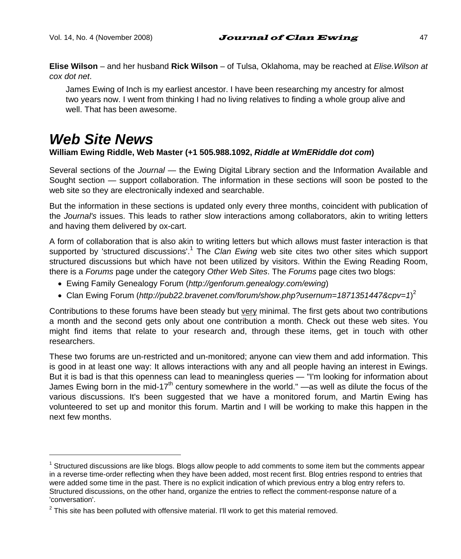**Elise Wilson** – and her husband **Rick Wilson** – of Tulsa, Oklahoma, may be reached at *Elise.Wilson at cox dot net*.

James Ewing of Inch is my earliest ancestor. I have been researching my ancestry for almost two years now. I went from thinking I had no living relatives to finding a whole group alive and well. That has been awesome.

# *Web Site News*

l

#### **William Ewing Riddle, Web Master (+1 505.988.1092,** *Riddle at WmERiddle dot com***)**

Several sections of the *Journal* — the Ewing Digital Library section and the Information Available and Sought section — support collaboration. The information in these sections will soon be posted to the web site so they are electronically indexed and searchable.

But the information in these sections is updated only every three months, coincident with publication of the *Journal's* issues. This leads to rather slow interactions among collaborators, akin to writing letters and having them delivered by ox-cart.

A form of collaboration that is also akin to writing letters but which allows must faster interaction is that supported by 'structured discussions'.<sup>1</sup> The *Clan Ewing* web site cites two other sites which support structured discussions but which have not been utilized by visitors. Within the Ewing Reading Room, there is a *Forums* page under the category *Other Web Sites*. The *Forums* page cites two blogs:

- Ewing Family Genealogy Forum (*http://genforum.genealogy.com/ewing*)
- Clan Ewing Forum (http://pub22.bravenet.com/forum/show.php?usernum=1871351447&cpv=1)<sup>2</sup>

Contributions to these forums have been steady but very minimal. The first gets about two contributions a month and the second gets only about one contribution a month. Check out these web sites. You might find items that relate to your research and, through these items, get in touch with other researchers.

These two forums are un-restricted and un-monitored; anyone can view them and add information. This is good in at least one way: It allows interactions with any and all people having an interest in Ewings. But it is bad is that this openness can lead to meaningless queries — "I'm looking for information about James Ewing born in the mid-17<sup>th</sup> century somewhere in the world." —as well as dilute the focus of the various discussions. It's been suggested that we have a monitored forum, and Martin Ewing has volunteered to set up and monitor this forum. Martin and I will be working to make this happen in the next few months.

<sup>&</sup>lt;sup>1</sup> Structured discussions are like blogs. Blogs allow people to add comments to some item but the comments appear in a reverse time-order reflecting when they have been added, most recent first. Blog entries respond to entries that were added some time in the past. There is no explicit indication of which previous entry a blog entry refers to. Structured discussions, on the other hand, organize the entries to reflect the comment-response nature of a 'conversation'.

 $2$  This site has been polluted with offensive material. I'll work to get this material removed.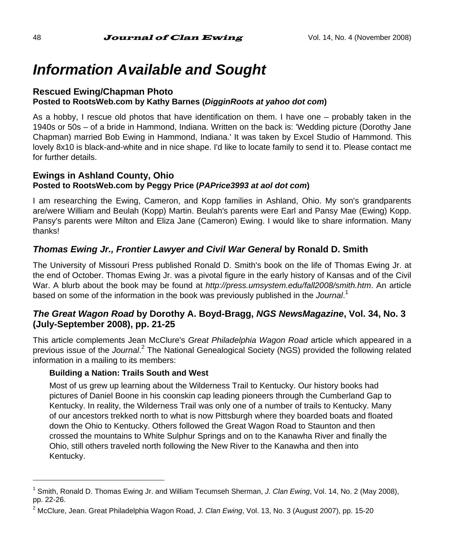# *Information Available and Sought*

#### **Rescued Ewing/Chapman Photo Posted to RootsWeb.com by Kathy Barnes (***DigginRoots at yahoo dot com***)**

As a hobby, I rescue old photos that have identification on them. I have one – probably taken in the 1940s or 50s – of a bride in Hammond, Indiana. Written on the back is: 'Wedding picture (Dorothy Jane Chapman) married Bob Ewing in Hammond, Indiana.' It was taken by Excel Studio of Hammond. This lovely 8x10 is black-and-white and in nice shape. I'd like to locate family to send it to. Please contact me for further details.

#### **Ewings in Ashland County, Ohio Posted to RootsWeb.com by Peggy Price (***PAPrice3993 at aol dot com***)**

I am researching the Ewing, Cameron, and Kopp families in Ashland, Ohio. My son's grandparents are/were William and Beulah (Kopp) Martin. Beulah's parents were Earl and Pansy Mae (Ewing) Kopp. Pansy's parents were Milton and Eliza Jane (Cameron) Ewing. I would like to share information. Many thanks!

### *Thomas Ewing Jr., Frontier Lawyer and Civil War General* **by Ronald D. Smith**

The University of Missouri Press published Ronald D. Smith's book on the life of Thomas Ewing Jr. at the end of October. Thomas Ewing Jr. was a pivotal figure in the early history of Kansas and of the Civil War. A blurb about the book may be found at *http://press.umsystem.edu/fall2008/smith.htm*. An article based on some of the information in the book was previously published in the *Journal*. 1

#### *The Great Wagon Road* **by Dorothy A. Boyd-Bragg,** *NGS NewsMagazine***, Vol. 34, No. 3 (July-September 2008), pp. 21-25**

This article complements Jean McClure's *Great Philadelphia Wagon Road* article which appeared in a previous issue of the *Journal.<sup>2</sup>* The National Genealogical Society (NGS) provided the following related information in a mailing to its members:

#### **Building a Nation: Trails South and West**

Most of us grew up learning about the Wilderness Trail to Kentucky. Our history books had pictures of Daniel Boone in his coonskin cap leading pioneers through the Cumberland Gap to Kentucky. In reality, the Wilderness Trail was only one of a number of trails to Kentucky. Many of our ancestors trekked north to what is now Pittsburgh where they boarded boats and floated down the Ohio to Kentucky. Others followed the Great Wagon Road to Staunton and then crossed the mountains to White Sulphur Springs and on to the Kanawha River and finally the Ohio, still others traveled north following the New River to the Kanawha and then into Kentucky.

<sup>1</sup> Smith, Ronald D. Thomas Ewing Jr. and William Tecumseh Sherman, *J. Clan Ewing*, Vol. 14, No. 2 (May 2008), pp. 22-26.

<sup>2</sup> McClure, Jean. Great Philadelphia Wagon Road, *J. Clan Ewing*, Vol. 13, No. 3 (August 2007), pp. 15-20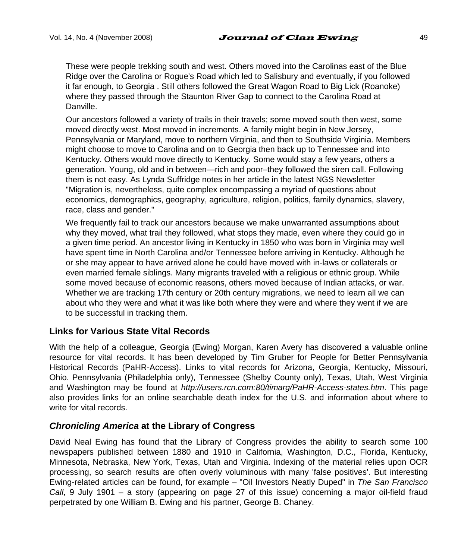These were people trekking south and west. Others moved into the Carolinas east of the Blue Ridge over the Carolina or Rogue's Road which led to Salisbury and eventually, if you followed it far enough, to Georgia . Still others followed the Great Wagon Road to Big Lick (Roanoke) where they passed through the Staunton River Gap to connect to the Carolina Road at Danville.

Our ancestors followed a variety of trails in their travels; some moved south then west, some moved directly west. Most moved in increments. A family might begin in New Jersey, Pennsylvania or Maryland, move to northern Virginia, and then to Southside Virginia. Members might choose to move to Carolina and on to Georgia then back up to Tennessee and into Kentucky. Others would move directly to Kentucky. Some would stay a few years, others a generation. Young, old and in between—rich and poor–they followed the siren call. Following them is not easy. As Lynda Suffridge notes in her article in the latest NGS Newsletter "Migration is, nevertheless, quite complex encompassing a myriad of questions about economics, demographics, geography, agriculture, religion, politics, family dynamics, slavery, race, class and gender."

We frequently fail to track our ancestors because we make unwarranted assumptions about why they moved, what trail they followed, what stops they made, even where they could go in a given time period. An ancestor living in Kentucky in 1850 who was born in Virginia may well have spent time in North Carolina and/or Tennessee before arriving in Kentucky. Although he or she may appear to have arrived alone he could have moved with in-laws or collaterals or even married female siblings. Many migrants traveled with a religious or ethnic group. While some moved because of economic reasons, others moved because of Indian attacks, or war. Whether we are tracking 17th century or 20th century migrations, we need to learn all we can about who they were and what it was like both where they were and where they went if we are to be successful in tracking them.

#### **Links for Various State Vital Records**

With the help of a colleague, Georgia (Ewing) Morgan, Karen Avery has discovered a valuable online resource for vital records. It has been developed by Tim Gruber for People for Better Pennsylvania Historical Records (PaHR-Access). Links to vital records for Arizona, Georgia, Kentucky, Missouri, Ohio. Pennsylvania (Philadelphia only), Tennessee (Shelby County only), Texas, Utah, West Virginia and Washington may be found at *http://users.rcn.com:80/timarg/PaHR-Access-states.htm*. This page also provides links for an online searchable death index for the U.S. and information about where to write for vital records.

#### *Chronicling America* **at the Library of Congress**

David Neal Ewing has found that the Library of Congress provides the ability to search some 100 newspapers published between 1880 and 1910 in California, Washington, D.C., Florida, Kentucky, Minnesota, Nebraska, New York, Texas, Utah and Virginia. Indexing of the material relies upon OCR processing, so search results are often overly voluminous with many 'false positives'. But interesting Ewing-related articles can be found, for example – "Oil Investors Neatly Duped" in *The San Francisco Call*, 9 July 1901 – a story (appearing on page 27 of this issue) concerning a major oil-field fraud perpetrated by one William B. Ewing and his partner, George B. Chaney.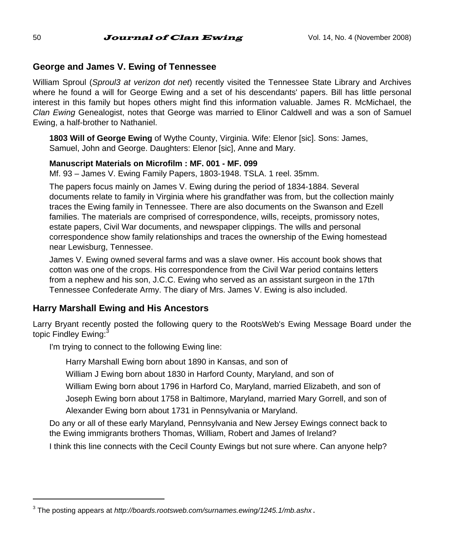#### **George and James V. Ewing of Tennessee**

William Sproul (*Sproul3 at verizon dot net*) recently visited the Tennessee State Library and Archives where he found a will for George Ewing and a set of his descendants' papers. Bill has little personal interest in this family but hopes others might find this information valuable. James R. McMichael, the *Clan Ewing* Genealogist, notes that George was married to Elinor Caldwell and was a son of Samuel Ewing, a half-brother to Nathaniel.

**1803 Will of George Ewing** of Wythe County, Virginia. Wife: Elenor [sic]. Sons: James, Samuel, John and George. Daughters: Elenor [sic], Anne and Mary.

#### **Manuscript Materials on Microfilm : MF. 001 - MF. 099**

Mf. 93 – James V. Ewing Family Papers, 1803-1948. TSLA. 1 reel. 35mm.

The papers focus mainly on James V. Ewing during the period of 1834-1884. Several documents relate to family in Virginia where his grandfather was from, but the collection mainly traces the Ewing family in Tennessee. There are also documents on the Swanson and Ezell families. The materials are comprised of correspondence, wills, receipts, promissory notes, estate papers, Civil War documents, and newspaper clippings. The wills and personal correspondence show family relationships and traces the ownership of the Ewing homestead near Lewisburg, Tennessee.

James V. Ewing owned several farms and was a slave owner. His account book shows that cotton was one of the crops. His correspondence from the Civil War period contains letters from a nephew and his son, J.C.C. Ewing who served as an assistant surgeon in the 17th Tennessee Confederate Army. The diary of Mrs. James V. Ewing is also included.

#### **Harry Marshall Ewing and His Ancestors**

Larry Bryant recently posted the following query to the RootsWeb's Ewing Message Board under the topic Findley Ewing:<sup>3</sup>

I'm trying to connect to the following Ewing line:

Harry Marshall Ewing born about 1890 in Kansas, and son of

William J Ewing born about 1830 in Harford County, Maryland, and son of

William Ewing born about 1796 in Harford Co, Maryland, married Elizabeth, and son of

Joseph Ewing born about 1758 in Baltimore, Maryland, married Mary Gorrell, and son of Alexander Ewing born about 1731 in Pennsylvania or Maryland.

Do any or all of these early Maryland, Pennsylvania and New Jersey Ewings connect back to the Ewing immigrants brothers Thomas, William, Robert and James of Ireland?

I think this line connects with the Cecil County Ewings but not sure where. Can anyone help?

<sup>3</sup> The posting appears at *http://boards.rootsweb.com/surnames.ewing/1245.1/mb.ashx*.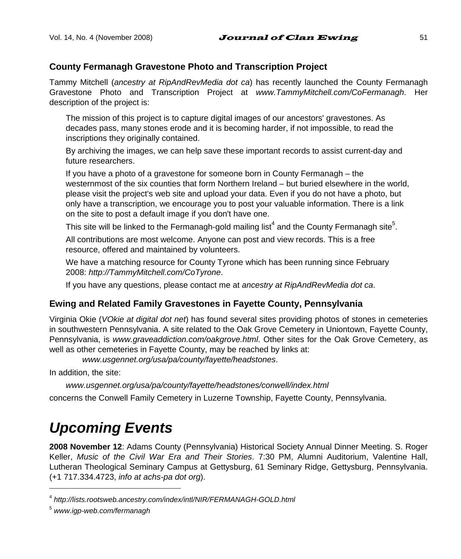#### **County Fermanagh Gravestone Photo and Transcription Project**

Tammy Mitchell (*ancestry at RipAndRevMedia dot ca*) has recently launched the County Fermanagh Gravestone Photo and Transcription Project at *www.TammyMitchell.com/CoFermanagh*. Her description of the project is:

The mission of this project is to capture digital images of our ancestors' gravestones. As decades pass, many stones erode and it is becoming harder, if not impossible, to read the inscriptions they originally contained.

By archiving the images, we can help save these important records to assist current-day and future researchers.

If you have a photo of a gravestone for someone born in County Fermanagh – the westernmost of the six counties that form Northern Ireland – but buried elsewhere in the world, please visit the project's web site and upload your data. Even if you do not have a photo, but only have a transcription, we encourage you to post your valuable information. There is a link on the site to post a default image if you don't have one.

This site will be linked to the Fermanagh-gold mailing list<sup>4</sup> and the County Fermanagh site<sup>5</sup>.

All contributions are most welcome. Anyone can post and view records. This is a free resource, offered and maintained by volunteers.

We have a matching resource for County Tyrone which has been running since February 2008: *http://TammyMitchell.com/CoTyrone*.

If you have any questions, please contact me at *ancestry at RipAndRevMedia dot ca*.

### **Ewing and Related Family Gravestones in Fayette County, Pennsylvania**

Virginia Okie (*VOkie at digital dot net*) has found several sites providing photos of stones in cemeteries in southwestern Pennsylvania. A site related to the Oak Grove Cemetery in Uniontown, Fayette County, Pennsylvania, is *www.graveaddiction.com/oakgrove.html*. Other sites for the Oak Grove Cemetery, as well as other cemeteries in Fayette County, may be reached by links at:

*www.usgennet.org/usa/pa/county/fayette/headstones*.

In addition, the site:

*www.usgennet.org/usa/pa/county/fayette/headstones/conwell/index.html* 

concerns the Conwell Family Cemetery in Luzerne Township, Fayette County, Pennsylvania.

# *Upcoming Events*

**2008 November 12**: Adams County (Pennsylvania) Historical Society Annual Dinner Meeting. S. Roger Keller, *Music of the Civil War Era and Their Stories*. 7:30 PM, Alumni Auditorium, Valentine Hall, Lutheran Theological Seminary Campus at Gettysburg, 61 Seminary Ridge, Gettysburg, Pennsylvania. (+1 717.334.4723, *info at achs-pa dot org*).

<sup>4</sup> *http://lists.rootsweb.ancestry.com/index/intl/NIR/FERMANAGH-GOLD.html*

<sup>5</sup> *www.igp-web.com/fermanagh*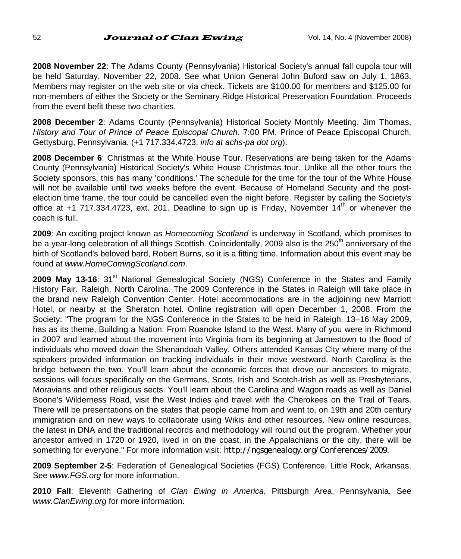52 **Journal of Clan Ewing**  $V$ ol. 14, No. 4 (November 2008)

**2008 November 22**: The Adams County (Pennsylvania) Historical Society's annual fall cupola tour will be held Saturday, November 22, 2008. See what Union General John Buford saw on July 1, 1863. Members may register on the web site or via check. Tickets are \$100.00 for members and \$125.00 for non-members of either the Society or the Seminary Ridge Historical Preservation Foundation. Proceeds from the event befit these two charities.

**2008 December 2**: Adams County (Pennsylvania) Historical Society Monthly Meeting. Jim Thomas, *History and Tour of Prince of Peace Episcopal Church*. 7:00 PM, Prince of Peace Episcopal Church, Gettysburg, Pennsylvania. (+1 717.334.4723, *info at achs-pa dot org*).

**2008 December 6**: Christmas at the White House Tour. Reservations are being taken for the Adams County (Pennsylvania) Historical Society's White House Christmas tour. Unlike all the other tours the Society sponsors, this has many 'conditions.' The schedule for the time for the tour of the White House will not be available until two weeks before the event. Because of Homeland Security and the postelection time frame, the tour could be cancelled even the night before. Register by calling the Society's office at +1 717.334.4723, ext. 201. Deadline to sign up is Friday, November  $14<sup>th</sup>$  or whenever the coach is full.

**2009**: An exciting project known as *Homecoming Scotland* is underway in Scotland, which promises to be a year-long celebration of all things Scottish. Coincidentally, 2009 also is the 250<sup>th</sup> anniversary of the birth of Scotland's beloved bard, Robert Burns, so it is a fitting time. Information about this event may be found at *www.HomeComingScotland.com*.

**2009 May 13-16:** 31<sup>st</sup> National Genealogical Society (NGS) Conference in the States and Family History Fair. Raleigh, North Carolina. The 2009 Conference in the States in Raleigh will take place in the brand new Raleigh Convention Center. Hotel accommodations are in the adjoining new Marriott Hotel, or nearby at the Sheraton hotel. Online registration will open December 1, 2008. From the Society: "The program for the NGS Conference in the States to be held in Raleigh, 13–16 May 2009, has as its theme, Building a Nation: From Roanoke Island to the West. Many of you were in Richmond in 2007 and learned about the movement into Virginia from its beginning at Jamestown to the flood of individuals who moved down the Shenandoah Valley. Others attended Kansas City where many of the speakers provided information on tracking individuals in their move westward. North Carolina is the bridge between the two. You'll learn about the economic forces that drove our ancestors to migrate, sessions will focus specifically on the Germans, Scots, Irish and Scotch-Irish as well as Presbyterians, Moravians and other religious sects. You'll learn about the Carolina and Wagon roads as well as Daniel Boone's Wilderness Road, visit the West Indies and travel with the Cherokees on the Trail of Tears. There will be presentations on the states that people came from and went to, on 19th and 20th century immigration and on new ways to collaborate using Wikis and other resources. New online resources, the latest in DNA and the traditional records and methodology will round out the program. Whether your ancestor arrived in 1720 or 1920, lived in on the coast, in the Appalachians or the city, there will be something for everyone." For more information visit: *http://ngsgenealogy.org/Conferences/2009*.

**2009 September 2-5**: Federation of Genealogical Societies (FGS) Conference, Little Rock, Arkansas. See *www.FGS.org* for more information.

**2010 Fall**: Eleventh Gathering of *Clan Ewing in America*, Pittsburgh Area, Pennsylvania. See *www.ClanEwing.org* for more information.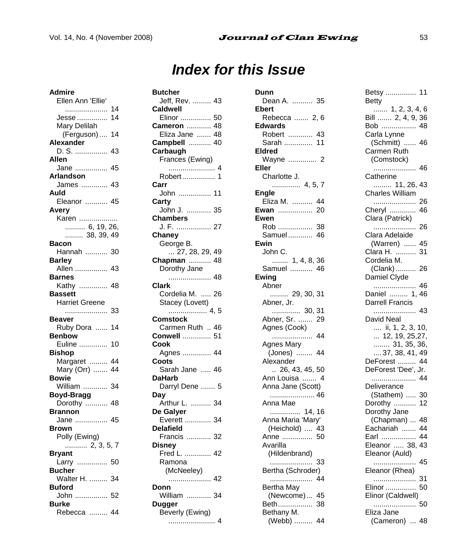# *Index for this Issue*

**Admire**  Ellen Ann 'Ellie' ..................... 14 Jesse ............... 14 Mary Delilah (Ferguson) .... 14 **Alexander**  D. S. ................ 43 **Allen**  Jane ................ 45 **Arlandson**  James ............. 43 **Auld**  Eleanor ........... 45 **Avery**  Karen ................... .......... 6, 19, 26, ......... 38, 39, 49 **Bacon**  Hannah ........... 30 **Barley**  Allen ................ 43 **Barnes**  Kathy .............. 48 **Bassett**  Harriet Greene ..................... 33 **Beaver**  Ruby Dora ...... 14 **Benbow**  Euline .............. 10 **Bishop**  Margaret ......... 44 Mary (Orr) ....... 44 **Bowie**  William ............ 34 **Boyd-Bragg**  Dorothy ........... 48 **Brannon**  Jane ................ 45 **Brown**  Polly (Ewing) ........... 2, 3, 5, 7 **Bryant**  Larry ............... 50 **Bucher**  Walter H. ......... 34 **Buford**  John ................ 52 **Burke**  Rebecca ......... 44

| <b>Butcher</b>                       |
|--------------------------------------|
| Jeff, Rev.  43<br>Caldwell           |
| Elinor  50                           |
| Cameron  48                          |
| Eliza Jane  48<br>Campbell  40       |
| Carbaugh                             |
| Frances (Ewing)                      |
|                                      |
| Robert  1                            |
| Carr<br>John  11                     |
| Carty                                |
| John J.  35                          |
| Chambers                             |
| J. F.  27                            |
| Chaney                               |
| George B.<br>$\ldots$ 27, 28, 29, 49 |
| Chapman  48                          |
| Dorothy Jane                         |
| 48                                   |
| Clark                                |
| Cordelia M.  26<br>Stacey (Lovett)   |
|                                      |
|                                      |
| 4, 5<br>Comstock                     |
| Carmen Ruth  46                      |
| Conwell  51                          |
| Cook                                 |
| Agnes  44                            |
| Coots                                |
| Sarah Jane  46<br><b>DaHarb</b>      |
| Darryl Dene  5                       |
| Dav                                  |
| Arthur L.  34                        |
| De Galyer                            |
| Everett  34<br>Delafield             |
| <b>Elafferd</b><br>Francis  32       |
| Disney                               |
| Fred L.  42                          |
| Ramona                               |
| (McNeeley)                           |
| 42<br>Donn                           |
| William  34                          |
| Dugger                               |
| Beverly (Ewing)<br>$\overline{4}$    |

| Dunn                             |
|----------------------------------|
| Dean A.  35<br>Ebert             |
| Rebecca  2, 6                    |
| Edwards                          |
| Robert  43<br>Sarah  11          |
| Eldred                           |
| Wayne  2                         |
| Eller                            |
| Charlotte J.                     |
| Engle                            |
| Eliza M.<br>44                   |
| 20<br>Ewan<br>Ewen               |
| Rob<br>38                        |
| Samuel<br>46                     |
| Ewin                             |
| John C.<br>1, 4, 8, 36           |
| .<br>Samuel  46                  |
| Ewing                            |
| Abner                            |
| 29, 30, 31<br>Abner, Jr.         |
| $\cdots$ 30,<br>31               |
| Abner, Sr.<br>29<br>Agnes (Cook) |
|                                  |
| Agnes Mary                       |
| (Jones)  44<br>Alexander         |
| $\ldots$ 26, 43, 45, 50          |
| Ann Louisa  4                    |
| Anna Jane (Scott)                |
| Anna Mae                         |
|                                  |
| Anna Maria 'Mary'                |
| (Heichold)  43<br>Anne<br>50     |
| Avarilla                         |
| (Hildenbrand)                    |
| 33<br>Bertha (Schroder)          |
| 44                               |
| Bertha May                       |
| (Newcome)<br>45                  |
| Beth<br>38<br>Bethany M.         |
| 44<br>(Webb)                     |

| Betsy<br>11<br>Betty                                                                                                 |
|----------------------------------------------------------------------------------------------------------------------|
| $\begin{array}{c} 1, 2, 3, 4, 6 \\ \text{Bill } \dots \dots \quad 2, 4, 9, 36 \end{array}$<br>Bob  48<br>Carla Lynne |
| (Schmitt)<br>46<br>$\cdots$<br>Carmen Ruth<br>(Comstock)                                                             |
| 46<br>Catherine                                                                                                      |
| 11, 26,<br>43<br>Charles William                                                                                     |
| 26<br>Cheryl<br>46<br>Clara (Patrick)                                                                                |
| 26<br>Clara Adelaide                                                                                                 |
| (Warren)<br>45<br>Clara H.<br>31                                                                                     |
| Cordelia M.<br>(Clank)<br>26<br>Damiel Ćlyde                                                                         |
| .<br>46<br>Daniel  1,<br>46<br>Darrell Francis                                                                       |
| David Neal                                                                                                           |
| ii, 1, 2, 3, 10,<br>12, 19, 25,27,<br>31, 35, 36,<br>37, 38, 41, 49                                                  |
|                                                                                                                      |
|                                                                                                                      |
| DeForest  44<br>DeForest 'Dee', Jr.<br>44                                                                            |
| 44                                                                                                                   |
| Deliverance<br>(Stathem)<br>30                                                                                       |
| Dorothy<br>12                                                                                                        |
| Dorothy Jane<br>(Chapman)<br>48                                                                                      |
| Eachariah<br>44                                                                                                      |
| Earl<br>44                                                                                                           |
| Eleanor  38,<br>43<br>Eleanor (Auld)                                                                                 |
| 45<br>.<br>Eleanor (Rhea)                                                                                            |
| 31<br>.<br>50<br>Elinor                                                                                              |
| Elinor (Caldwell)                                                                                                    |
| 50<br>.<br>Eliza Jane                                                                                                |
| (Cameron)<br>48                                                                                                      |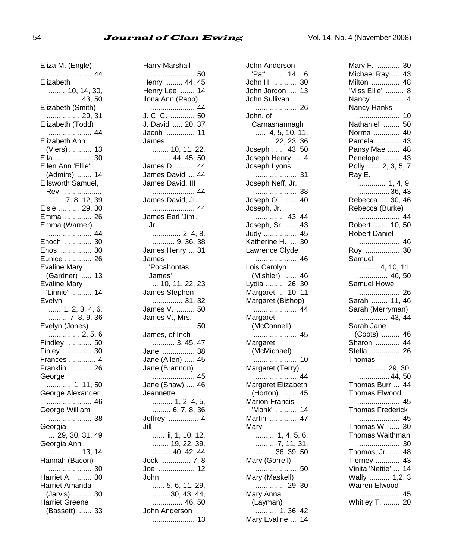#### 54 **Journal of Clan Ewing Clan** Vol. 14, No. 4 (November 2008)

| Eliza M. (Engle)                   |
|------------------------------------|
| 44<br>.                            |
| Elizabeth                          |
| $\frac{1}{2}$ 10, 14, 30,          |
| 43, 50<br>Elizabeth (Smith)        |
|                                    |
| $\cdots$ 29, 31                    |
| Elizabeth (Todd)                   |
| 44<br><br>Elizabeth Ann            |
| (Viers)<br>13                      |
| Ella<br>30                         |
| Ellen Ann 'Ellie'                  |
| (Admire)<br>14                     |
| Ellsworth Samuel,                  |
|                                    |
| Rev.<br>7, 8, 12,<br>39            |
| Elsie  29,<br>30                   |
| Emma<br>26                         |
| Emma (Warner)                      |
| 44<br>.                            |
| Enoch<br>30                        |
| Enos<br>30                         |
| Eunice<br>26                       |
| Evaline Mary                       |
| (Gardner)<br>13<br>                |
| Evaline Mary                       |
| 'Linnie'  14                       |
| Evelyn<br>$\ldots$ 1, 2, 3, 4, 6,  |
| $\cdots$ 7, 8, 9, 36               |
| Evelyn (Jones)                     |
|                                    |
|                                    |
| Finley  30                         |
| Frances  4                         |
| Franklin  26                       |
| George                             |
| 1, 11, 50                          |
| George Alexander                   |
| 46<br><br>George William           |
|                                    |
| 38                                 |
| Georgia<br>$\ldots$ 29, 30, 31, 49 |
| Georgia Ann                        |
| 14                                 |
| Hannah (Bacon)                     |
| 30                                 |
| Harriet A.<br>30                   |
| Harriet Amanda                     |
| (Jarvis)<br>30                     |
| Harriet Greene                     |
| (Bassett)<br>33                    |

Harry Marshall ..................... 50 Henry ........ 44, 45 Henry Lee ....... 14 Ilona Ann (Papp) ...................... 44 J. C. C. ............ 50 J. David ..... 20, 37 Jacob .............. 11 James ........ 10, 11, 22, ......... 44, 45, 50 James D. ......... 44 James David ... 44 James David, III ..................... 44 James David, Jr. ...................... 44 James Earl 'Jim', Jr. .............. 2, 4, 8, ........... 9, 36, 38 James Henry ... 31 James 'Pocahontas James' ... 10, 11, 22, 23 James Stephen ............... 31, 32 James V. ......... 50 James V., Mrs. ..................... 50 James, of Inch ........... 3, 45, 47 Jane ................ 38 Jane (Allen) ..... 45 Jane (Brannon) ..................... 45 Jane (Shaw) .... 46 **Jeannette**  .......... 1, 2, 4, 5, ......... 6, 7, 8, 36 Jeffrey ............... 4 Jill ...... ii, 1, 10, 12, ........ 19, 22, 39, ......... 40, 42, 44 Jock ............... 7, 8 Joe .................. 12 John ...... 5, 6, 11, 29, ........ 30, 43, 44, ............... 46, 50 John Anderson ..................... 13

John Anderson 'Pat' ........ 14, 16 John H. ........... 30 John Jordon .... 13 John Sullivan .................... 26 John, of Carnashannagh ..... 4, 5, 10, 11, ........ 22, 23, 36 Joseph ...... 43, 50 Joseph Henry ... 4 Joseph Lyons .................... 31 Joseph Neff, Jr. .................... 38 Joseph O. ....... 40 Joseph, Jr. .............. 43, 44 Joseph, Sr. ..... 43 Judy ................ 45 Katherine H. ... 30 Lawrence Clyde .................... 46 Lois Carolyn (Mishler) ...... 46 Lydia ......... 26, 30 Margaret ... 10, 11 Margaret (Bishop) ..................... 44 **Margaret** (McConnell) ..................... 45 Margaret (McMichael) ..................... 10 Margaret (Terry) .................... 44 Margaret Elizabeth (Horton) ....... 45 Marion Francis 'Monk' .......... 14 Martin ............. 47 Mary ......... 1, 4, 5, 6, ......... 7, 11, 31, ........ 36, 39, 50 Mary (Gorrell) .................... 50 Mary (Maskell) .............. 29, 30 Mary Anna (Layman) .......... 1, 36, 42 Mary Evaline ... 14 Mary F. ........... 30 Michael Ray .... 43 Milton .............. 48 'Miss Ellie' ......... 8 Nancy ............... 4 Nancy Hanks ..................... 10 Nathaniel ........ 50 Norma ............. 40 Pamela ........... 43 Pansy Mae ...... 48 Penelope ........ 43 Polly ...... 2, 3, 5, 7 Ray E. .............. 1, 4, 9, ................36, 43 Rebecca ... 30, 46 Rebecca (Burke) ..................... 44 Robert ....... 10, 50 Robert Daniel ..................... 46 Roy ................. 30 Samuel .......... 4, 10, 11, ............... 46, 50 Samuel Howe ..................... 26 Sarah ........ 11, 46 Sarah (Merryman) ............... 43, 44 Sarah Jane (Coots) ......... 46 Sharon ............ 44 Stella ............... 26 Thomas .............. 29, 30, ................44, 50 Thomas Burr ... 44 Thomas Elwood ..................... 45 Thomas Frederick ..................... 45 Thomas W. ..... 30 Thomas Waithman ..................... 30 Thomas, Jr. ..... 48 Tierney ............ 43 Vinita 'Nettie' ... 14 Wally .......... 1,2, 3 Warren Elwood ..................... 45 Whitley T. ........ 20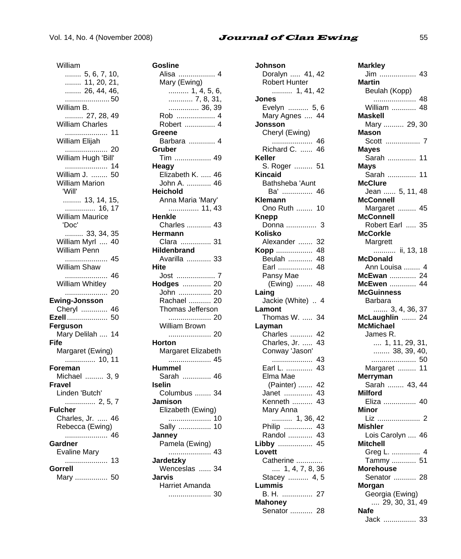### Vol. 14, No. 4 (November 2008) **Journal of Clan Ewing** 55

| William                                    |
|--------------------------------------------|
| 5, 6, 7, 10,<br>11, 20, 21,<br>26, 44, 46, |
|                                            |
|                                            |
| 50                                         |
| William B.                                 |
| 27, 28, 49                                 |
| William Charles                            |
|                                            |
| 11                                         |
| William Elijah                             |
|                                            |
| William Hugh 'Bill'                        |
| 14                                         |
| William J.  50                             |
| <b>William Marion</b>                      |
| 'Will'                                     |
| 13, 14, 15,                                |
|                                            |
| <b>William Maurice</b>                     |
| 'Doc'                                      |
| 33, 34, 35                                 |
| William Myrl  40                           |
| William Penn                               |
|                                            |
| William Shaw                               |
|                                            |
|                                            |
| 46                                         |
| William Whitley                            |
| 20                                         |
| Ewing-Jonsson                              |
| Cheryl  46                                 |
| Ezell 50                                   |
| Ferguson                                   |
| Mary Delilah  14                           |
| Fife                                       |
|                                            |
|                                            |
| Margaret (Ewing)<br>10, 11<br>Foreman      |
|                                            |
| Michael  3, 9                              |
| Fravel                                     |
| Linden 'Butch'                             |
| 2, 5, 7                                    |
| <b>Fulcher</b>                             |
| Charles, Jr.  46                           |
| Rebecca (Ewing)                            |
| 46                                         |
| Gardner                                    |
| Evaline Mary                               |
|                                            |
| Gorrell<br>--- <i>---</i><br>Mary  50      |

| Gosline                                  |
|------------------------------------------|
| Alisa  4                                 |
| Mary (Ewing)<br>1, 4, 5, 6,<br>7, 8, 31, |
|                                          |
|                                          |
| 36, 39.<br>4  Rob                        |
|                                          |
| Robert  4                                |
| Greene                                   |
| Barbara  4                               |
| Gruber                                   |
| Tim  49                                  |
| Heagy                                    |
| Elizabeth K.  46                         |
| John A.  46                              |
| <b>Heichold</b>                          |
| Anna Maria 'Mary'                        |
| 11, 43                                   |
| Henkle                                   |
| Charles  43                              |
| Hermann<br>Clara  31                     |
| Hildenbrand                              |
|                                          |
| Avarilla  33<br>Hite                     |
| 7                                        |
| Jost<br>20                               |
| <b>Hodges</b><br>John<br>20              |
| Rachael<br>20                            |
| Thomas Jefferson                         |
| 20                                       |
| William Brown                            |
|                                          |
| 20<br>Horton                             |
| Margaret Elizabeth                       |
|                                          |
| Hummel                                   |
| Sarah  46                                |
| Iselin                                   |
| Columbus  34                             |
| Jamison                                  |
| Elizabeth (Ewing)                        |
| .<br>10                                  |
| Sally<br>10                              |
| Janney                                   |
| Pamela (Ewing)                           |
|                                          |
| Jardetzky                                |
| Wenceslas  34                            |
| Jarvis                                   |
| Harriet Amanda                           |
| .<br>30                                  |
|                                          |

| Johnson                                    |
|--------------------------------------------|
| Doralyn  41, 42                            |
| Robert Hunter                              |
| 1, 41, 42                                  |
| Jones                                      |
| Evelyn  5, 6                               |
| Mary Agnes<br>44                           |
| Jonsson                                    |
| Cheryl (Ewing)                             |
| 46<br>                                     |
| Richard C.<br>46<br>Keller                 |
| S. Roger  51                               |
| Kincaid                                    |
| Bathsheba 'Aunt                            |
| Ba'<br>46                                  |
| Klemann                                    |
| Ono Ruth<br>10                             |
| Knepp                                      |
|                                            |
| Kolisko                                    |
| Alexander<br>32                            |
| 48<br>Kopp                                 |
| Beulah<br>48                               |
| Earl<br>48                                 |
| Pansy Mae<br>-48                           |
| (Ewing)<br>Laing                           |
|                                            |
|                                            |
| Jackie (White)  4                          |
| Lamont<br>Thomas W.<br>34                  |
| Layman                                     |
| Charles<br>42                              |
| Charles, Jr.<br>43                         |
| Conway 'Jason'                             |
| .<br>43                                    |
| Earl L.<br>43                              |
| Elma Mae                                   |
| (Painter)<br>42                            |
| 43<br>Janet                                |
| Kenneth<br>43                              |
| Mary Anna                                  |
| 42                                         |
| Philip<br>43<br>43                         |
| Randol<br>45                               |
| Libby<br>Lovett                            |
|                                            |
|                                            |
| Catherine<br>1, 4, 7, 8, 36<br>Stacey  4,5 |
| Lummis                                     |
| B. H. …………… 27                             |
| Mahoney<br>Senator<br>28                   |

| Markley                                                       |
|---------------------------------------------------------------|
|                                                               |
| Martin                                                        |
| Beulah (Kopp)                                                 |
|                                                               |
| William  48                                                   |
| Maskell                                                       |
| Mary  29, 30                                                  |
| Mason                                                         |
| Scott  7                                                      |
| Mayes<br>Sarah  11                                            |
|                                                               |
| Mays<br>Sarah  11                                             |
| <b>McClure</b>                                                |
| Jean  5, 11, 48                                               |
| <b>McConnell</b>                                              |
| Margaret  45                                                  |
| McConnell                                                     |
| Robert Earl  35                                               |
| McCorkle                                                      |
| Margrett                                                      |
| ii, 13, 18                                                    |
| <b>McDonald</b>                                               |
| Ann Louisa  4                                                 |
| McEwan  24                                                    |
| McEwen<br>44                                                  |
| <b>McGuinness</b><br>Barbara                                  |
|                                                               |
| 3, 4, 36, 3 <mark>7</mark><br><b>aughlin</b> 24<br>McLaughlin |
|                                                               |
|                                                               |
| <b>McMichael</b>                                              |
| James R.                                                      |
| $\dots$ 1, 11, 29, 31,                                        |
| $\ldots$ 38, 39, 40,                                          |
| Margaret<br>11                                                |
| Merryman                                                      |
| Sarah  43, 44                                                 |
| Milford                                                       |
| Eliza  40                                                     |
| Minor                                                         |
| Liz  2                                                        |
| Mishler                                                       |
| Lois Carolyn  46                                              |
| Mitchell                                                      |
| Greg L.  4<br>51                                              |
| Tammy<br><b>Morehouse</b>                                     |
| Senator  28                                                   |
| Morgan                                                        |
| Georgia (Ewing)                                               |
| $\ldots$ 29, 30, 31, 49                                       |
| <b>Nafe</b><br>Jack  33                                       |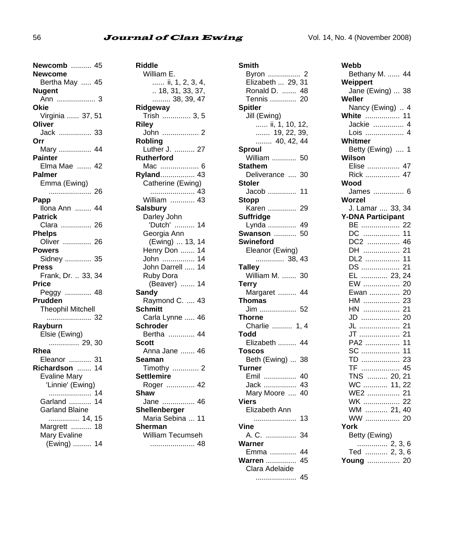#### 56 **Journal of Clan Ewing** Vol. 14, No. 4 (November 2008)

| Newcomb  45              |
|--------------------------|
| Newcome                  |
| Bertha May  45           |
| Nugent                   |
|                          |
| Okie                     |
| Virginia  37, 51         |
| Oliver                   |
| Jack  33<br>Orr          |
|                          |
| Mary  44<br>Painter      |
| Elma Mae  42             |
| Palmer                   |
| Emma (Ewing)             |
| 26                       |
| Papp                     |
| Ilona Ann  44            |
| Patrick                  |
| Clara  26                |
| <b>Phelps</b>            |
| Oliver  26               |
| Powers                   |
| Sidney  35               |
| Press                    |
| Frank, Dr.  33, 34       |
| Price                    |
| Peggy  48                |
| Prudden                  |
| <b>Theophil Mitchell</b> |
| 32                       |
| Rayburn                  |
| Elsie (Ewing)            |
| 29, 30                   |
| Rhea                     |
| Eleanor<br>31            |
| Richardson  14           |
| <b>Evaline Mary</b>      |
| 'Linnie' (Ewing)         |
| 14<br>.                  |
| Garland<br>14            |
| <b>Garland Blaine</b>    |
| 14, 15                   |
| Margrett<br>18           |
| Mary Evaline             |
| (Ewing)  14              |

| Riddle                             |
|------------------------------------|
| William E.                         |
| ii, 1, 2, 3, 4,                    |
| $\ldots$ 18, 31, 33, 37,           |
| 38, 39, 47                         |
| Ridgeway                           |
| Trish  3, 5                        |
| Riley                              |
| John  2                            |
| Robling                            |
| Luther J.  27<br><b>Rutherford</b> |
| Mac  6                             |
| Ryland 43                          |
| Catherine (Ewing)                  |
| 43                                 |
| William<br>43                      |
| <b>Salsbury</b>                    |
| Darley John                        |
| 'Dutch'<br>14                      |
| Georgia Ann                        |
| (Ewing)  13,<br>14                 |
| Henry Don<br>14                    |
| 14<br>John                         |
| 14<br>John Darrell                 |
| Ruby Dora                          |
| (Beaver)  14                       |
| <b>Sandy</b>                       |
| Raymond C.  43                     |
| <b>Schmitt</b>                     |
| Carla Lynne  46                    |
| <b>Schroder</b>                    |
| Bertha  44                         |
| Scott                              |
| Anna Jane  46                      |
| Seaman                             |
| Timothy  2<br>Settlemire           |
| Roger  42                          |
| Shaw                               |
| Jane  46                           |
| Shellenberger                      |
| Maria Sebina  11                   |
| Sherman                            |
| William Tecumseh                   |
| 48                                 |
|                                    |

| Smith                                 |
|---------------------------------------|
| Byron  2                              |
| Elizabeth  29, 31                     |
| Ronald D.  48                         |
| Tennis<br>20                          |
| <b>Spitler</b>                        |
| Jill (Ewing)                          |
| …… ii, 1, 10, 12,<br>…….  19, 22, 39, |
|                                       |
| $\ldots$ 40, 42, 44                   |
| Sproul                                |
| William  50                           |
| Stathem                               |
| Deliverance<br>30                     |
| Stoler                                |
| Jacob<br>11                           |
| Stopp                                 |
| Karen<br>29                           |
| Suffridge                             |
| Lynda<br>49                           |
| Swanson<br>50                         |
| Swineford                             |
| Eleanor (Ewing)                       |
| 38, 43                                |
| <b>Talley</b><br>William M.           |
| 30                                    |
| Terry<br>Margaret<br>44               |
| Thomas                                |
| Jim  52                               |
| Thorne                                |
| Charlie  1, 4                         |
| Todd                                  |
| Elizabeth  44                         |
| Toscos                                |
| Beth (Ewing)<br>38                    |
| Turner                                |
| Emil<br>40                            |
| 43<br>Jack                            |
| Mary Moore<br>40                      |
| Viers                                 |
| Elizabeth Ann                         |
| 13<br>.                               |
| Vine                                  |
| A. C.<br>34                           |
| Warner                                |
| Emma<br>44                            |
| <b>Warren </b><br>45                  |
| Clara Adelaide                        |
| 45<br>.                               |

| Webb                                             |
|--------------------------------------------------|
| Bethany M.  44                                   |
| Weippert                                         |
| Jane (Ewing)  38                                 |
| Weller                                           |
| Nancy (Ewing)<br>$\overline{4}$                  |
| <b>White</b> 11<br>4 Jackie  4<br>$\overline{4}$ |
| Lois  4                                          |
| Whitmer                                          |
| Betty (Ewing)  1                                 |
| Wilson                                           |
| Elise  47                                        |
| Rick  47                                         |
| Wood                                             |
| James  6                                         |
| Worzel<br>J. Lamar  33, 34                       |
| <b>Y-DNA Participant</b>                         |
| BE<br>22                                         |
| DC<br>11<br>                                     |
| DC2<br>46                                        |
| 21<br>DH                                         |
| DL2<br>11                                        |
| DS<br>21                                         |
| EL<br>23,<br>24                                  |
| .<br>EW<br>20                                    |
| Ewan<br>20<br>HM<br>23                           |
| 21<br>HN                                         |
| JD<br>20                                         |
| JL<br>21                                         |
| JT<br>21<br>.                                    |
| PA2<br>11                                        |
| SC<br>11                                         |
| TD<br>23<br>.                                    |
| TF.<br>45<br>.                                   |
| TNS  20.<br>21                                   |
| $\overline{22}$<br>WC  11,<br>WE2<br>21          |
| WK<br>22                                         |
| <b>WM</b><br>21.<br>40                           |
| WW<br>20                                         |
| York                                             |
| Betty (Ewing)                                    |
|                                                  |
|                                                  |
| Young  20                                        |